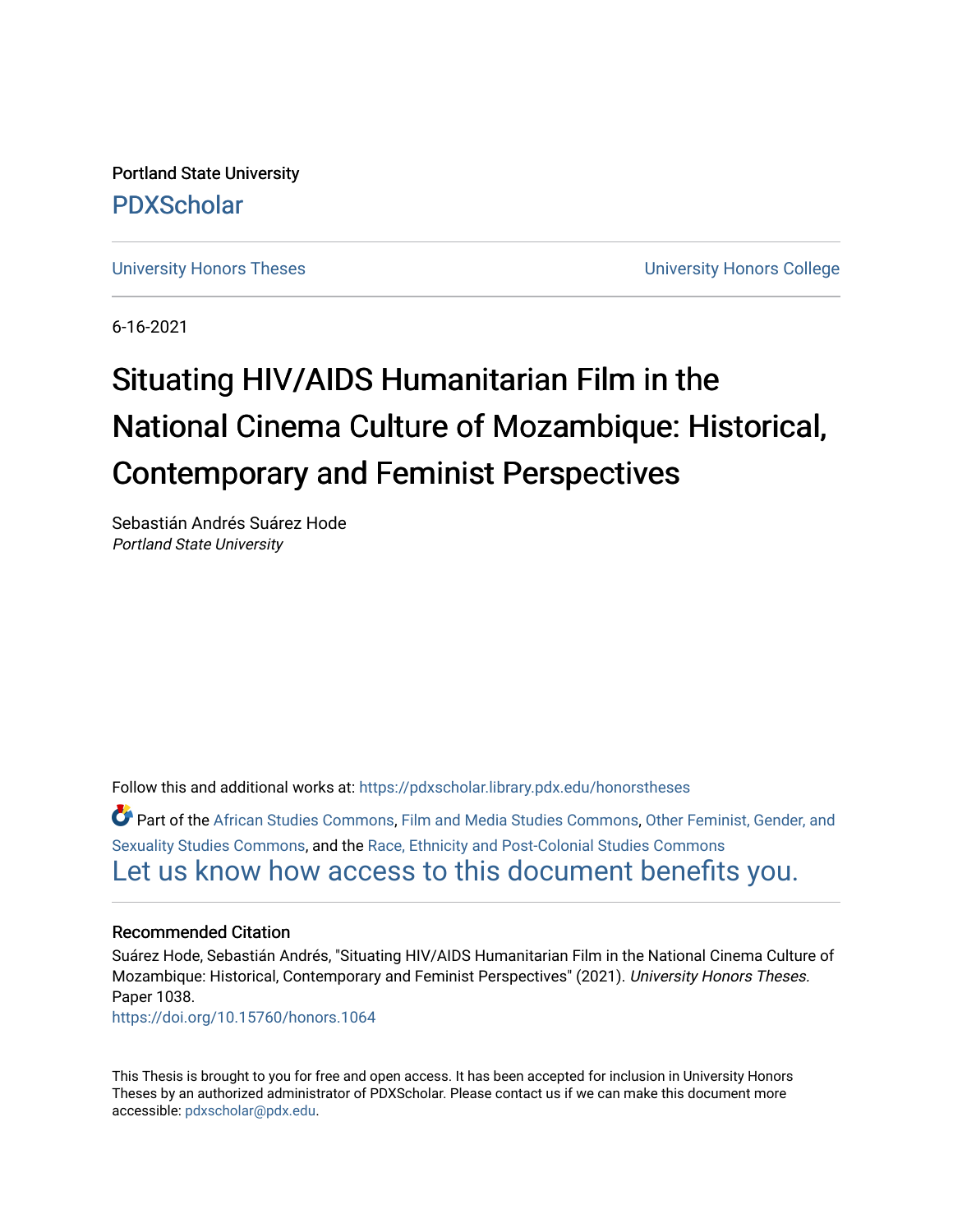Portland State University [PDXScholar](https://pdxscholar.library.pdx.edu/)

[University Honors Theses](https://pdxscholar.library.pdx.edu/honorstheses) [University Honors College](https://pdxscholar.library.pdx.edu/honors) 

6-16-2021

# Situating HIV/AIDS Humanitarian Film in the National Cinema Culture of Mozambique: Historical, **Contemporary and Feminist Perspectives**

Sebastián Andrés Suárez Hode Portland State University

Follow this and additional works at: [https://pdxscholar.library.pdx.edu/honorstheses](https://pdxscholar.library.pdx.edu/honorstheses?utm_source=pdxscholar.library.pdx.edu%2Fhonorstheses%2F1038&utm_medium=PDF&utm_campaign=PDFCoverPages) 

Part of the [African Studies Commons,](http://network.bepress.com/hgg/discipline/1043?utm_source=pdxscholar.library.pdx.edu%2Fhonorstheses%2F1038&utm_medium=PDF&utm_campaign=PDFCoverPages) [Film and Media Studies Commons,](http://network.bepress.com/hgg/discipline/563?utm_source=pdxscholar.library.pdx.edu%2Fhonorstheses%2F1038&utm_medium=PDF&utm_campaign=PDFCoverPages) [Other Feminist, Gender, and](http://network.bepress.com/hgg/discipline/562?utm_source=pdxscholar.library.pdx.edu%2Fhonorstheses%2F1038&utm_medium=PDF&utm_campaign=PDFCoverPages)  [Sexuality Studies Commons](http://network.bepress.com/hgg/discipline/562?utm_source=pdxscholar.library.pdx.edu%2Fhonorstheses%2F1038&utm_medium=PDF&utm_campaign=PDFCoverPages), and the [Race, Ethnicity and Post-Colonial Studies Commons](http://network.bepress.com/hgg/discipline/566?utm_source=pdxscholar.library.pdx.edu%2Fhonorstheses%2F1038&utm_medium=PDF&utm_campaign=PDFCoverPages) [Let us know how access to this document benefits you.](http://library.pdx.edu/services/pdxscholar-services/pdxscholar-feedback/) 

#### Recommended Citation

Suárez Hode, Sebastián Andrés, "Situating HIV/AIDS Humanitarian Film in the National Cinema Culture of Mozambique: Historical, Contemporary and Feminist Perspectives" (2021). University Honors Theses. Paper 1038.

<https://doi.org/10.15760/honors.1064>

This Thesis is brought to you for free and open access. It has been accepted for inclusion in University Honors Theses by an authorized administrator of PDXScholar. Please contact us if we can make this document more accessible: [pdxscholar@pdx.edu.](mailto:pdxscholar@pdx.edu)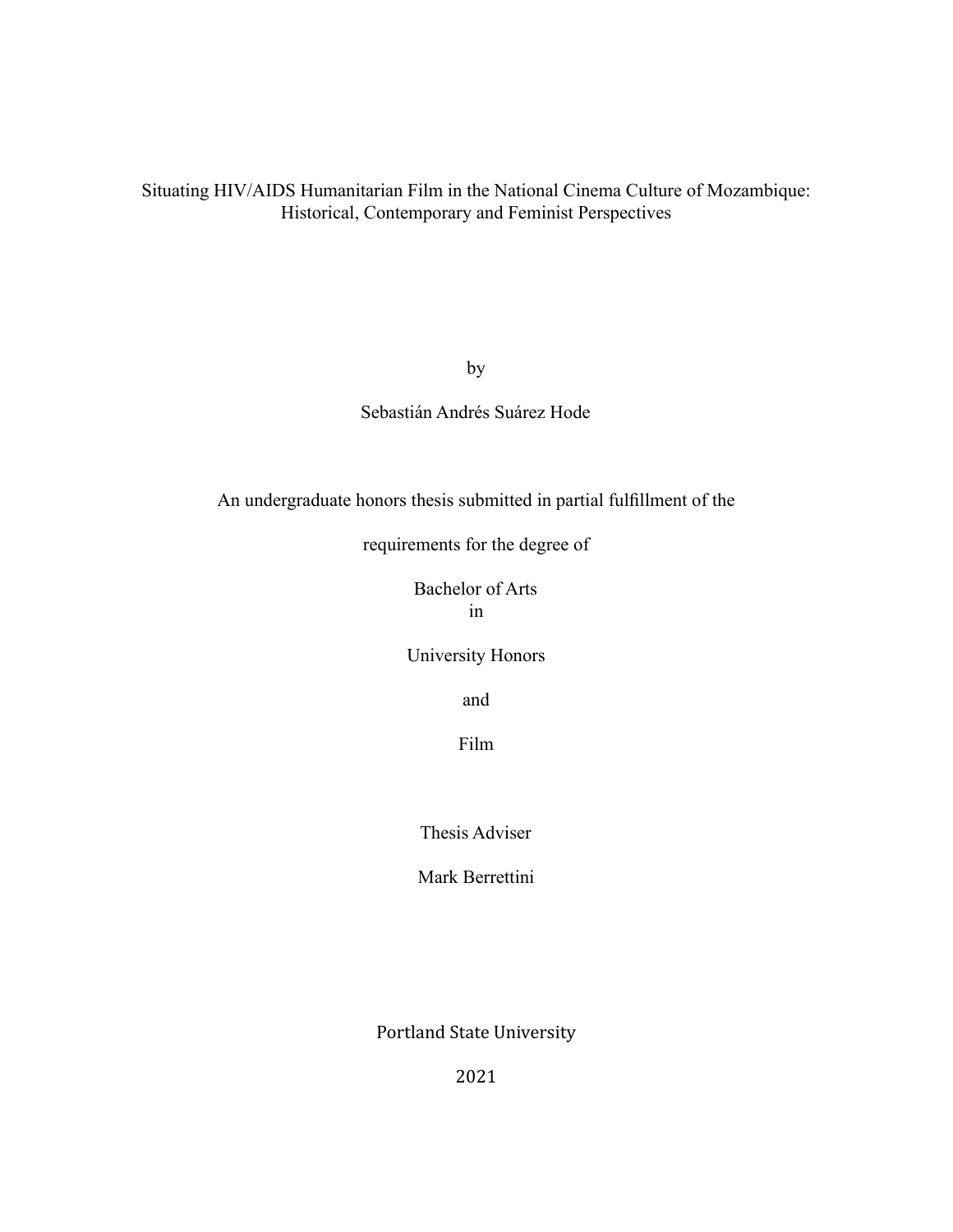Situating HIV/AIDS Humanitarian Film in the National Cinema Culture of Mozambique: Historical, Contemporary and Feminist Perspectives

by

### Sebastián Andrés Suárez Hode

An undergraduate honors thesis submitted in partial fulfillment of the

requirements for the degree of

Bachelor of Arts in

University Honors

and

Film

Thesis Adviser

Mark Berrettini

Portland State University

2021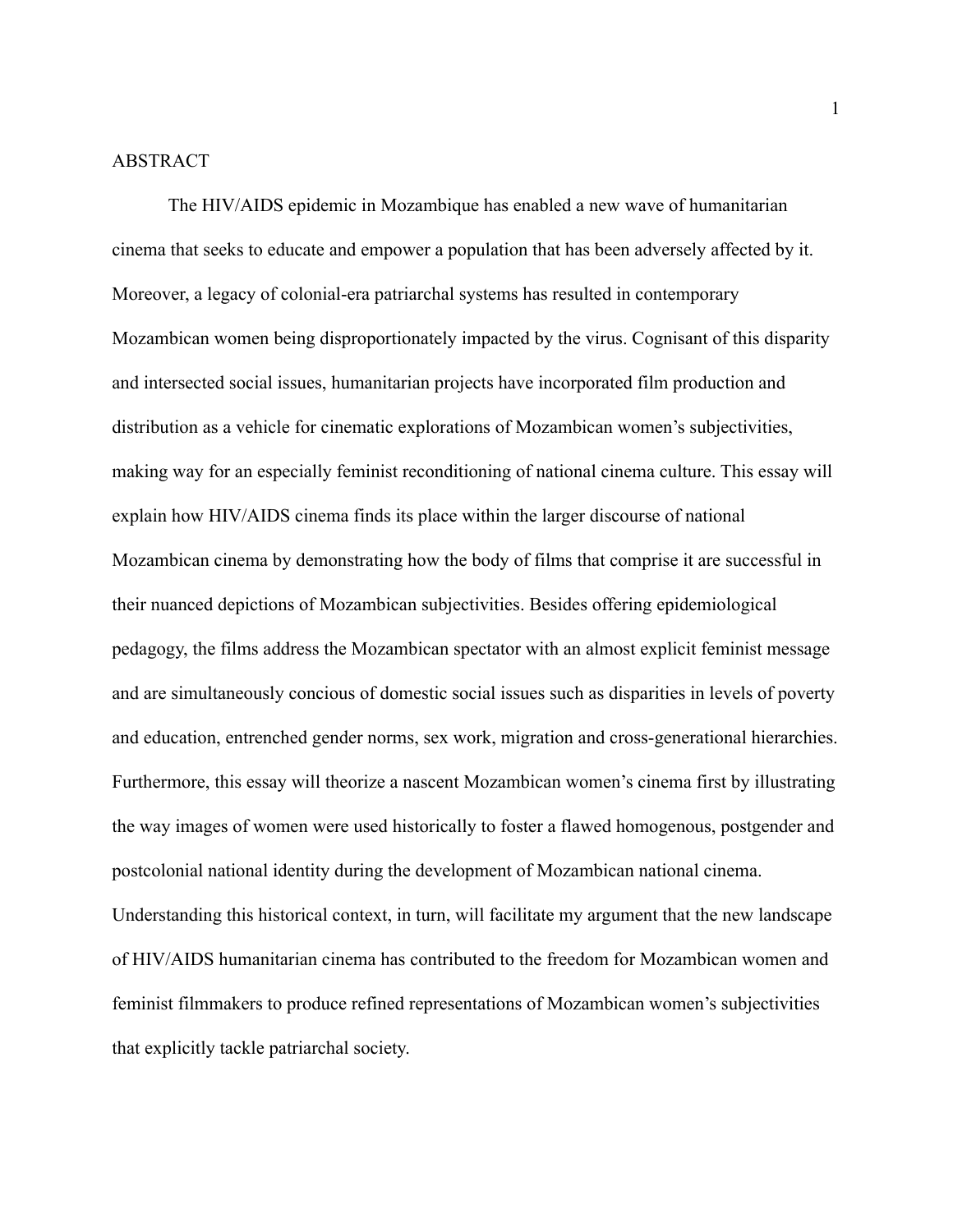#### ABSTRACT

The HIV/AIDS epidemic in Mozambique has enabled a new wave of humanitarian cinema that seeks to educate and empower a population that has been adversely affected by it. Moreover, a legacy of colonial-era patriarchal systems has resulted in contemporary Mozambican women being disproportionately impacted by the virus. Cognisant of this disparity and intersected social issues, humanitarian projects have incorporated film production and distribution as a vehicle for cinematic explorations of Mozambican women's subjectivities, making way for an especially feminist reconditioning of national cinema culture. This essay will explain how HIV/AIDS cinema finds its place within the larger discourse of national Mozambican cinema by demonstrating how the body of films that comprise it are successful in their nuanced depictions of Mozambican subjectivities. Besides offering epidemiological pedagogy, the films address the Mozambican spectator with an almost explicit feminist message and are simultaneously concious of domestic social issues such as disparities in levels of poverty and education, entrenched gender norms, sex work, migration and cross-generational hierarchies. Furthermore, this essay will theorize a nascent Mozambican women's cinema first by illustrating the way images of women were used historically to foster a flawed homogenous, postgender and postcolonial national identity during the development of Mozambican national cinema. Understanding this historical context, in turn, will facilitate my argument that the new landscape of HIV/AIDS humanitarian cinema has contributed to the freedom for Mozambican women and feminist filmmakers to produce refined representations of Mozambican women's subjectivities that explicitly tackle patriarchal society.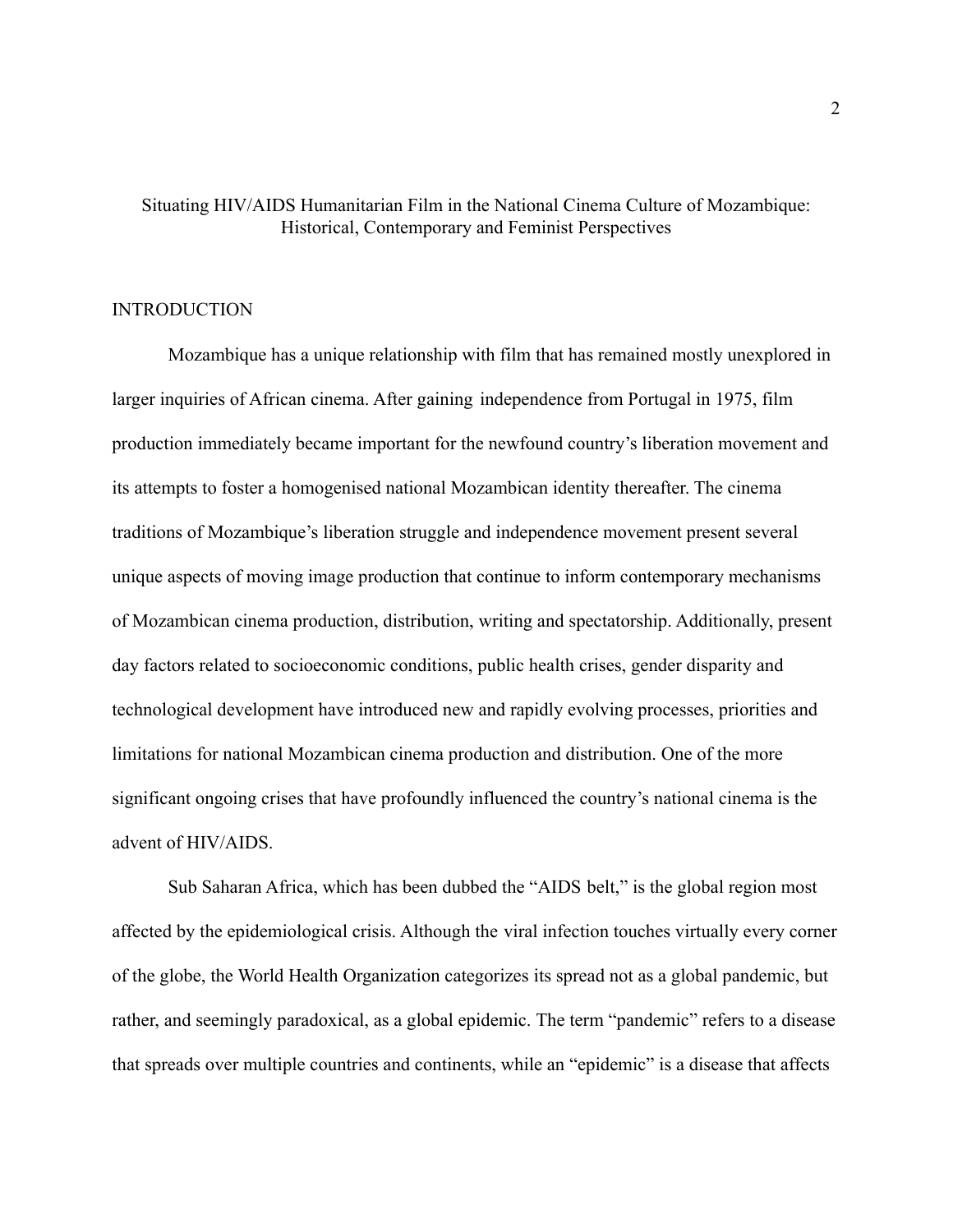## Situating HIV/AIDS Humanitarian Film in the National Cinema Culture of Mozambique: Historical, Contemporary and Feminist Perspectives

### INTRODUCTION

Mozambique has a unique relationship with film that has remained mostly unexplored in larger inquiries of African cinema. After gaining independence from Portugal in 1975, film production immediately became important for the newfound country's liberation movement and its attempts to foster a homogenised national Mozambican identity thereafter. The cinema traditions of Mozambique's liberation struggle and independence movement present several unique aspects of moving image production that continue to inform contemporary mechanisms of Mozambican cinema production, distribution, writing and spectatorship. Additionally, present day factors related to socioeconomic conditions, public health crises, gender disparity and technological development have introduced new and rapidly evolving processes, priorities and limitations for national Mozambican cinema production and distribution. One of the more significant ongoing crises that have profoundly influenced the country's national cinema is the advent of HIV/AIDS.

Sub Saharan Africa, which has been dubbed the "AIDS belt," is the global region most affected by the epidemiological crisis. Although the viral infection touches virtually every corner of the globe, the World Health Organization categorizes its spread not as a global pandemic, but rather, and seemingly paradoxical, as a global epidemic. The term "pandemic" refers to a disease that spreads over multiple countries and continents, while an "epidemic" is a disease that affects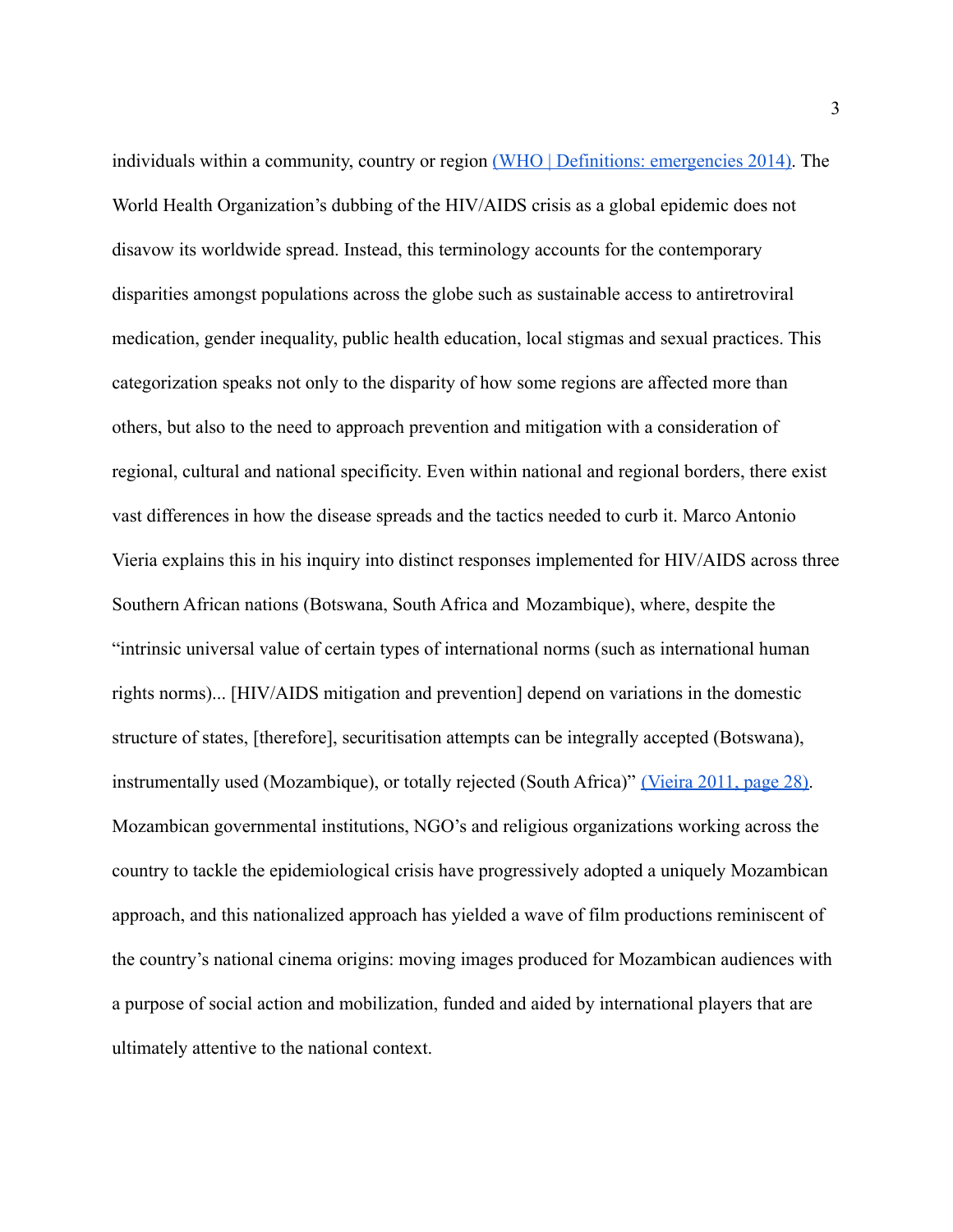individuals within a community, country or region [\(WHO | Definitions: emergencies 2014\).](https://paperpile.com/c/16W0KQ/uC9K) The World Health Organization's dubbing of the HIV/AIDS crisis as a global epidemic does not disavow its worldwide spread. Instead, this terminology accounts for the contemporary disparities amongst populations across the globe such as sustainable access to antiretroviral medication, gender inequality, public health education, local stigmas and sexual practices. This categorization speaks not only to the disparity of how some regions are affected more than others, but also to the need to approach prevention and mitigation with a consideration of regional, cultural and national specificity. Even within national and regional borders, there exist vast differences in how the disease spreads and the tactics needed to curb it. Marco Antonio Vieria explains this in his inquiry into distinct responses implemented for HIV/AIDS across three Southern African nations (Botswana, South Africa and Mozambique), where, despite the "intrinsic universal value of certain types of international norms (such as international human rights norms)... [HIV/AIDS mitigation and prevention] depend on variations in the domestic structure of states, [therefore], securitisation attempts can be integrally accepted (Botswana), instrumentally used (Mozambique), or totally rejected (South Africa)" [\(Vieira 2011, page 28\).](https://paperpile.com/c/16W0KQ/0bHv/?locator=28) Mozambican governmental institutions, NGO's and religious organizations working across the country to tackle the epidemiological crisis have progressively adopted a uniquely Mozambican approach, and this nationalized approach has yielded a wave of film productions reminiscent of the country's national cinema origins: moving images produced for Mozambican audiences with a purpose of social action and mobilization, funded and aided by international players that are ultimately attentive to the national context.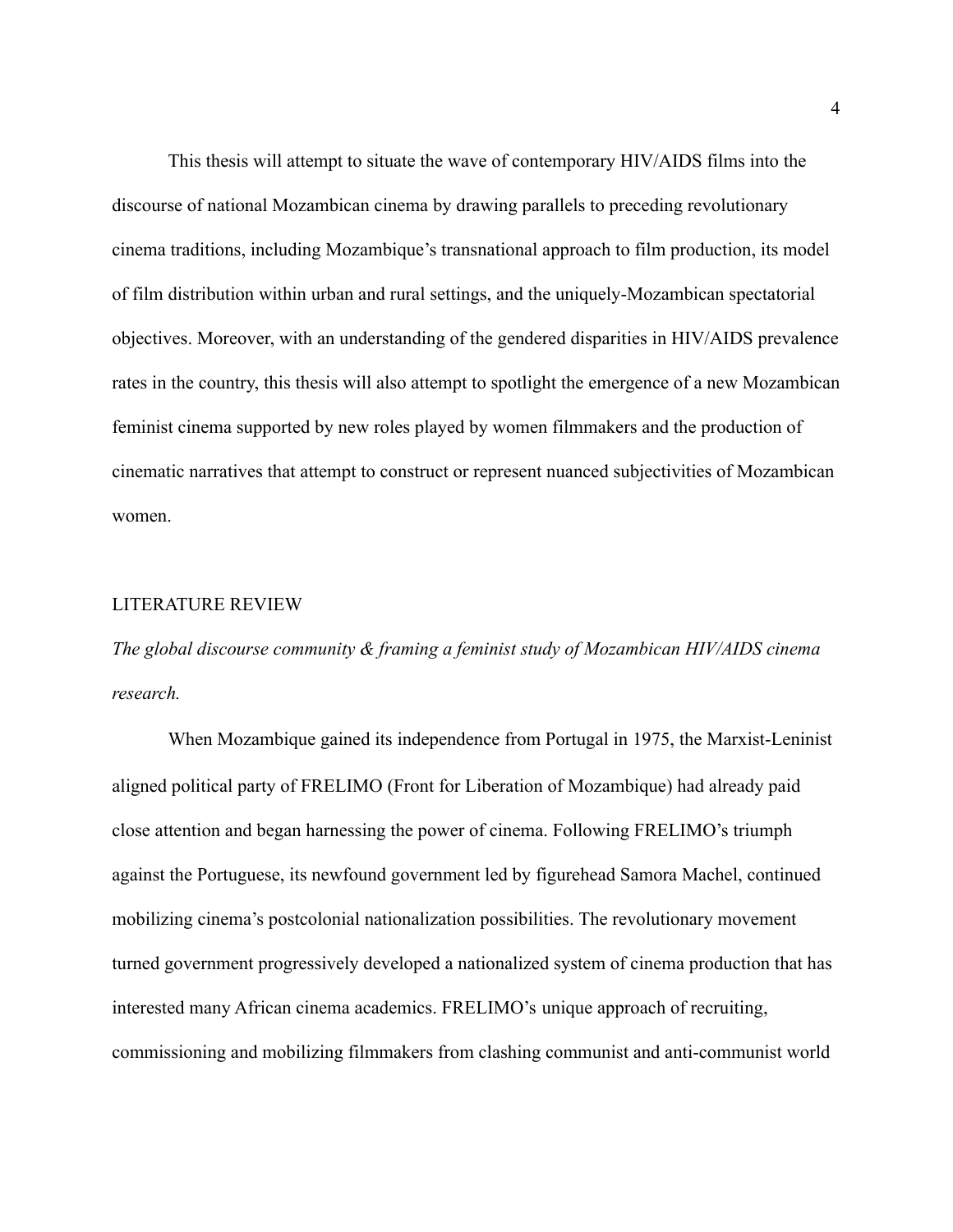This thesis will attempt to situate the wave of contemporary HIV/AIDS films into the discourse of national Mozambican cinema by drawing parallels to preceding revolutionary cinema traditions, including Mozambique's transnational approach to film production, its model of film distribution within urban and rural settings, and the uniquely-Mozambican spectatorial objectives. Moreover, with an understanding of the gendered disparities in HIV/AIDS prevalence rates in the country, this thesis will also attempt to spotlight the emergence of a new Mozambican feminist cinema supported by new roles played by women filmmakers and the production of cinematic narratives that attempt to construct or represent nuanced subjectivities of Mozambican women.

#### LITERATURE REVIEW

*The global discourse community & framing a feminist study of Mozambican HIV/AIDS cinema research.*

When Mozambique gained its independence from Portugal in 1975, the Marxist-Leninist aligned political party of FRELIMO (Front for Liberation of Mozambique) had already paid close attention and began harnessing the power of cinema. Following FRELIMO's triumph against the Portuguese, its newfound government led by figurehead Samora Machel, continued mobilizing cinema's postcolonial nationalization possibilities. The revolutionary movement turned government progressively developed a nationalized system of cinema production that has interested many African cinema academics. FRELIMO's unique approach of recruiting, commissioning and mobilizing filmmakers from clashing communist and anti-communist world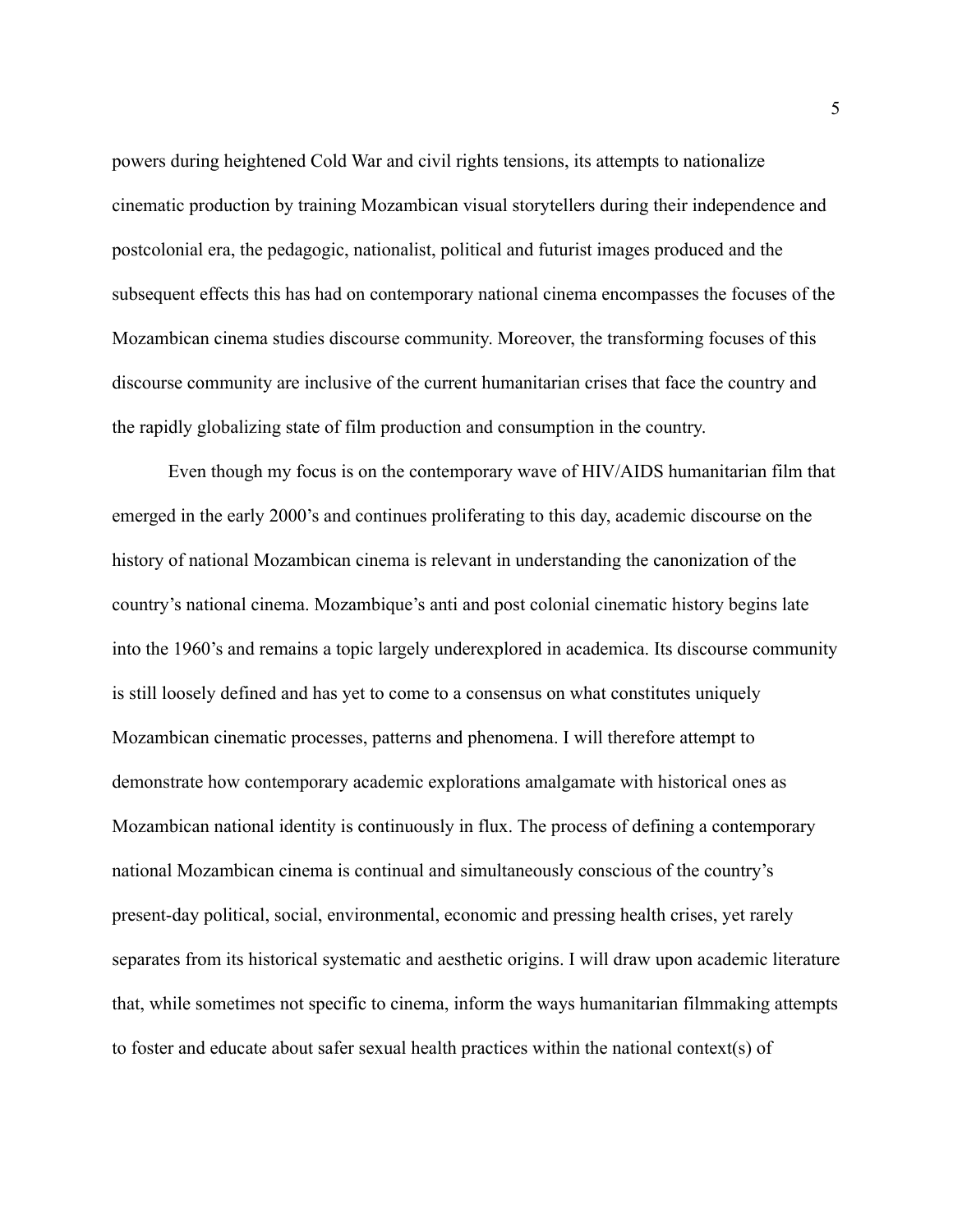powers during heightened Cold War and civil rights tensions, its attempts to nationalize cinematic production by training Mozambican visual storytellers during their independence and postcolonial era, the pedagogic, nationalist, political and futurist images produced and the subsequent effects this has had on contemporary national cinema encompasses the focuses of the Mozambican cinema studies discourse community. Moreover, the transforming focuses of this discourse community are inclusive of the current humanitarian crises that face the country and the rapidly globalizing state of film production and consumption in the country.

Even though my focus is on the contemporary wave of HIV/AIDS humanitarian film that emerged in the early 2000's and continues proliferating to this day, academic discourse on the history of national Mozambican cinema is relevant in understanding the canonization of the country's national cinema. Mozambique's anti and post colonial cinematic history begins late into the 1960's and remains a topic largely underexplored in academica. Its discourse community is still loosely defined and has yet to come to a consensus on what constitutes uniquely Mozambican cinematic processes, patterns and phenomena. I will therefore attempt to demonstrate how contemporary academic explorations amalgamate with historical ones as Mozambican national identity is continuously in flux. The process of defining a contemporary national Mozambican cinema is continual and simultaneously conscious of the country's present-day political, social, environmental, economic and pressing health crises, yet rarely separates from its historical systematic and aesthetic origins. I will draw upon academic literature that, while sometimes not specific to cinema, inform the ways humanitarian filmmaking attempts to foster and educate about safer sexual health practices within the national context(s) of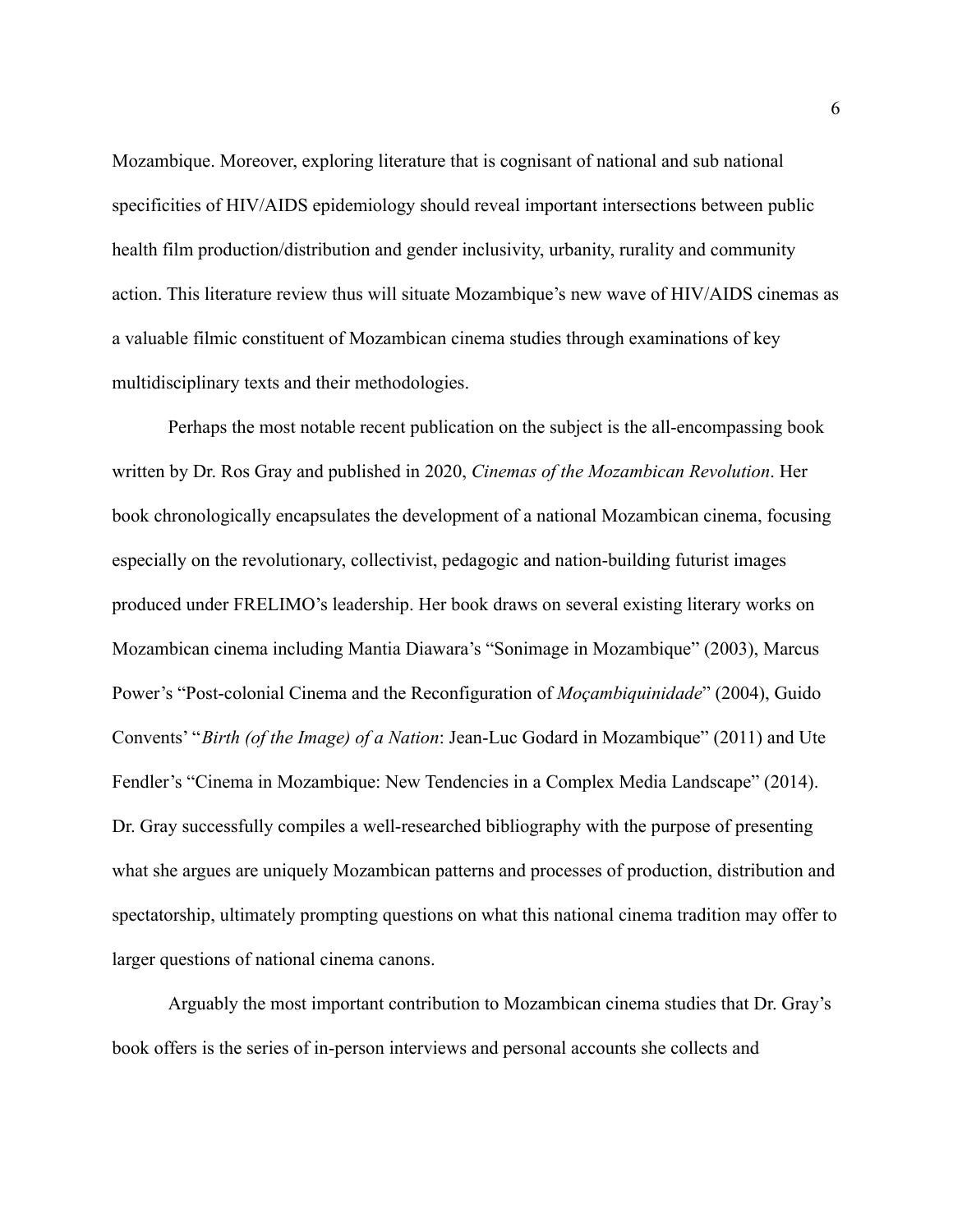Mozambique. Moreover, exploring literature that is cognisant of national and sub national specificities of HIV/AIDS epidemiology should reveal important intersections between public health film production/distribution and gender inclusivity, urbanity, rurality and community action. This literature review thus will situate Mozambique's new wave of HIV/AIDS cinemas as a valuable filmic constituent of Mozambican cinema studies through examinations of key multidisciplinary texts and their methodologies.

Perhaps the most notable recent publication on the subject is the all-encompassing book written by Dr. Ros Gray and published in 2020, *Cinemas of the Mozambican Revolution*. Her book chronologically encapsulates the development of a national Mozambican cinema, focusing especially on the revolutionary, collectivist, pedagogic and nation-building futurist images produced under FRELIMO's leadership. Her book draws on several existing literary works on Mozambican cinema including Mantia Diawara's "Sonimage in Mozambique" (2003), Marcus Power's "Post-colonial Cinema and the Reconfiguration of *Moçambiquinidade*" (2004), Guido Convents' "*Birth (of the Image) of a Nation*: Jean-Luc Godard in Mozambique" (2011) and Ute Fendler's "Cinema in Mozambique: New Tendencies in a Complex Media Landscape" (2014). Dr. Gray successfully compiles a well-researched bibliography with the purpose of presenting what she argues are uniquely Mozambican patterns and processes of production, distribution and spectatorship, ultimately prompting questions on what this national cinema tradition may offer to larger questions of national cinema canons.

Arguably the most important contribution to Mozambican cinema studies that Dr. Gray's book offers is the series of in-person interviews and personal accounts she collects and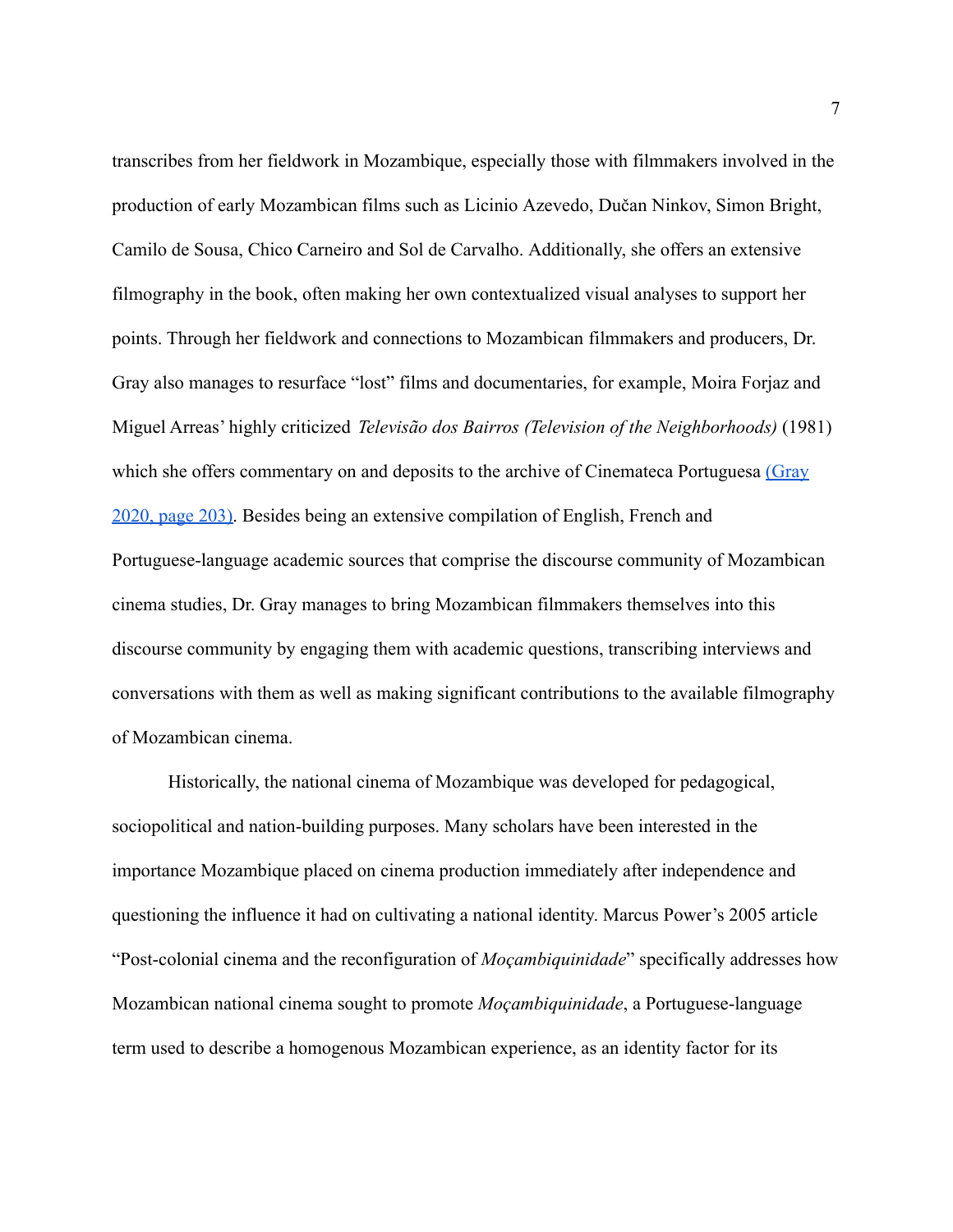transcribes from her fieldwork in Mozambique, especially those with filmmakers involved in the production of early Mozambican films such as Licinio Azevedo, Dučan Ninkov, Simon Bright, Camilo de Sousa, Chico Carneiro and Sol de Carvalho. Additionally, she offers an extensive filmography in the book, often making her own contextualized visual analyses to support her points. Through her fieldwork and connections to Mozambican filmmakers and producers, Dr. Gray also manages to resurface "lost" films and documentaries, for example, Moira Forjaz and Miguel Arreas' highly criticized *Televisão dos Bairros (Television of the Neighborhoods)* (1981) which she offers commentary on and deposits to the archive of Cinemateca Portuguesa [\(Gray](https://paperpile.com/c/16W0KQ/9rtR/?locator=203) [2020, page 203\).](https://paperpile.com/c/16W0KQ/9rtR/?locator=203) Besides being an extensive compilation of English, French and Portuguese-language academic sources that comprise the discourse community of Mozambican cinema studies, Dr. Gray manages to bring Mozambican filmmakers themselves into this discourse community by engaging them with academic questions, transcribing interviews and conversations with them as well as making significant contributions to the available filmography of Mozambican cinema.

Historically, the national cinema of Mozambique was developed for pedagogical, sociopolitical and nation-building purposes. Many scholars have been interested in the importance Mozambique placed on cinema production immediately after independence and questioning the influence it had on cultivating a national identity. Marcus Power's 2005 article "Post-colonial cinema and the reconfiguration of *Moçambiquinidade*" specifically addresses how Mozambican national cinema sought to promote *Moçambiquinidade*, a Portuguese-language term used to describe a homogenous Mozambican experience, as an identity factor for its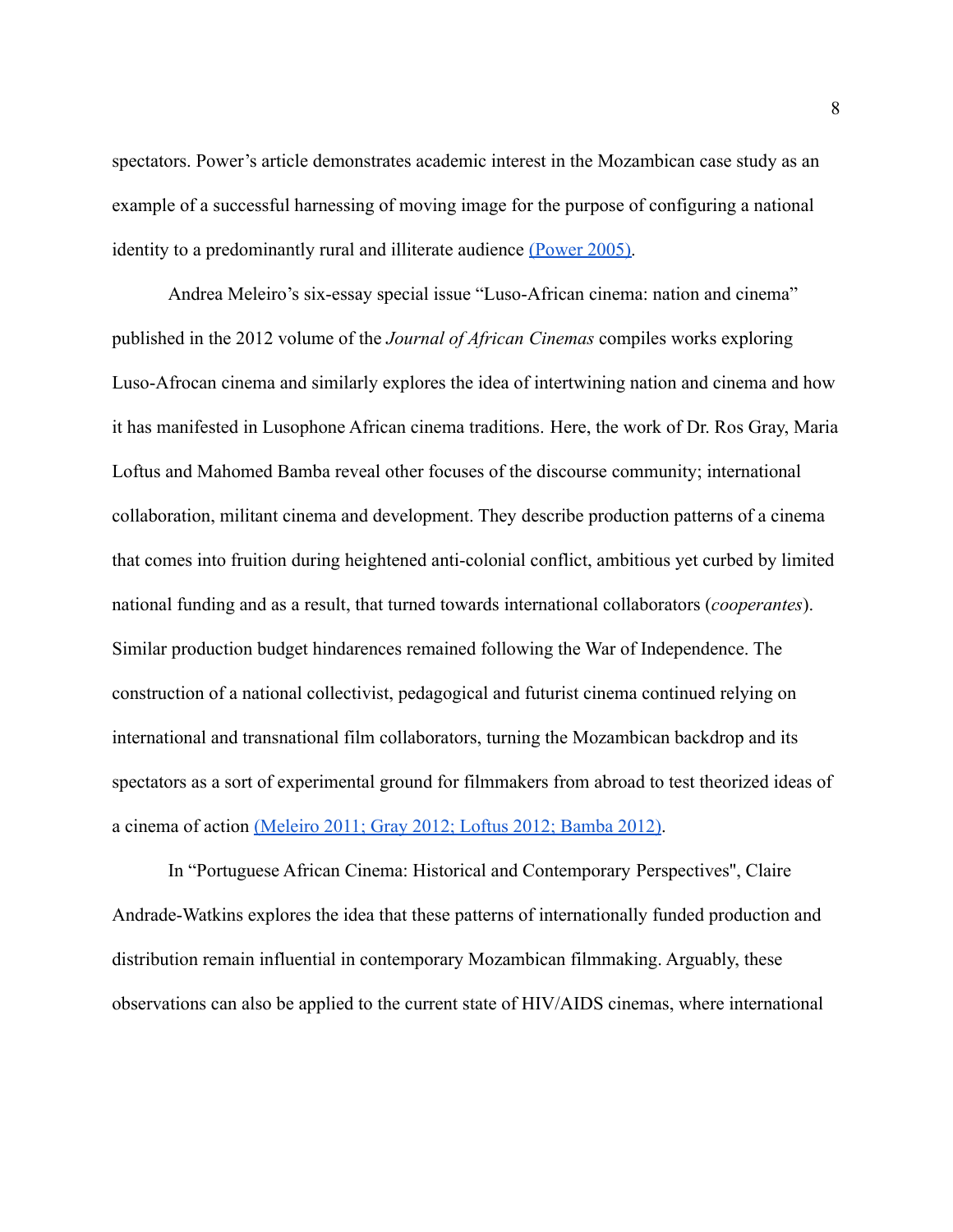spectators. Power's article demonstrates academic interest in the Mozambican case study as an example of a successful harnessing of moving image for the purpose of configuring a national identity to a predominantly rural and illiterate audience [\(Power 2005\).](https://paperpile.com/c/16W0KQ/jarr)

Andrea Meleiro's six-essay special issue "Luso-African cinema: nation and cinema" published in the 2012 volume of the *Journal of African Cinemas* compiles works exploring Luso-Afrocan cinema and similarly explores the idea of intertwining nation and cinema and how it has manifested in Lusophone African cinema traditions. Here, the work of Dr. Ros Gray, Maria Loftus and Mahomed Bamba reveal other focuses of the discourse community; international collaboration, militant cinema and development. They describe production patterns of a cinema that comes into fruition during heightened anti-colonial conflict, ambitious yet curbed by limited national funding and as a result, that turned towards international collaborators (*cooperantes*). Similar production budget hindarences remained following the War of Independence. The construction of a national collectivist, pedagogical and futurist cinema continued relying on international and transnational film collaborators, turning the Mozambican backdrop and its spectators as a sort of experimental ground for filmmakers from abroad to test theorized ideas of a cinema of action [\(Meleiro 2011; Gray 2012; Loftus](https://paperpile.com/c/16W0KQ/xPPL+SRCS+bgkr+Q90r) 2012; Bamba 2012).

In "Portuguese African Cinema: Historical and Contemporary Perspectives'', Claire Andrade-Watkins explores the idea that these patterns of internationally funded production and distribution remain influential in contemporary Mozambican filmmaking. Arguably, these observations can also be applied to the current state of HIV/AIDS cinemas, where international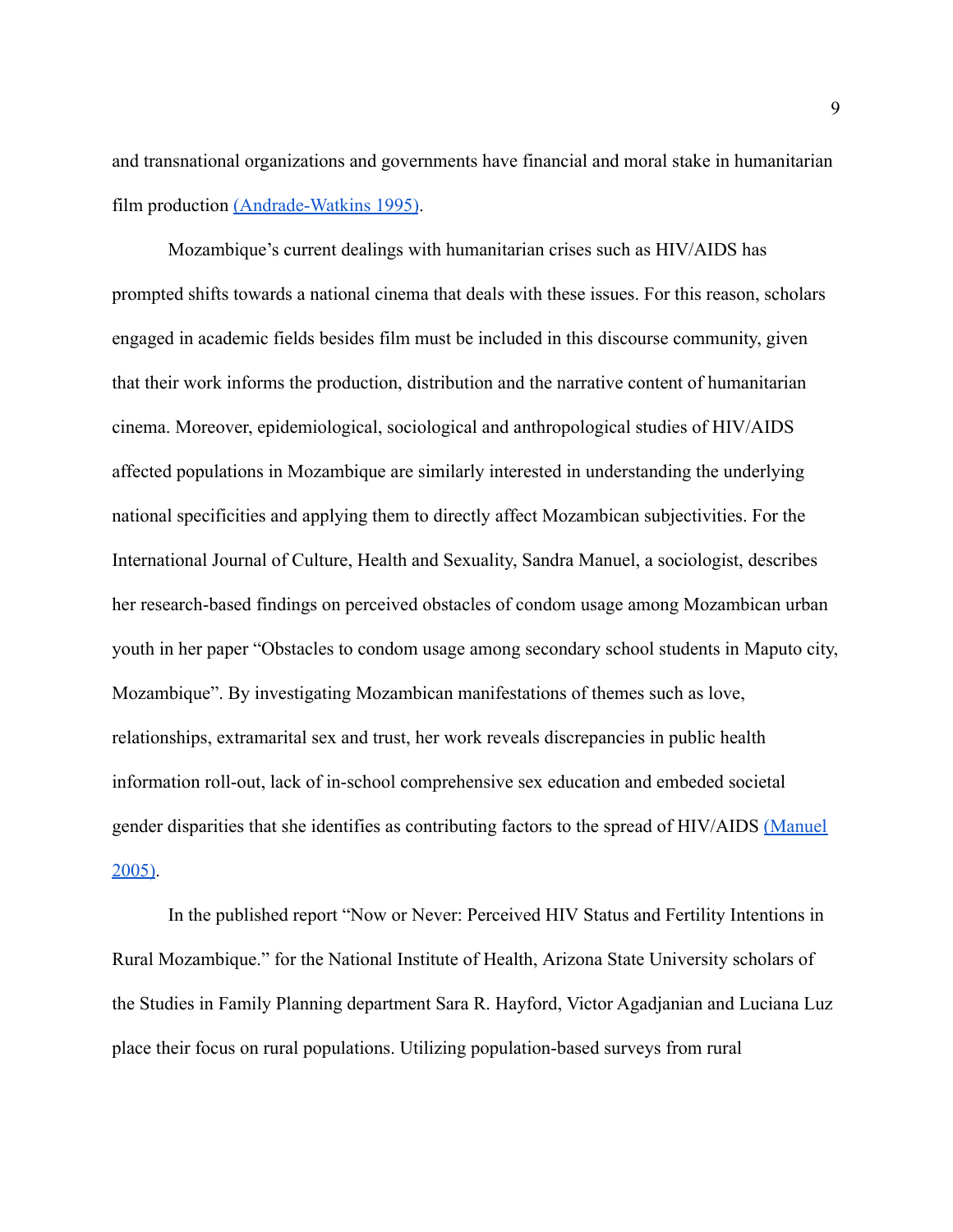and transnational organizations and governments have financial and moral stake in humanitarian film production [\(Andrade-Watkins 1995\)](https://paperpile.com/c/16W0KQ/TXzW).

Mozambique's current dealings with humanitarian crises such as HIV/AIDS has prompted shifts towards a national cinema that deals with these issues. For this reason, scholars engaged in academic fields besides film must be included in this discourse community, given that their work informs the production, distribution and the narrative content of humanitarian cinema. Moreover, epidemiological, sociological and anthropological studies of HIV/AIDS affected populations in Mozambique are similarly interested in understanding the underlying national specificities and applying them to directly affect Mozambican subjectivities. For the International Journal of Culture, Health and Sexuality, Sandra Manuel, a sociologist, describes her research-based findings on perceived obstacles of condom usage among Mozambican urban youth in her paper "Obstacles to condom usage among secondary school students in Maputo city, Mozambique". By investigating Mozambican manifestations of themes such as love, relationships, extramarital sex and trust, her work reveals discrepancies in public health information roll-out, lack of in-school comprehensive sex education and embeded societal gender disparities that she identifies as contributing factors to the spread of HIV/AIDS [\(Manuel](https://paperpile.com/c/16W0KQ/KaIK) [2005\).](https://paperpile.com/c/16W0KQ/KaIK)

In the published report "Now or Never: Perceived HIV Status and Fertility Intentions in Rural Mozambique." for the National Institute of Health, Arizona State University scholars of the Studies in Family Planning department Sara R. Hayford, Victor Agadjanian and Luciana Luz place their focus on rural populations. Utilizing population-based surveys from rural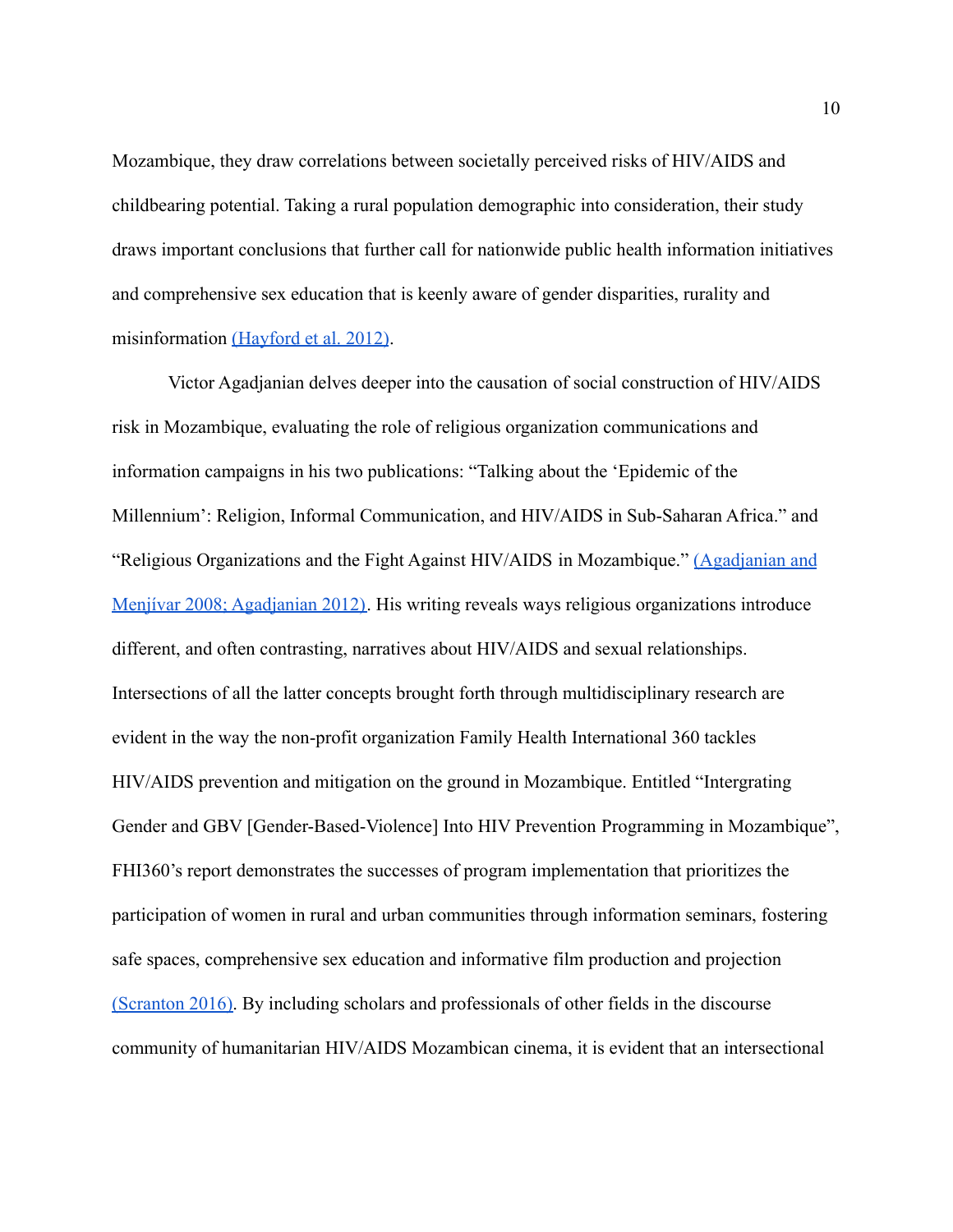Mozambique, they draw correlations between societally perceived risks of HIV/AIDS and childbearing potential. Taking a rural population demographic into consideration, their study draws important conclusions that further call for nationwide public health information initiatives and comprehensive sex education that is keenly aware of gender disparities, rurality and misinformation [\(Hayford et al. 2012\)](https://paperpile.com/c/010Cuj/06hO).

Victor Agadjanian delves deeper into the causation of social construction of HIV/AIDS risk in Mozambique, evaluating the role of religious organization communications and information campaigns in his two publications: "Talking about the 'Epidemic of the Millennium': Religion, Informal Communication, and HIV/AIDS in Sub-Saharan Africa." and "Religious Organizations and the Fight Against HIV/AIDS in Mozambique." [\(Agadjanian and](https://paperpile.com/c/NMF0vf/7Zeq+Ss87) [Menjívar 2008; Agadjanian 2012\).](https://paperpile.com/c/NMF0vf/7Zeq+Ss87) His writing reveals ways religious organizations introduce different, and often contrasting, narratives about HIV/AIDS and sexual relationships. Intersections of all the latter concepts brought forth through multidisciplinary research are evident in the way the non-profit organization Family Health International 360 tackles HIV/AIDS prevention and mitigation on the ground in Mozambique. Entitled "Intergrating Gender and GBV [Gender-Based-Violence] Into HIV Prevention Programming in Mozambique", FHI360's report demonstrates the successes of program implementation that prioritizes the participation of women in rural and urban communities through information seminars, fostering safe spaces, comprehensive sex education and informative film production and projection [\(Scranton 2016\).](https://paperpile.com/c/16W0KQ/xazs) By including scholars and professionals of other fields in the discourse community of humanitarian HIV/AIDS Mozambican cinema, it is evident that an intersectional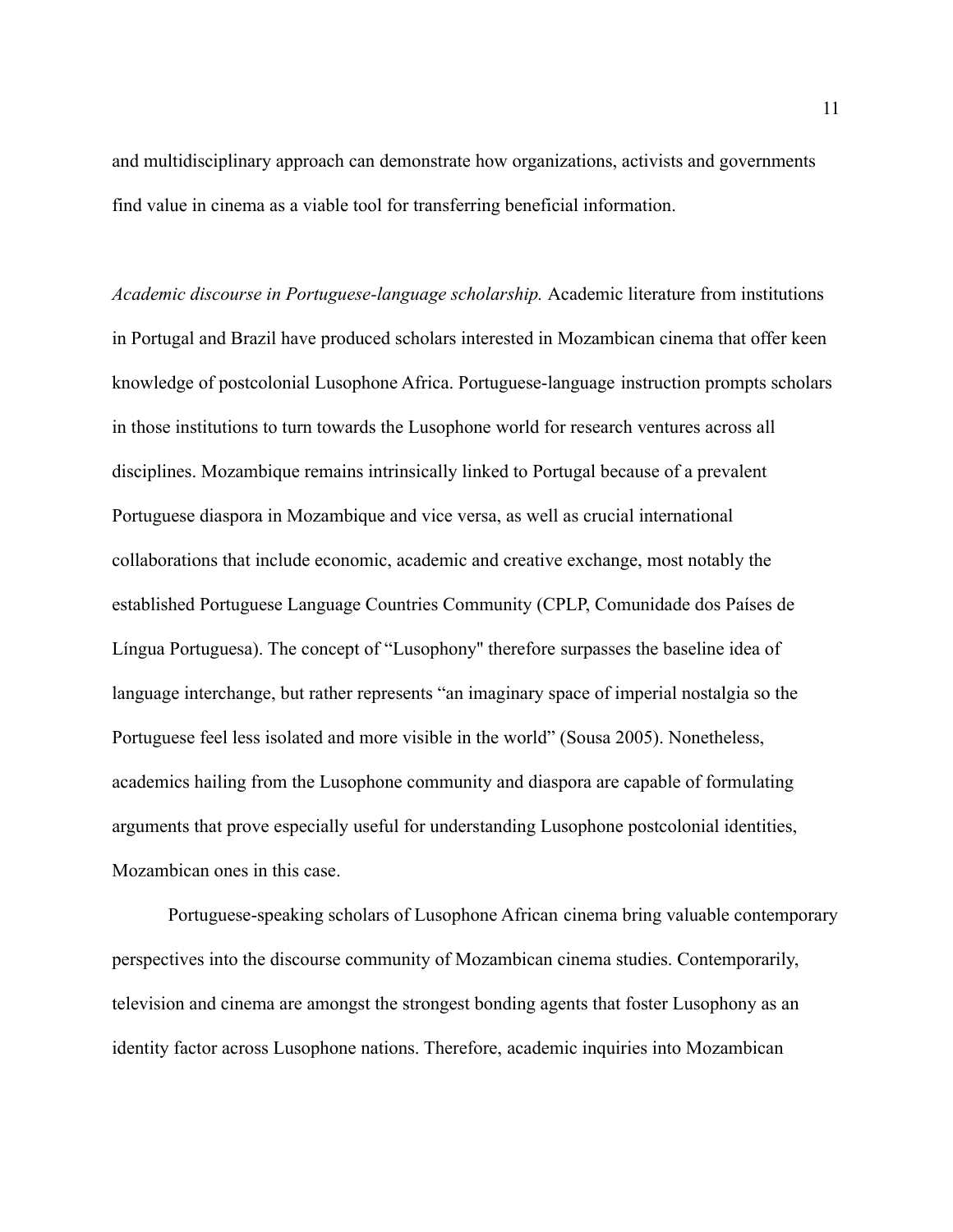and multidisciplinary approach can demonstrate how organizations, activists and governments find value in cinema as a viable tool for transferring beneficial information.

*Academic discourse in Portuguese-language scholarship.* Academic literature from institutions in Portugal and Brazil have produced scholars interested in Mozambican cinema that offer keen knowledge of postcolonial Lusophone Africa. Portuguese-language instruction prompts scholars in those institutions to turn towards the Lusophone world for research ventures across all disciplines. Mozambique remains intrinsically linked to Portugal because of a prevalent Portuguese diaspora in Mozambique and vice versa, as well as crucial international collaborations that include economic, academic and creative exchange, most notably the established Portuguese Language Countries Community (CPLP, Comunidade dos Países de Língua Portuguesa). The concept of "Lusophony'' therefore surpasses the baseline idea of language interchange, but rather represents "an imaginary space of imperial nostalgia so the Portuguese feel less isolated and more visible in the world" (Sousa 2005). Nonetheless, academics hailing from the Lusophone community and diaspora are capable of formulating arguments that prove especially useful for understanding Lusophone postcolonial identities, Mozambican ones in this case.

Portuguese-speaking scholars of Lusophone African cinema bring valuable contemporary perspectives into the discourse community of Mozambican cinema studies. Contemporarily, television and cinema are amongst the strongest bonding agents that foster Lusophony as an identity factor across Lusophone nations. Therefore, academic inquiries into Mozambican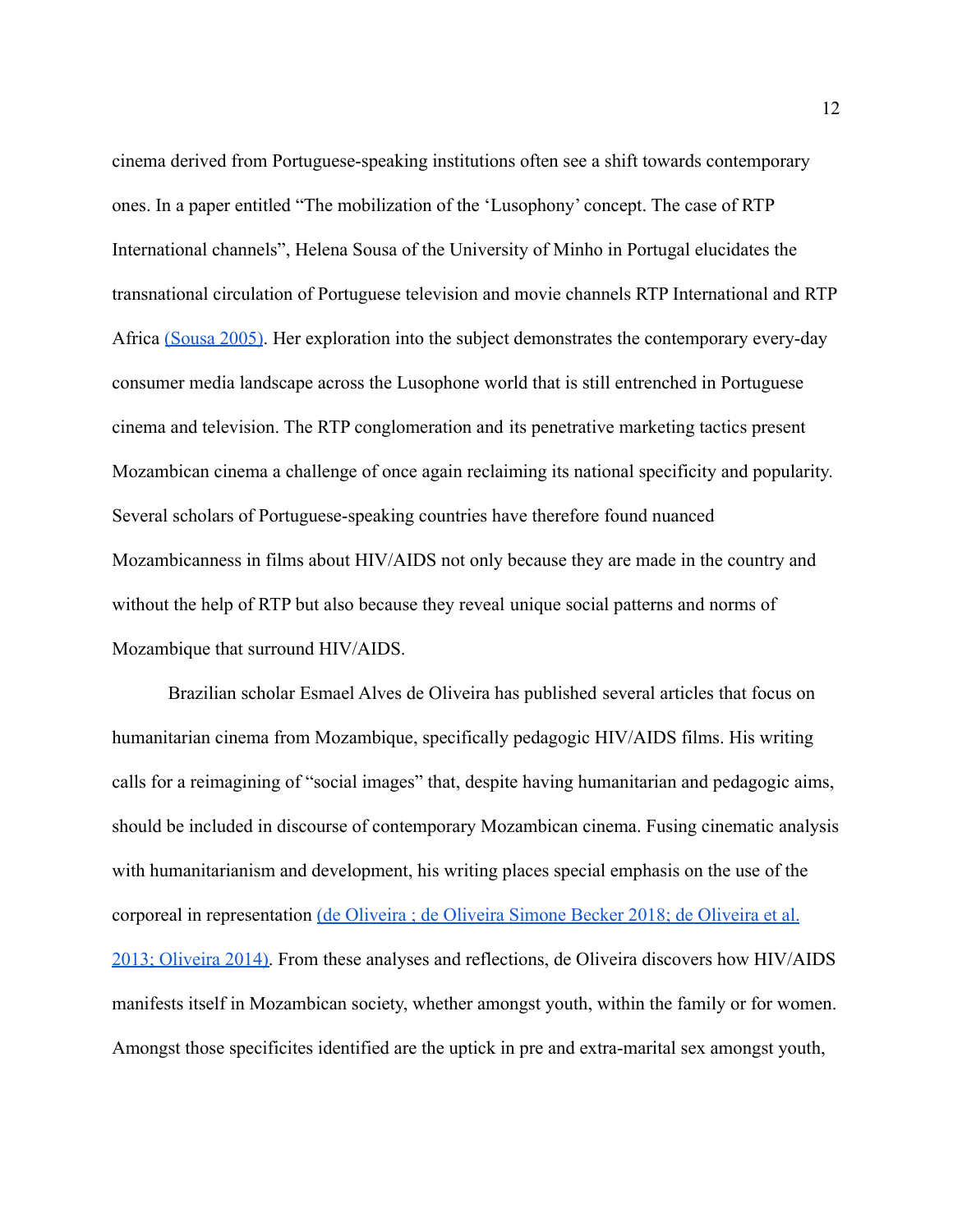cinema derived from Portuguese-speaking institutions often see a shift towards contemporary ones. In a paper entitled "The mobilization of the 'Lusophony' concept. The case of RTP International channels", Helena Sousa of the University of Minho in Portugal elucidates the transnational circulation of Portuguese television and movie channels RTP International and RTP Africa [\(Sousa 2005\)](https://paperpile.com/c/16W0KQ/p1ws). Her exploration into the subject demonstrates the contemporary every-day consumer media landscape across the Lusophone world that is still entrenched in Portuguese cinema and television. The RTP conglomeration and its penetrative marketing tactics present Mozambican cinema a challenge of once again reclaiming its national specificity and popularity. Several scholars of Portuguese-speaking countries have therefore found nuanced Mozambicanness in films about HIV/AIDS not only because they are made in the country and without the help of RTP but also because they reveal unique social patterns and norms of Mozambique that surround HIV/AIDS.

Brazilian scholar Esmael Alves de Oliveira has published several articles that focus on humanitarian cinema from Mozambique, specifically pedagogic HIV/AIDS films. His writing calls for a reimagining of "social images" that, despite having humanitarian and pedagogic aims, should be included in discourse of contemporary Mozambican cinema. Fusing cinematic analysis with humanitarianism and development, his writing places special emphasis on the use of the corporeal in representation (de Oliveira ; de Oliveira [Simone Becker 2018; de Oliveira et al.](https://paperpile.com/c/k1diXh/bg61+gkQl+6iHm+u58G) [2013; Oliveira 2014\).](https://paperpile.com/c/k1diXh/bg61+gkQl+6iHm+u58G) From these analyses and reflections, de Oliveira discovers how HIV/AIDS manifests itself in Mozambican society, whether amongst youth, within the family or for women. Amongst those specificites identified are the uptick in pre and extra-marital sex amongst youth,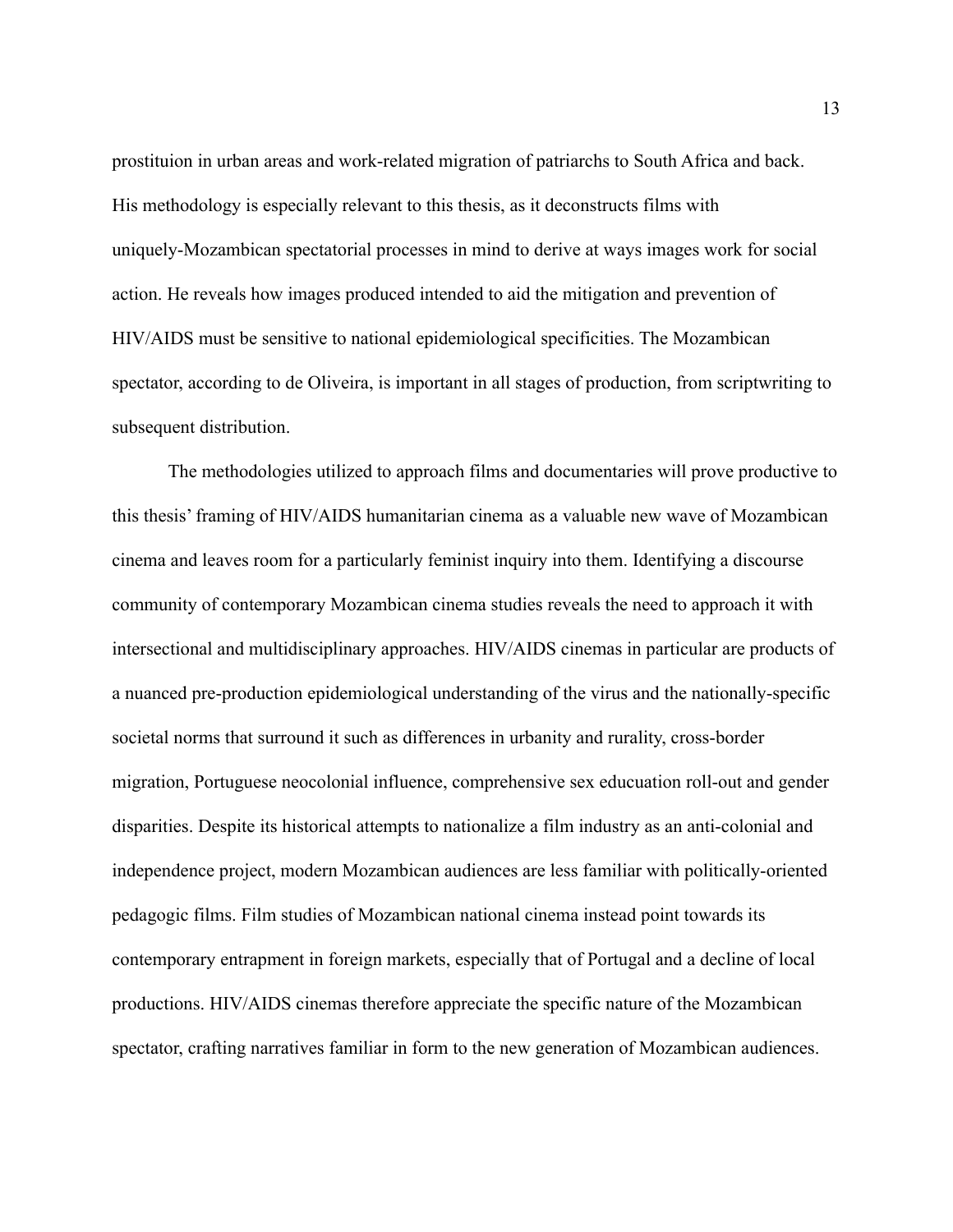prostituion in urban areas and work-related migration of patriarchs to South Africa and back. His methodology is especially relevant to this thesis, as it deconstructs films with uniquely-Mozambican spectatorial processes in mind to derive at ways images work for social action. He reveals how images produced intended to aid the mitigation and prevention of HIV/AIDS must be sensitive to national epidemiological specificities. The Mozambican spectator, according to de Oliveira, is important in all stages of production, from scriptwriting to subsequent distribution.

The methodologies utilized to approach films and documentaries will prove productive to this thesis' framing of HIV/AIDS humanitarian cinema as a valuable new wave of Mozambican cinema and leaves room for a particularly feminist inquiry into them. Identifying a discourse community of contemporary Mozambican cinema studies reveals the need to approach it with intersectional and multidisciplinary approaches. HIV/AIDS cinemas in particular are products of a nuanced pre-production epidemiological understanding of the virus and the nationally-specific societal norms that surround it such as differences in urbanity and rurality, cross-border migration, Portuguese neocolonial influence, comprehensive sex educuation roll-out and gender disparities. Despite its historical attempts to nationalize a film industry as an anti-colonial and independence project, modern Mozambican audiences are less familiar with politically-oriented pedagogic films. Film studies of Mozambican national cinema instead point towards its contemporary entrapment in foreign markets, especially that of Portugal and a decline of local productions. HIV/AIDS cinemas therefore appreciate the specific nature of the Mozambican spectator, crafting narratives familiar in form to the new generation of Mozambican audiences.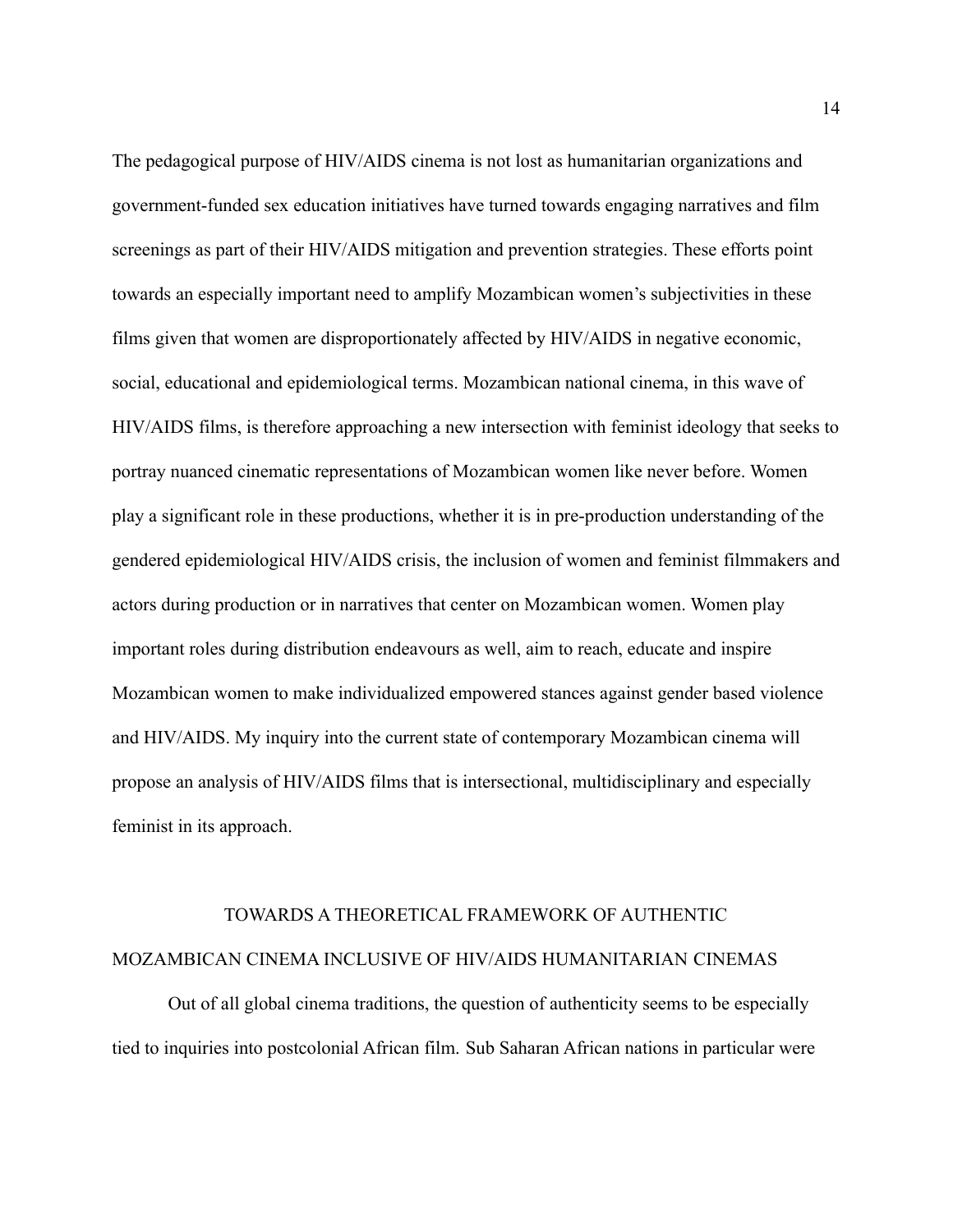The pedagogical purpose of HIV/AIDS cinema is not lost as humanitarian organizations and government-funded sex education initiatives have turned towards engaging narratives and film screenings as part of their HIV/AIDS mitigation and prevention strategies. These efforts point towards an especially important need to amplify Mozambican women's subjectivities in these films given that women are disproportionately affected by HIV/AIDS in negative economic, social, educational and epidemiological terms. Mozambican national cinema, in this wave of HIV/AIDS films, is therefore approaching a new intersection with feminist ideology that seeks to portray nuanced cinematic representations of Mozambican women like never before. Women play a significant role in these productions, whether it is in pre-production understanding of the gendered epidemiological HIV/AIDS crisis, the inclusion of women and feminist filmmakers and actors during production or in narratives that center on Mozambican women. Women play important roles during distribution endeavours as well, aim to reach, educate and inspire Mozambican women to make individualized empowered stances against gender based violence and HIV/AIDS. My inquiry into the current state of contemporary Mozambican cinema will propose an analysis of HIV/AIDS films that is intersectional, multidisciplinary and especially feminist in its approach.

# TOWARDS A THEORETICAL FRAMEWORK OF AUTHENTIC MOZAMBICAN CINEMA INCLUSIVE OF HIV/AIDS HUMANITARIAN CINEMAS

Out of all global cinema traditions, the question of authenticity seems to be especially tied to inquiries into postcolonial African film. Sub Saharan African nations in particular were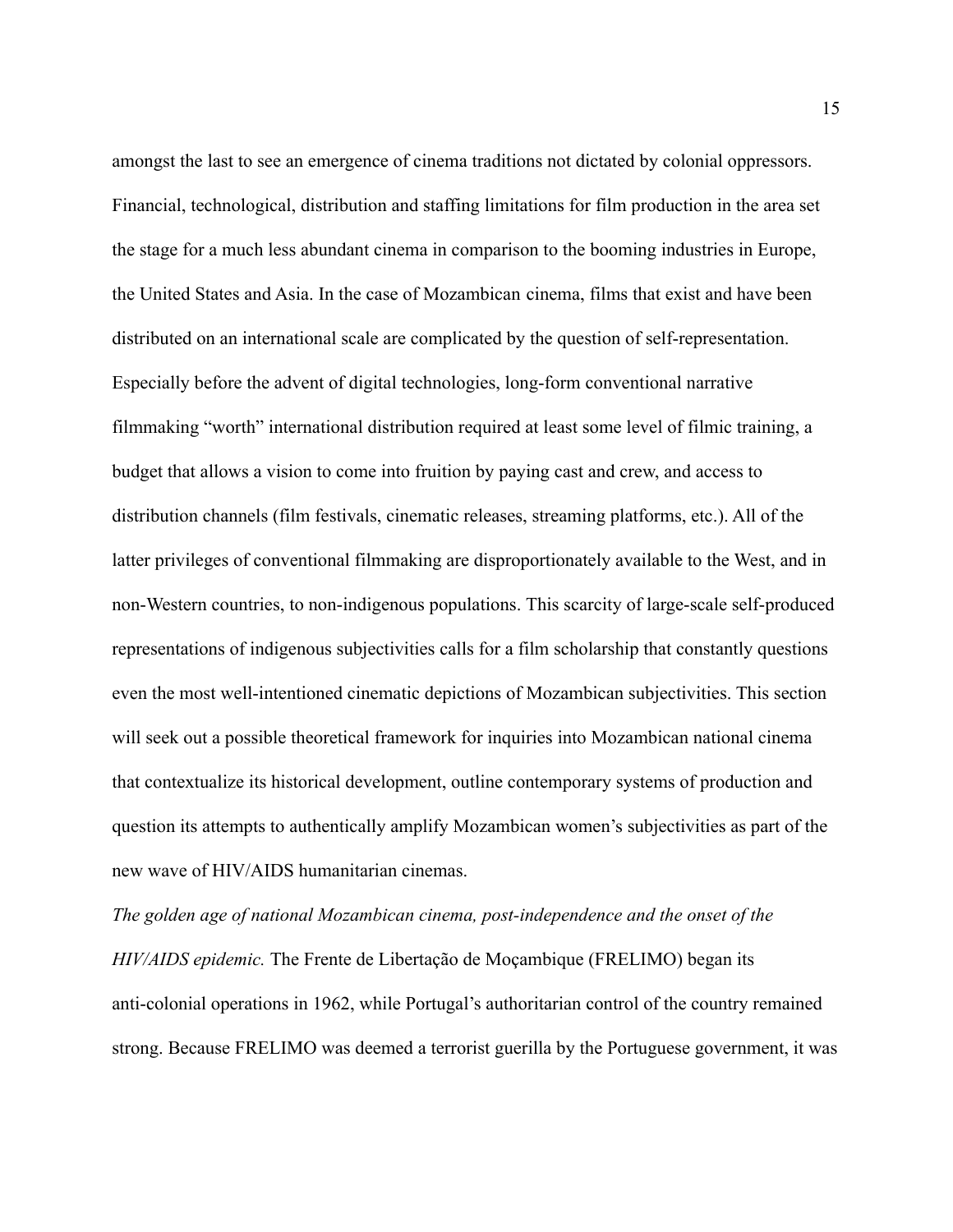amongst the last to see an emergence of cinema traditions not dictated by colonial oppressors. Financial, technological, distribution and staffing limitations for film production in the area set the stage for a much less abundant cinema in comparison to the booming industries in Europe, the United States and Asia. In the case of Mozambican cinema, films that exist and have been distributed on an international scale are complicated by the question of self-representation. Especially before the advent of digital technologies, long-form conventional narrative filmmaking "worth" international distribution required at least some level of filmic training, a budget that allows a vision to come into fruition by paying cast and crew, and access to distribution channels (film festivals, cinematic releases, streaming platforms, etc.). All of the latter privileges of conventional filmmaking are disproportionately available to the West, and in non-Western countries, to non-indigenous populations. This scarcity of large-scale self-produced representations of indigenous subjectivities calls for a film scholarship that constantly questions even the most well-intentioned cinematic depictions of Mozambican subjectivities. This section will seek out a possible theoretical framework for inquiries into Mozambican national cinema that contextualize its historical development, outline contemporary systems of production and question its attempts to authentically amplify Mozambican women's subjectivities as part of the new wave of HIV/AIDS humanitarian cinemas.

*The golden age of national Mozambican cinema, post-independence and the onset of the HIV/AIDS epidemic.* The Frente de Libertação de Moçambique (FRELIMO) began its anti-colonial operations in 1962, while Portugal's authoritarian control of the country remained strong. Because FRELIMO was deemed a terrorist guerilla by the Portuguese government, it was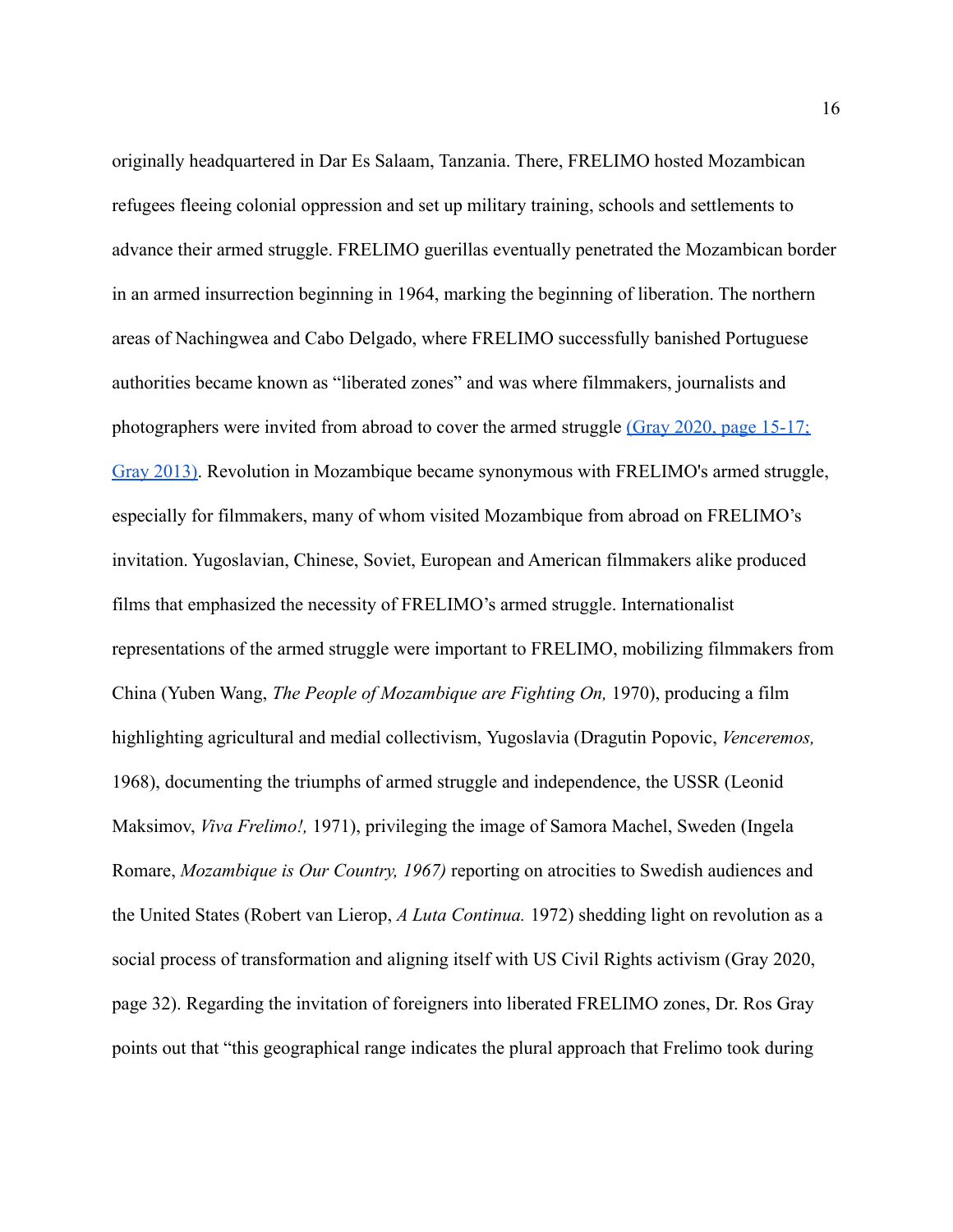originally headquartered in Dar Es Salaam, Tanzania. There, FRELIMO hosted Mozambican refugees fleeing colonial oppression and set up military training, schools and settlements to advance their armed struggle. FRELIMO guerillas eventually penetrated the Mozambican border in an armed insurrection beginning in 1964, marking the beginning of liberation. The northern areas of Nachingwea and Cabo Delgado, where FRELIMO successfully banished Portuguese authorities became known as "liberated zones" and was where filmmakers, journalists and photographers were invited from abroad to cover the armed struggle [\(Gray 2020, page 15-17;](https://paperpile.com/c/16W0KQ/9rtR+ha4S/?locator=15-17,) [Gray 2013\).](https://paperpile.com/c/16W0KQ/9rtR+ha4S/?locator=15-17,) Revolution in Mozambique became synonymous with FRELIMO's armed struggle, especially for filmmakers, many of whom visited Mozambique from abroad on FRELIMO's invitation. Yugoslavian, Chinese, Soviet, European and American filmmakers alike produced films that emphasized the necessity of FRELIMO's armed struggle. Internationalist representations of the armed struggle were important to FRELIMO, mobilizing filmmakers from China (Yuben Wang, *The People of Mozambique are Fighting On,* 1970), producing a film highlighting agricultural and medial collectivism, Yugoslavia (Dragutin Popovic, *Venceremos,* 1968), documenting the triumphs of armed struggle and independence, the USSR (Leonid Maksimov, *Viva Frelimo!,* 1971), privileging the image of Samora Machel, Sweden (Ingela Romare, *Mozambique is Our Country, 1967)* reporting on atrocities to Swedish audiences and the United States (Robert van Lierop, *A Luta Continua.* 1972) shedding light on revolution as a social process of transformation and aligning itself with US Civil Rights activism (Gray 2020, page 32). Regarding the invitation of foreigners into liberated FRELIMO zones, Dr. Ros Gray points out that "this geographical range indicates the plural approach that Frelimo took during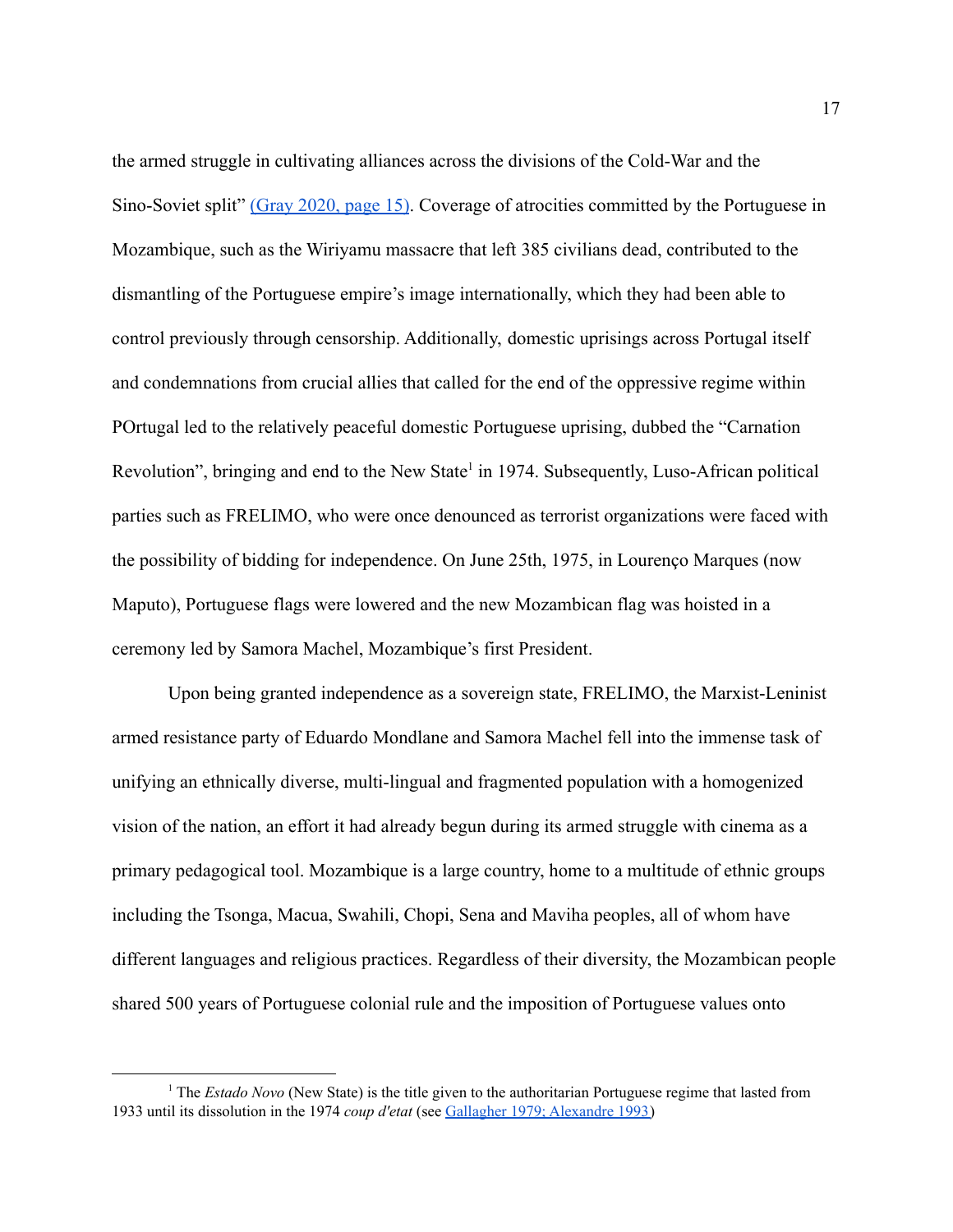the armed struggle in cultivating alliances across the divisions of the Cold-War and the Sino-Soviet split" [\(Gray 2020, page 15\)](https://paperpile.com/c/16W0KQ/9rtR/?locator=15). Coverage of atrocities committed by the Portuguese in Mozambique, such as the Wiriyamu massacre that left 385 civilians dead, contributed to the dismantling of the Portuguese empire's image internationally, which they had been able to control previously through censorship. Additionally, domestic uprisings across Portugal itself and condemnations from crucial allies that called for the end of the oppressive regime within POrtugal led to the relatively peaceful domestic Portuguese uprising, dubbed the "Carnation Revolution", bringing and end to the New State<sup>1</sup> in 1974. Subsequently, Luso-African political parties such as FRELIMO, who were once denounced as terrorist organizations were faced with the possibility of bidding for independence. On June 25th, 1975, in Lourenço Marques (now Maputo), Portuguese flags were lowered and the new Mozambican flag was hoisted in a ceremony led by Samora Machel, Mozambique's first President.

Upon being granted independence as a sovereign state, FRELIMO, the Marxist-Leninist armed resistance party of Eduardo Mondlane and Samora Machel fell into the immense task of unifying an ethnically diverse, multi-lingual and fragmented population with a homogenized vision of the nation, an effort it had already begun during its armed struggle with cinema as a primary pedagogical tool. Mozambique is a large country, home to a multitude of ethnic groups including the Tsonga, Macua, Swahili, Chopi, Sena and Maviha peoples, all of whom have different languages and religious practices. Regardless of their diversity, the Mozambican people shared 500 years of Portuguese colonial rule and the imposition of Portuguese values onto

<sup>1</sup> The *Estado Novo* (New State) is the title given to the authoritarian Portuguese regime that lasted from 1933 until its dissolution in the 1974 *coup d'etat* (see Gallagher 1979; [Alexandre](https://paperpile.com/c/16W0KQ/5EwB+FfoD) 1993)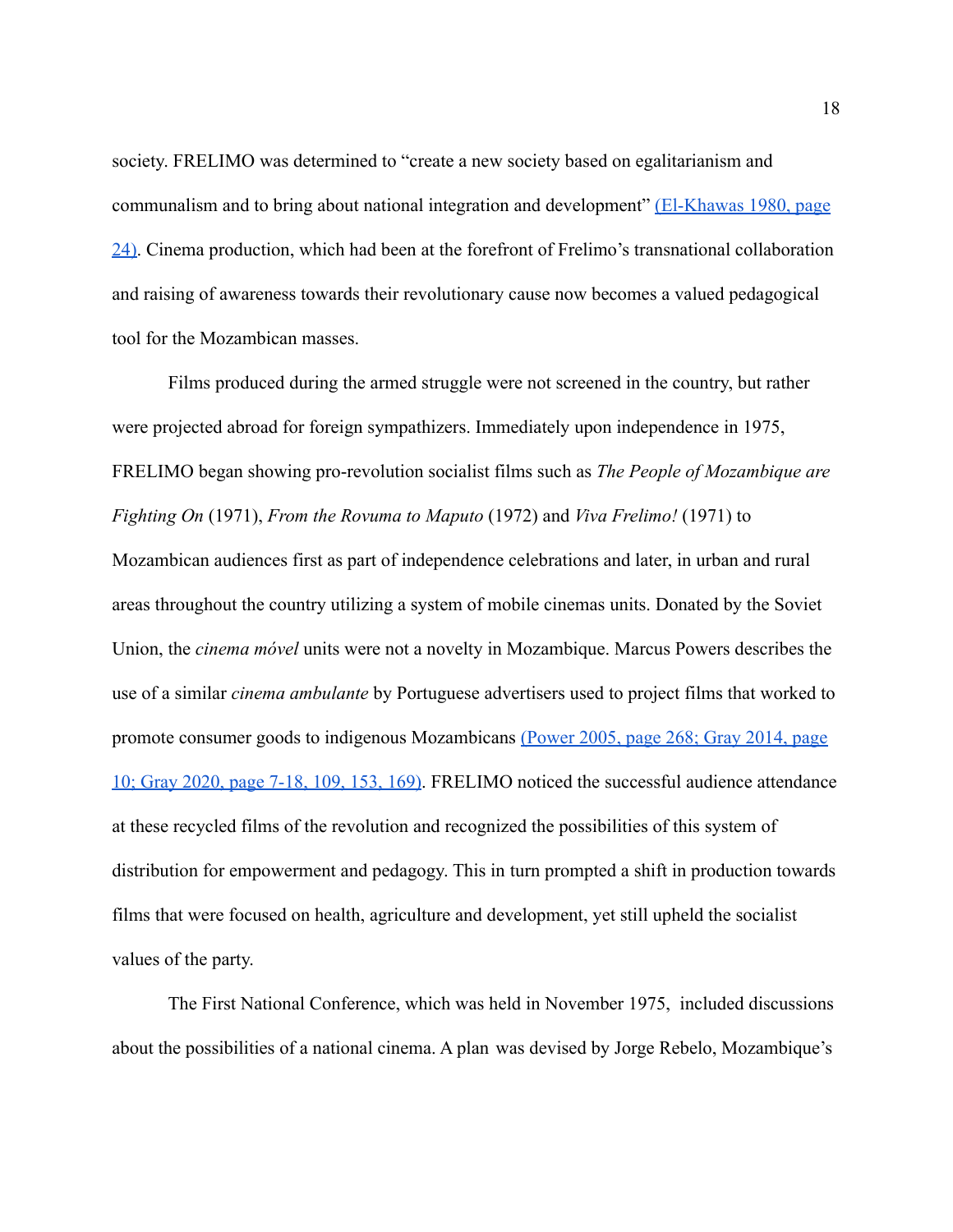society. FRELIMO was determined to "create a new society based on egalitarianism and communalism and to bring about national integration and development" [\(El-Khawas 1980, page](https://paperpile.com/c/16W0KQ/Y8eW/?locator=24) [24\).](https://paperpile.com/c/16W0KQ/Y8eW/?locator=24) Cinema production, which had been at the forefront of Frelimo's transnational collaboration and raising of awareness towards their revolutionary cause now becomes a valued pedagogical tool for the Mozambican masses.

Films produced during the armed struggle were not screened in the country, but rather were projected abroad for foreign sympathizers. Immediately upon independence in 1975, FRELIMO began showing pro-revolution socialist films such as *The People of Mozambique are Fighting On* (1971), *From the Rovuma to Maputo* (1972) and *Viva Frelimo!* (1971) to Mozambican audiences first as part of independence celebrations and later, in urban and rural areas throughout the country utilizing a system of mobile cinemas units. Donated by the Soviet Union, the *cinema móvel* units were not a novelty in Mozambique. Marcus Powers describes the use of a similar *cinema ambulante* by Portuguese advertisers used to project films that worked to promote consumer goods to indigenous Mozambicans (Power [2005, page 268; Gray 2014, page](https://paperpile.com/c/16W0KQ/jarr+jU31+9rtR/?locator=268,10,7-18%2C%20109%2C%20153%2C%20169) [10; Gray 2020, page 7-18, 109, 153, 169\).](https://paperpile.com/c/16W0KQ/jarr+jU31+9rtR/?locator=268,10,7-18%2C%20109%2C%20153%2C%20169) FRELIMO noticed the successful audience attendance at these recycled films of the revolution and recognized the possibilities of this system of distribution for empowerment and pedagogy. This in turn prompted a shift in production towards films that were focused on health, agriculture and development, yet still upheld the socialist values of the party.

The First National Conference, which was held in November 1975, included discussions about the possibilities of a national cinema. A plan was devised by Jorge Rebelo, Mozambique's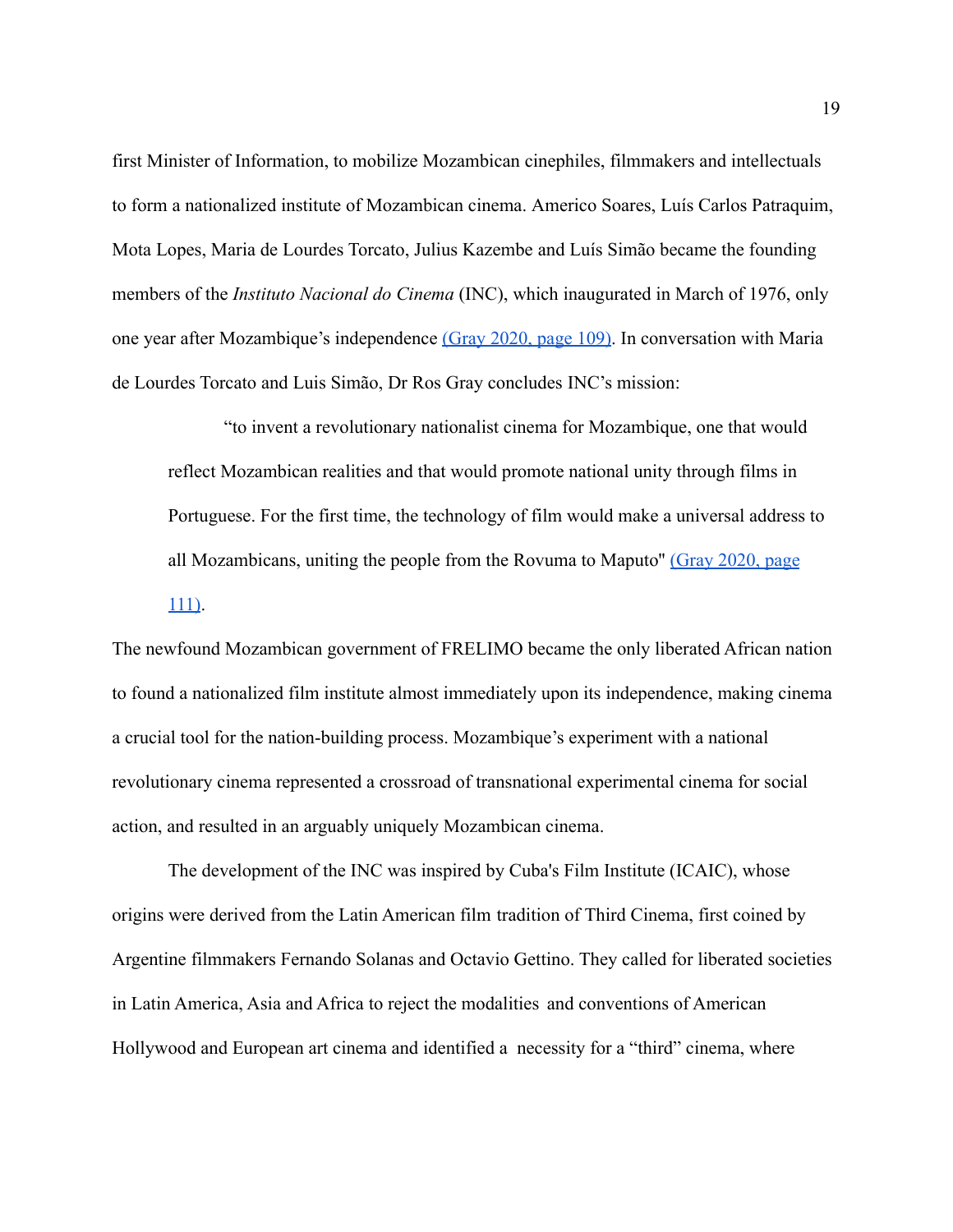first Minister of Information, to mobilize Mozambican cinephiles, filmmakers and intellectuals to form a nationalized institute of Mozambican cinema. Americo Soares, Luís Carlos Patraquim, Mota Lopes, Maria de Lourdes Torcato, Julius Kazembe and Luís Simão became the founding members of the *Instituto Nacional do Cinema* (INC), which inaugurated in March of 1976, only one year after Mozambique's independence [\(Gray 2020,](https://paperpile.com/c/16W0KQ/9rtR/?locator=109) page 109). In conversation with Maria de Lourdes Torcato and Luis Simão, Dr Ros Gray concludes INC's mission:

"to invent a revolutionary nationalist cinema for Mozambique, one that would reflect Mozambican realities and that would promote national unity through films in Portuguese. For the first time, the technology of film would make a universal address to all Mozambicans, uniting the people from the Rovuma to Maputo'' [\(Gray 2020, page](https://paperpile.com/c/16W0KQ/9rtR/?locator=111) [111\)](https://paperpile.com/c/16W0KQ/9rtR/?locator=111).

The newfound Mozambican government of FRELIMO became the only liberated African nation to found a nationalized film institute almost immediately upon its independence, making cinema a crucial tool for the nation-building process. Mozambique's experiment with a national revolutionary cinema represented a crossroad of transnational experimental cinema for social action, and resulted in an arguably uniquely Mozambican cinema.

The development of the INC was inspired by Cuba's Film Institute (ICAIC), whose origins were derived from the Latin American film tradition of Third Cinema, first coined by Argentine filmmakers Fernando Solanas and Octavio Gettino. They called for liberated societies in Latin America, Asia and Africa to reject the modalities and conventions of American Hollywood and European art cinema and identified a necessity for a "third" cinema, where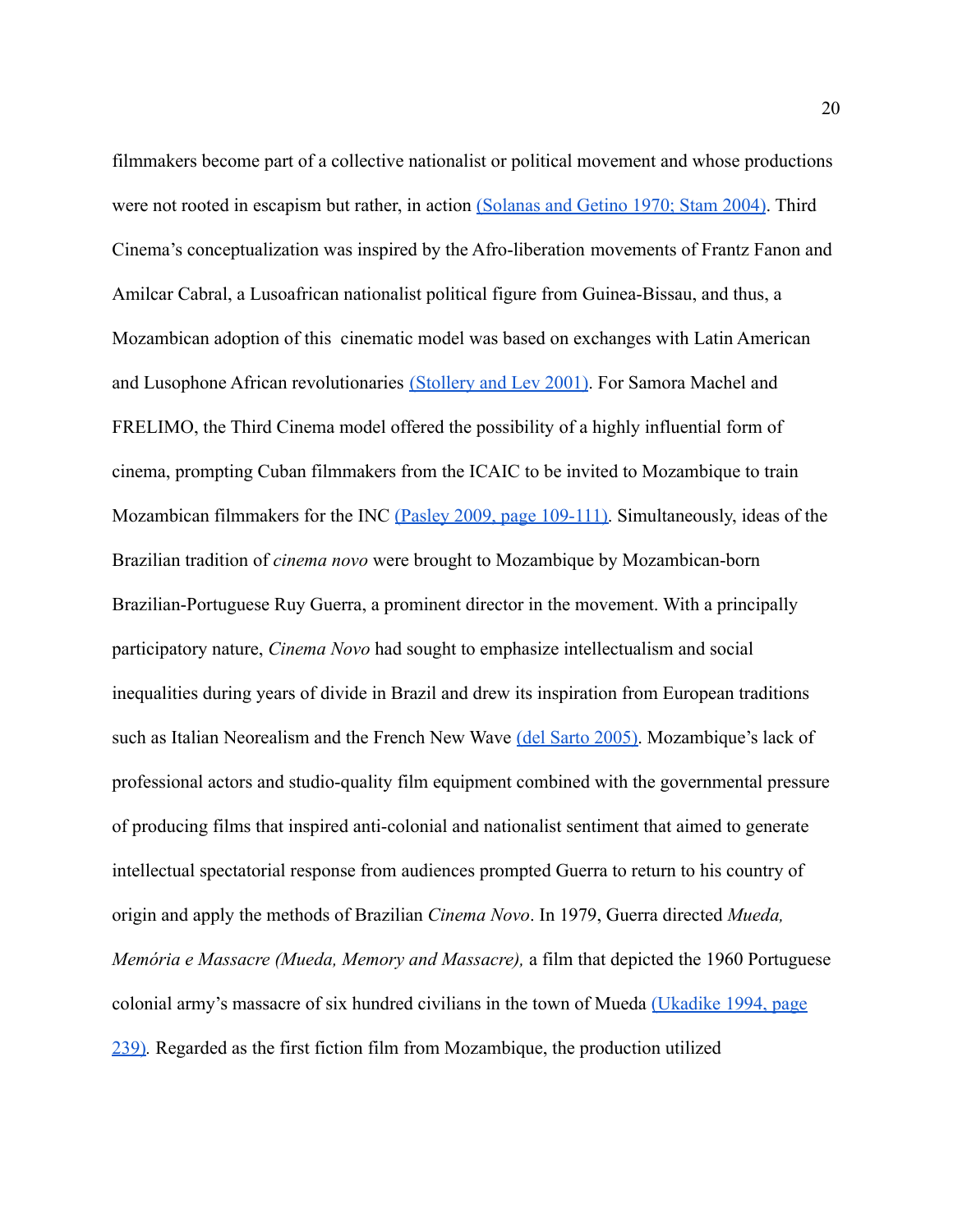filmmakers become part of a collective nationalist or political movement and whose productions were not rooted in escapism but rather, in action [\(Solanas and Getino 1970; Stam 2004\)](https://paperpile.com/c/16W0KQ/1E6e+1CbE). Third Cinema's conceptualization was inspired by the Afro-liberation movements of Frantz Fanon and Amilcar Cabral, a Lusoafrican nationalist political figure from Guinea-Bissau, and thus, a Mozambican adoption of this cinematic model was based on exchanges with Latin American and Lusophone African revolutionaries [\(Stollery and](https://paperpile.com/c/16W0KQ/Ypsc) Lev 2001). For Samora Machel and FRELIMO, the Third Cinema model offered the possibility of a highly influential form of cinema, prompting Cuban filmmakers from the ICAIC to be invited to Mozambique to train Mozambican filmmakers for the INC [\(Pasley 2009, page](https://paperpile.com/c/16W0KQ/Oj7l/?locator=109-111) 109-111). Simultaneously, ideas of the Brazilian tradition of *cinema novo* were brought to Mozambique by Mozambican-born Brazilian-Portuguese Ruy Guerra, a prominent director in the movement. With a principally participatory nature, *Cinema Novo* had sought to emphasize intellectualism and social inequalities during years of divide in Brazil and drew its inspiration from European traditions such as Italian Neorealism and the French New Wave [\(del Sarto 2005\).](https://paperpile.com/c/16W0KQ/Cdgq) Mozambique's lack of professional actors and studio-quality film equipment combined with the governmental pressure of producing films that inspired anti-colonial and nationalist sentiment that aimed to generate intellectual spectatorial response from audiences prompted Guerra to return to his country of origin and apply the methods of Brazilian *Cinema Novo*. In 1979, Guerra directed *Mueda, Memória e Massacre (Mueda, Memory and Massacre),* a film that depicted the 1960 Portuguese colonial army's massacre of six hundred civilians in the town of Mueda [\(Ukadike 1994, page](https://paperpile.com/c/16W0KQ/24Mk/?locator=239) [239\)](https://paperpile.com/c/16W0KQ/24Mk/?locator=239)*.* Regarded as the first fiction film from Mozambique, the production utilized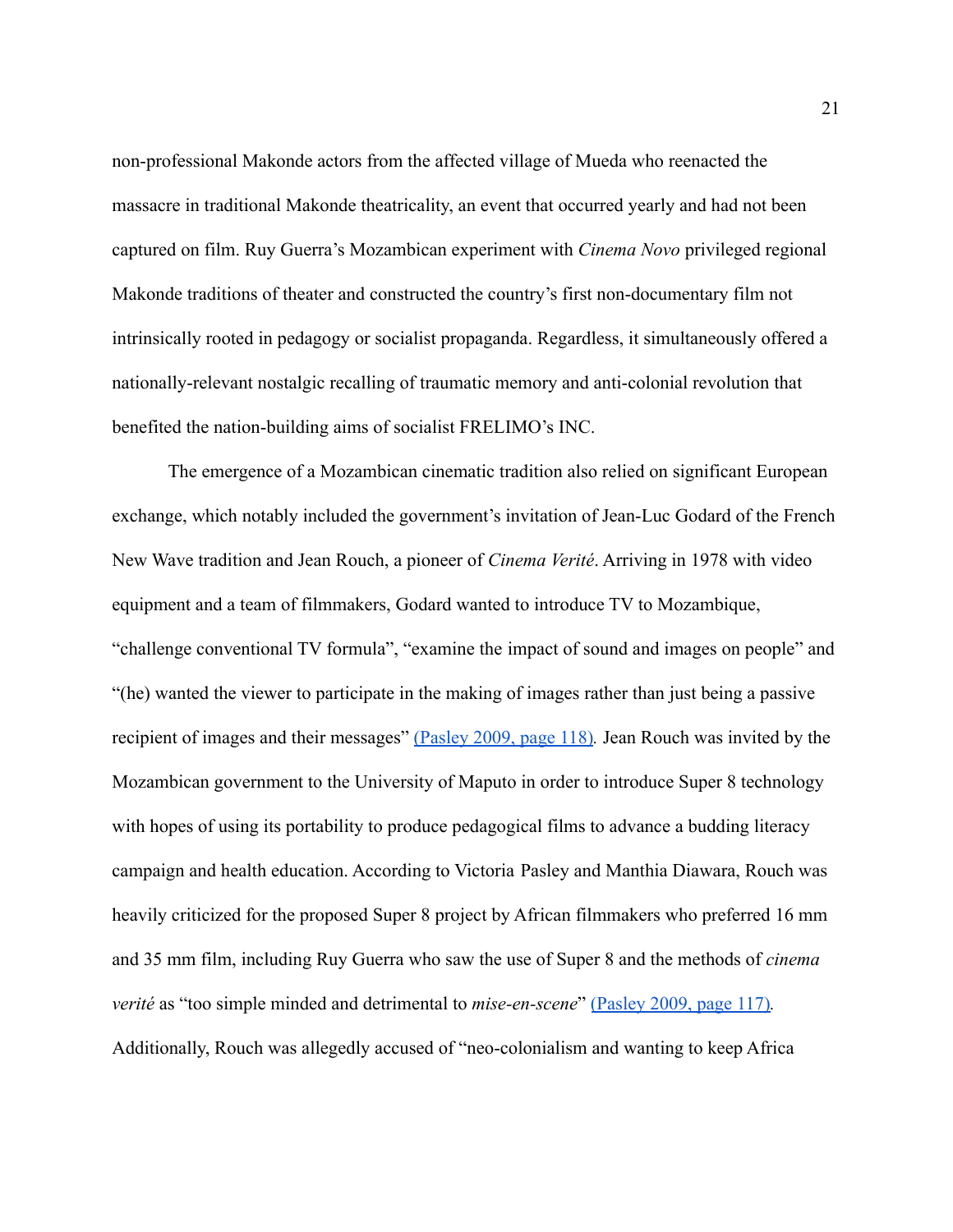non-professional Makonde actors from the affected village of Mueda who reenacted the massacre in traditional Makonde theatricality, an event that occurred yearly and had not been captured on film. Ruy Guerra's Mozambican experiment with *Cinema Novo* privileged regional Makonde traditions of theater and constructed the country's first non-documentary film not intrinsically rooted in pedagogy or socialist propaganda. Regardless, it simultaneously offered a nationally-relevant nostalgic recalling of traumatic memory and anti-colonial revolution that benefited the nation-building aims of socialist FRELIMO's INC.

The emergence of a Mozambican cinematic tradition also relied on significant European exchange, which notably included the government's invitation of Jean-Luc Godard of the French New Wave tradition and Jean Rouch, a pioneer of *Cinema Verité*. Arriving in 1978 with video equipment and a team of filmmakers, Godard wanted to introduce TV to Mozambique, "challenge conventional TV formula", "examine the impact of sound and images on people" and "(he) wanted the viewer to participate in the making of images rather than just being a passive recipient of images and their messages" [\(Pasley 2009,](https://paperpile.com/c/16W0KQ/Oj7l/?locator=118) page 118)*.* Jean Rouch was invited by the Mozambican government to the University of Maputo in order to introduce Super 8 technology with hopes of using its portability to produce pedagogical films to advance a budding literacy campaign and health education. According to Victoria Pasley and Manthia Diawara, Rouch was heavily criticized for the proposed Super 8 project by African filmmakers who preferred 16 mm and 35 mm film, including Ruy Guerra who saw the use of Super 8 and the methods of *cinema verité* as "too simple minded and detrimental to *mise-en-scene*" [\(Pasley 2009, page 117\)](https://paperpile.com/c/16W0KQ/Oj7l/?locator=117)*.* Additionally, Rouch was allegedly accused of "neo-colonialism and wanting to keep Africa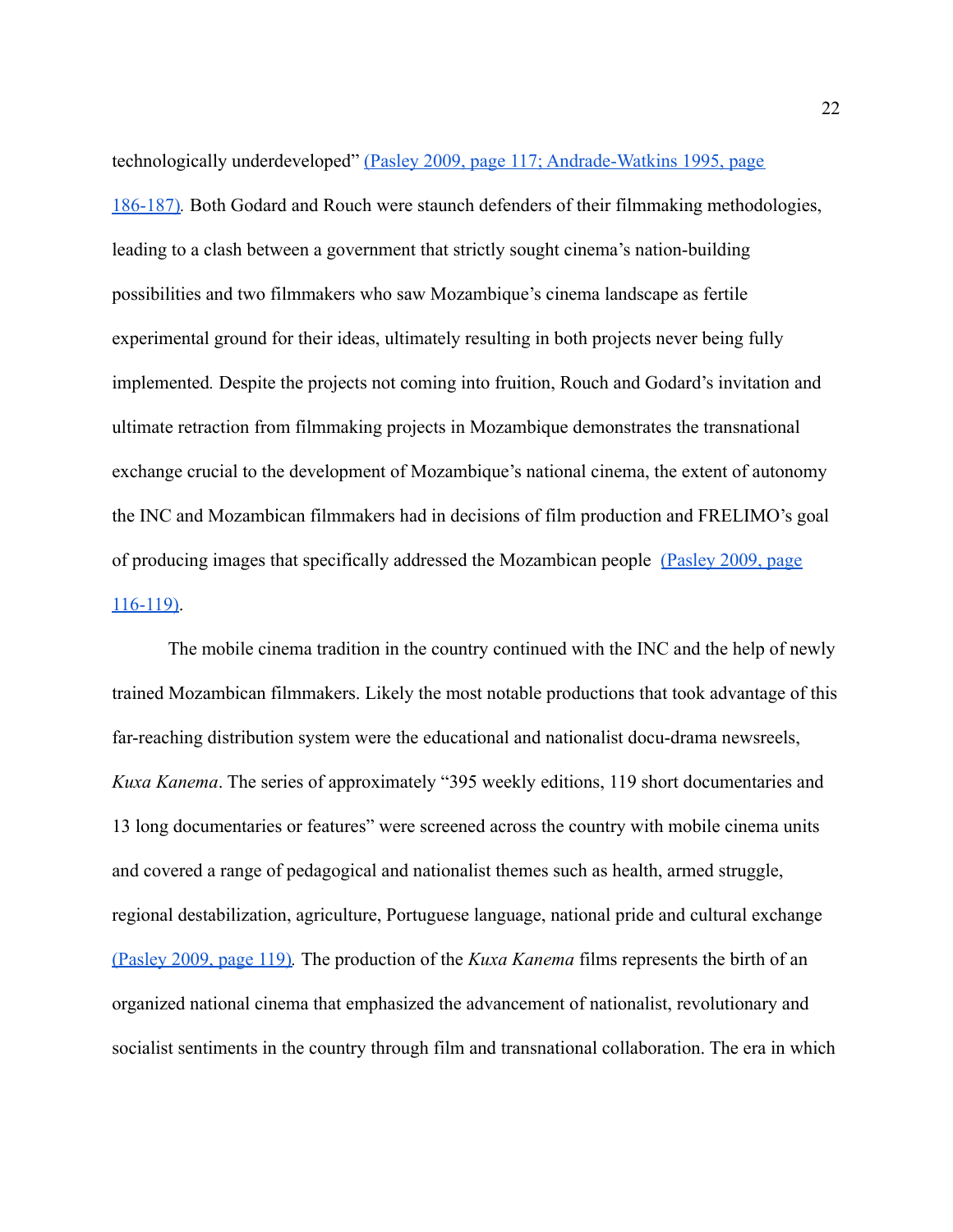technologically underdeveloped" [\(Pasley 2009, page 117; Andrade-Watkins 1995, page](https://paperpile.com/c/16W0KQ/Oj7l+TXzW/?locator=117,186-187) [186-187\)](https://paperpile.com/c/16W0KQ/Oj7l+TXzW/?locator=117,186-187)*.* Both Godard and Rouch were staunch defenders of their filmmaking methodologies, leading to a clash between a government that strictly sought cinema's nation-building possibilities and two filmmakers who saw Mozambique's cinema landscape as fertile experimental ground for their ideas, ultimately resulting in both projects never being fully implemented*.* Despite the projects not coming into fruition, Rouch and Godard's invitation and ultimate retraction from filmmaking projects in Mozambique demonstrates the transnational exchange crucial to the development of Mozambique's national cinema, the extent of autonomy the INC and Mozambican filmmakers had in decisions of film production and FRELIMO's goal of producing images that specifically addressed the Mozambican people [\(Pasley 2009, page](https://paperpile.com/c/16W0KQ/Oj7l/?locator=116-119) [116-119\)](https://paperpile.com/c/16W0KQ/Oj7l/?locator=116-119).

The mobile cinema tradition in the country continued with the INC and the help of newly trained Mozambican filmmakers. Likely the most notable productions that took advantage of this far-reaching distribution system were the educational and nationalist docu-drama newsreels, *Kuxa Kanema*. The series of approximately "395 weekly editions, 119 short documentaries and 13 long documentaries or features" were screened across the country with mobile cinema units and covered a range of pedagogical and nationalist themes such as health, armed struggle, regional destabilization, agriculture, Portuguese language, national pride and cultural exchange [\(Pasley 2009, page 119\)](https://paperpile.com/c/16W0KQ/Oj7l/?locator=119)*.* The production of the *Kuxa Kanema* films represents the birth of an organized national cinema that emphasized the advancement of nationalist, revolutionary and socialist sentiments in the country through film and transnational collaboration. The era in which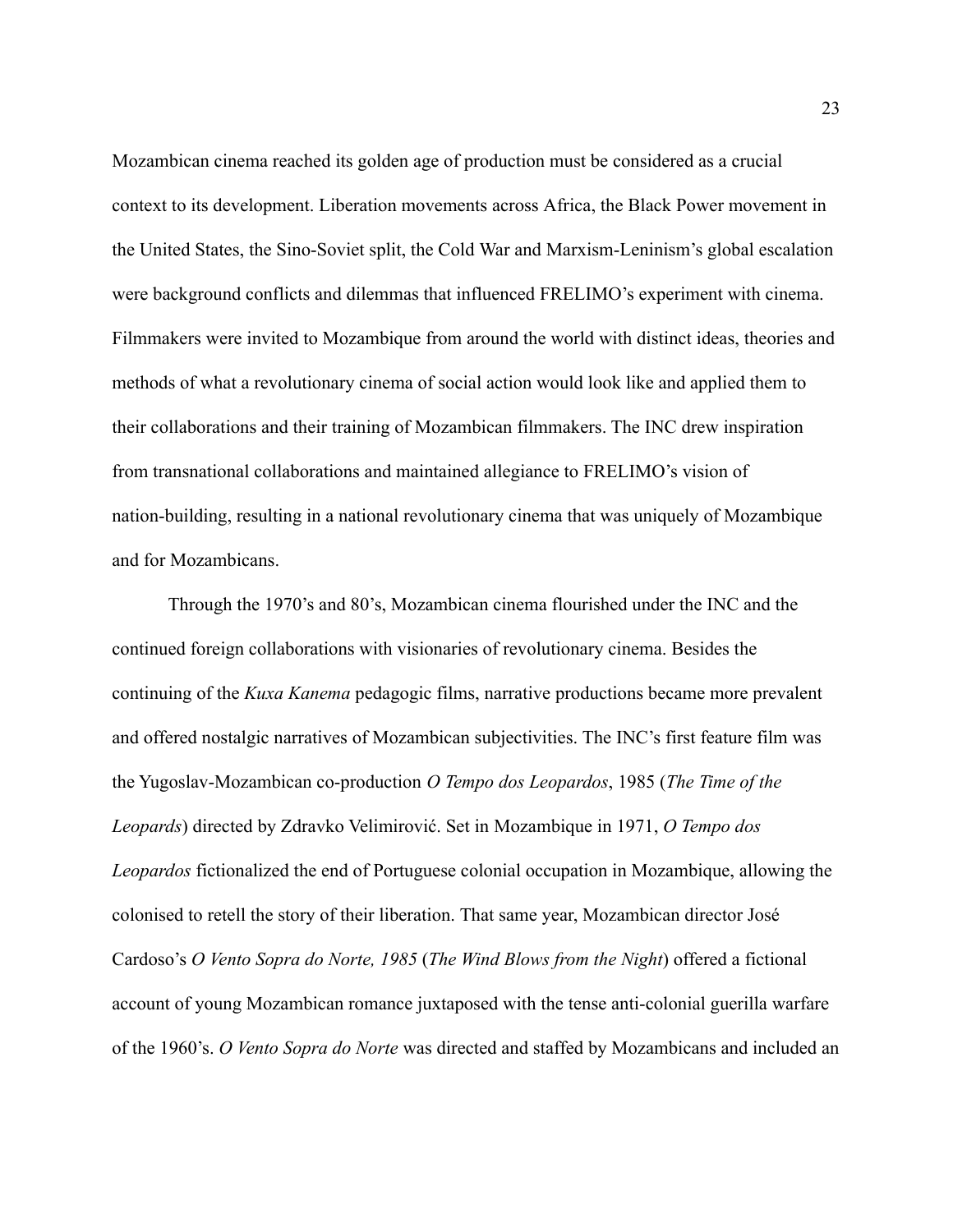Mozambican cinema reached its golden age of production must be considered as a crucial context to its development. Liberation movements across Africa, the Black Power movement in the United States, the Sino-Soviet split, the Cold War and Marxism-Leninism's global escalation were background conflicts and dilemmas that influenced FRELIMO's experiment with cinema. Filmmakers were invited to Mozambique from around the world with distinct ideas, theories and methods of what a revolutionary cinema of social action would look like and applied them to their collaborations and their training of Mozambican filmmakers. The INC drew inspiration from transnational collaborations and maintained allegiance to FRELIMO's vision of nation-building, resulting in a national revolutionary cinema that was uniquely of Mozambique and for Mozambicans.

Through the 1970's and 80's, Mozambican cinema flourished under the INC and the continued foreign collaborations with visionaries of revolutionary cinema. Besides the continuing of the *Kuxa Kanema* pedagogic films, narrative productions became more prevalent and offered nostalgic narratives of Mozambican subjectivities. The INC's first feature film was the Yugoslav-Mozambican co-production *O Tempo dos Leopardos*, 1985 (*The Time of the Leopards*) directed by Zdravko Velimirović. Set in Mozambique in 1971, *O Tempo dos Leopardos* fictionalized the end of Portuguese colonial occupation in Mozambique, allowing the colonised to retell the story of their liberation. That same year, Mozambican director José Cardoso's *O Vento Sopra do Norte, 1985* (*The Wind Blows from the Night*) offered a fictional account of young Mozambican romance juxtaposed with the tense anti-colonial guerilla warfare of the 1960's. *O Vento Sopra do Norte* was directed and staffed by Mozambicans and included an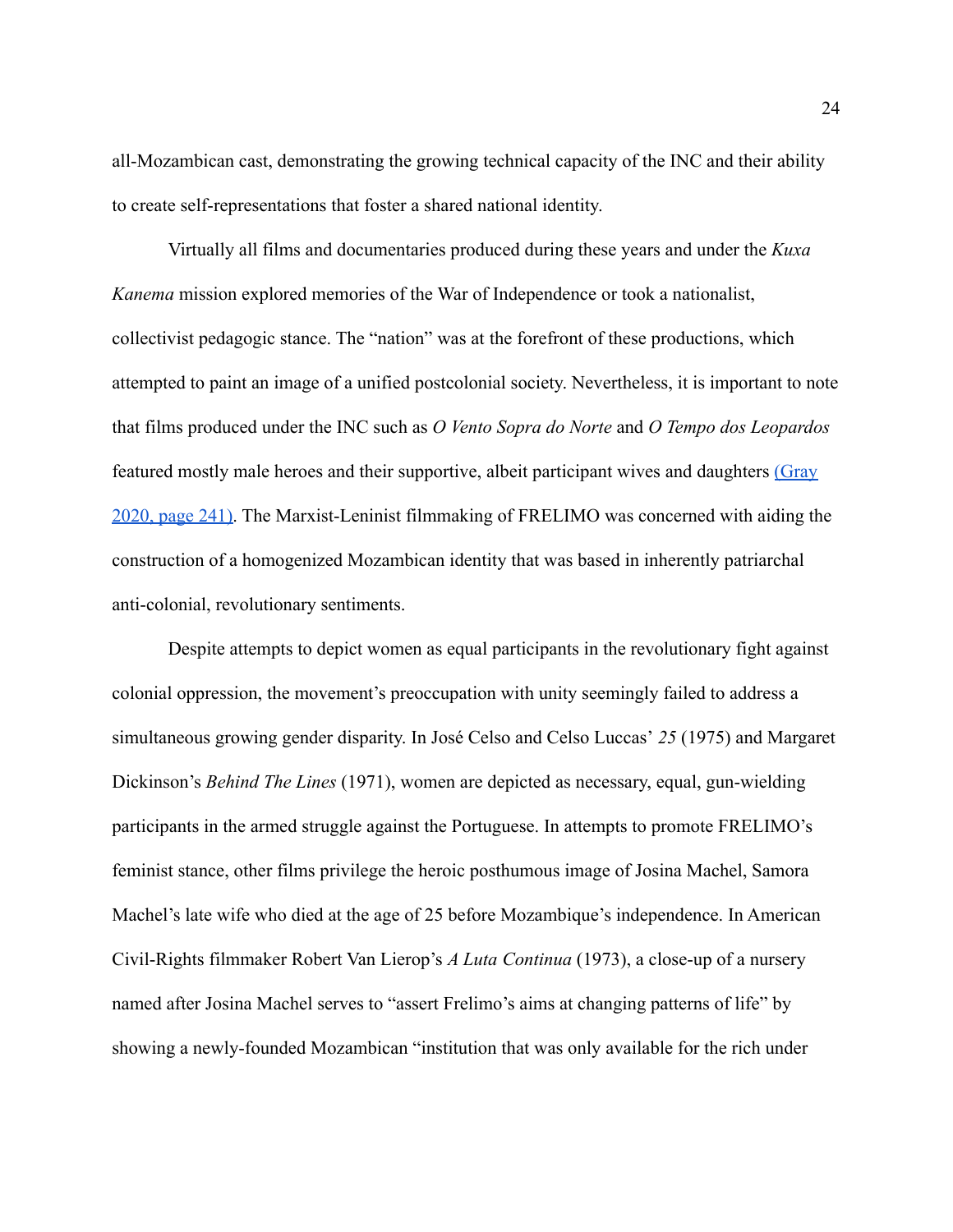all-Mozambican cast, demonstrating the growing technical capacity of the INC and their ability to create self-representations that foster a shared national identity.

Virtually all films and documentaries produced during these years and under the *Kuxa Kanema* mission explored memories of the War of Independence or took a nationalist, collectivist pedagogic stance. The "nation" was at the forefront of these productions, which attempted to paint an image of a unified postcolonial society. Nevertheless, it is important to note that films produced under the INC such as *O Vento Sopra do Norte* and *O Tempo dos Leopardos* featured mostly male heroes and their supportive, albeit participant wives and daughters [\(Gray](https://paperpile.com/c/16W0KQ/9rtR/?locator=241) [2020, page 241\).](https://paperpile.com/c/16W0KQ/9rtR/?locator=241) The Marxist-Leninist filmmaking of FRELIMO was concerned with aiding the construction of a homogenized Mozambican identity that was based in inherently patriarchal anti-colonial, revolutionary sentiments.

Despite attempts to depict women as equal participants in the revolutionary fight against colonial oppression, the movement's preoccupation with unity seemingly failed to address a simultaneous growing gender disparity. In José Celso and Celso Luccas' *25* (1975) and Margaret Dickinson's *Behind The Lines* (1971), women are depicted as necessary, equal, gun-wielding participants in the armed struggle against the Portuguese. In attempts to promote FRELIMO's feminist stance, other films privilege the heroic posthumous image of Josina Machel, Samora Machel's late wife who died at the age of 25 before Mozambique's independence. In American Civil-Rights filmmaker Robert Van Lierop's *A Luta Continua* (1973), a close-up of a nursery named after Josina Machel serves to "assert Frelimo's aims at changing patterns of life" by showing a newly-founded Mozambican "institution that was only available for the rich under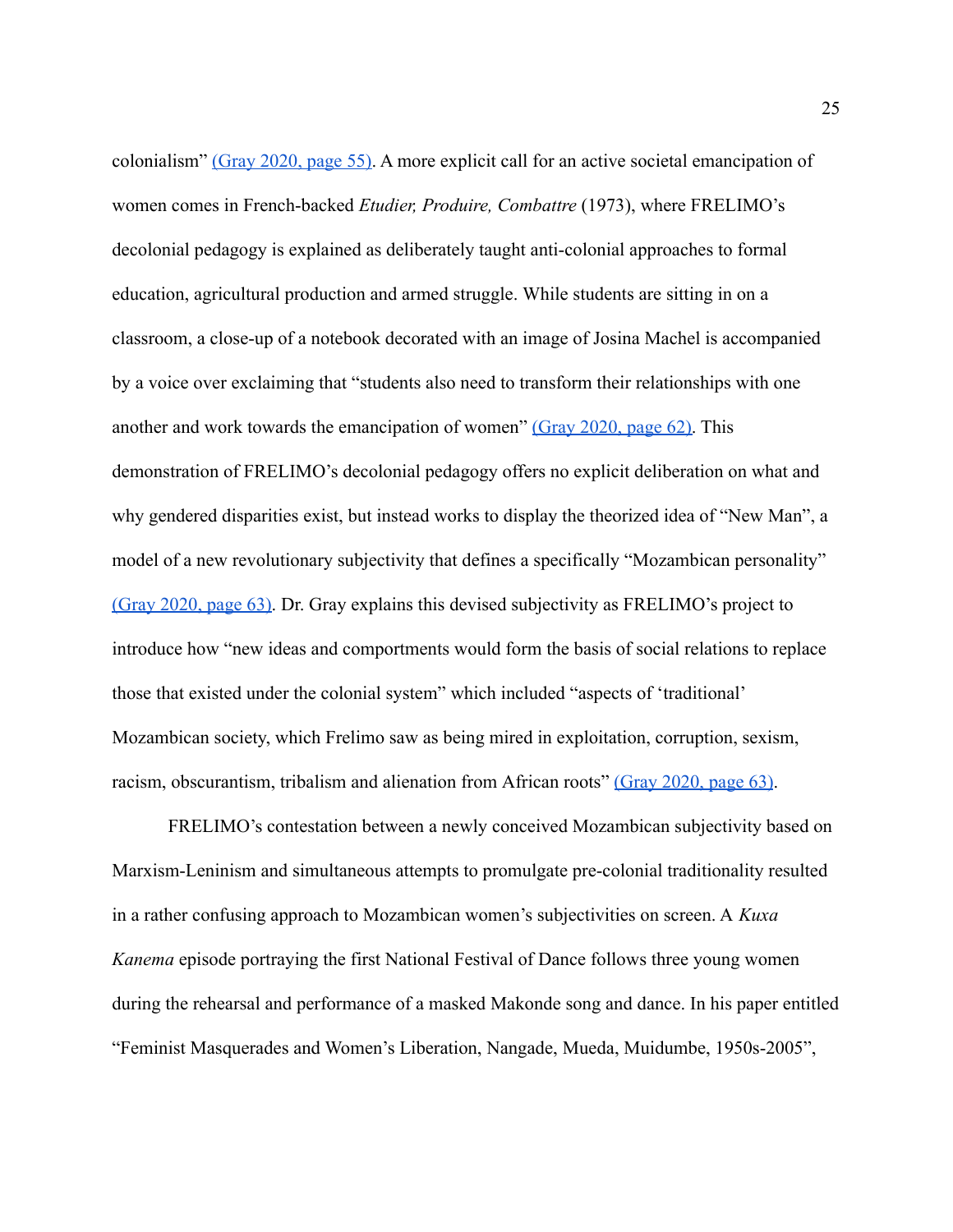colonialism" [\(Gray 2020, page 55\).](https://paperpile.com/c/16W0KQ/9rtR/?locator=55) A more explicit call for an active societal emancipation of women comes in French-backed *Etudier, Produire, Combattre* (1973), where FRELIMO's decolonial pedagogy is explained as deliberately taught anti-colonial approaches to formal education, agricultural production and armed struggle. While students are sitting in on a classroom, a close-up of a notebook decorated with an image of Josina Machel is accompanied by a voice over exclaiming that "students also need to transform their relationships with one another and work towards the emancipation of women" [\(Gray 2020, page 62\).](https://paperpile.com/c/16W0KQ/9rtR/?locator=62) This demonstration of FRELIMO's decolonial pedagogy offers no explicit deliberation on what and why gendered disparities exist, but instead works to display the theorized idea of "New Man", a model of a new revolutionary subjectivity that defines a specifically "Mozambican personality" [\(Gray 2020, page 63\).](https://paperpile.com/c/16W0KQ/9rtR/?locator=63) Dr. Gray explains this devised subjectivity as FRELIMO's project to introduce how "new ideas and comportments would form the basis of social relations to replace those that existed under the colonial system" which included "aspects of 'traditional' Mozambican society, which Frelimo saw as being mired in exploitation, corruption, sexism, racism, obscurantism, tribalism and alienation from African roots" [\(Gray 2020, page 63\)](https://paperpile.com/c/16W0KQ/9rtR/?locator=63).

FRELIMO's contestation between a newly conceived Mozambican subjectivity based on Marxism-Leninism and simultaneous attempts to promulgate pre-colonial traditionality resulted in a rather confusing approach to Mozambican women's subjectivities on screen. A *Kuxa Kanema* episode portraying the first National Festival of Dance follows three young women during the rehearsal and performance of a masked Makonde song and dance. In his paper entitled "Feminist Masquerades and Women's Liberation, Nangade, Mueda, Muidumbe, 1950s-2005",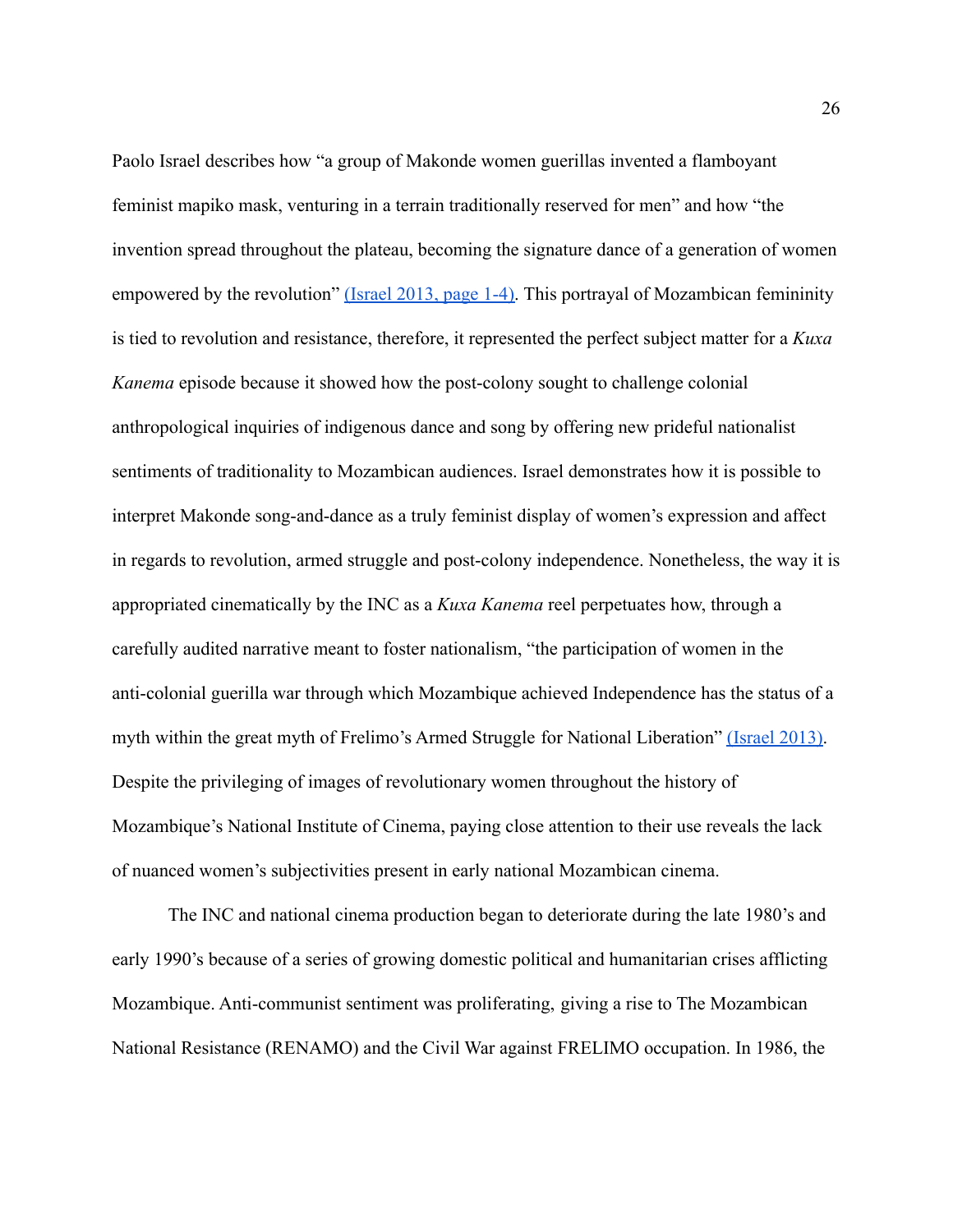Paolo Israel describes how "a group of Makonde women guerillas invented a flamboyant feminist mapiko mask, venturing in a terrain traditionally reserved for men" and how "the invention spread throughout the plateau, becoming the signature dance of a generation of women empowered by the revolution" [\(Israel 2013, page 1-4\).](https://paperpile.com/c/16W0KQ/BlSU/?locator=1-4) This portrayal of Mozambican femininity is tied to revolution and resistance, therefore, it represented the perfect subject matter for a *Kuxa Kanema* episode because it showed how the post-colony sought to challenge colonial anthropological inquiries of indigenous dance and song by offering new prideful nationalist sentiments of traditionality to Mozambican audiences. Israel demonstrates how it is possible to interpret Makonde song-and-dance as a truly feminist display of women's expression and affect in regards to revolution, armed struggle and post-colony independence. Nonetheless, the way it is appropriated cinematically by the INC as a *Kuxa Kanema* reel perpetuates how, through a carefully audited narrative meant to foster nationalism, "the participation of women in the anti-colonial guerilla war through which Mozambique achieved Independence has the status of a myth within the great myth of Frelimo's Armed Struggle for National Liberation" [\(Israel 2013\).](https://paperpile.com/c/16W0KQ/BlSU) Despite the privileging of images of revolutionary women throughout the history of Mozambique's National Institute of Cinema, paying close attention to their use reveals the lack of nuanced women's subjectivities present in early national Mozambican cinema.

The INC and national cinema production began to deteriorate during the late 1980's and early 1990's because of a series of growing domestic political and humanitarian crises afflicting Mozambique. Anti-communist sentiment was proliferating, giving a rise to The Mozambican National Resistance (RENAMO) and the Civil War against FRELIMO occupation. In 1986, the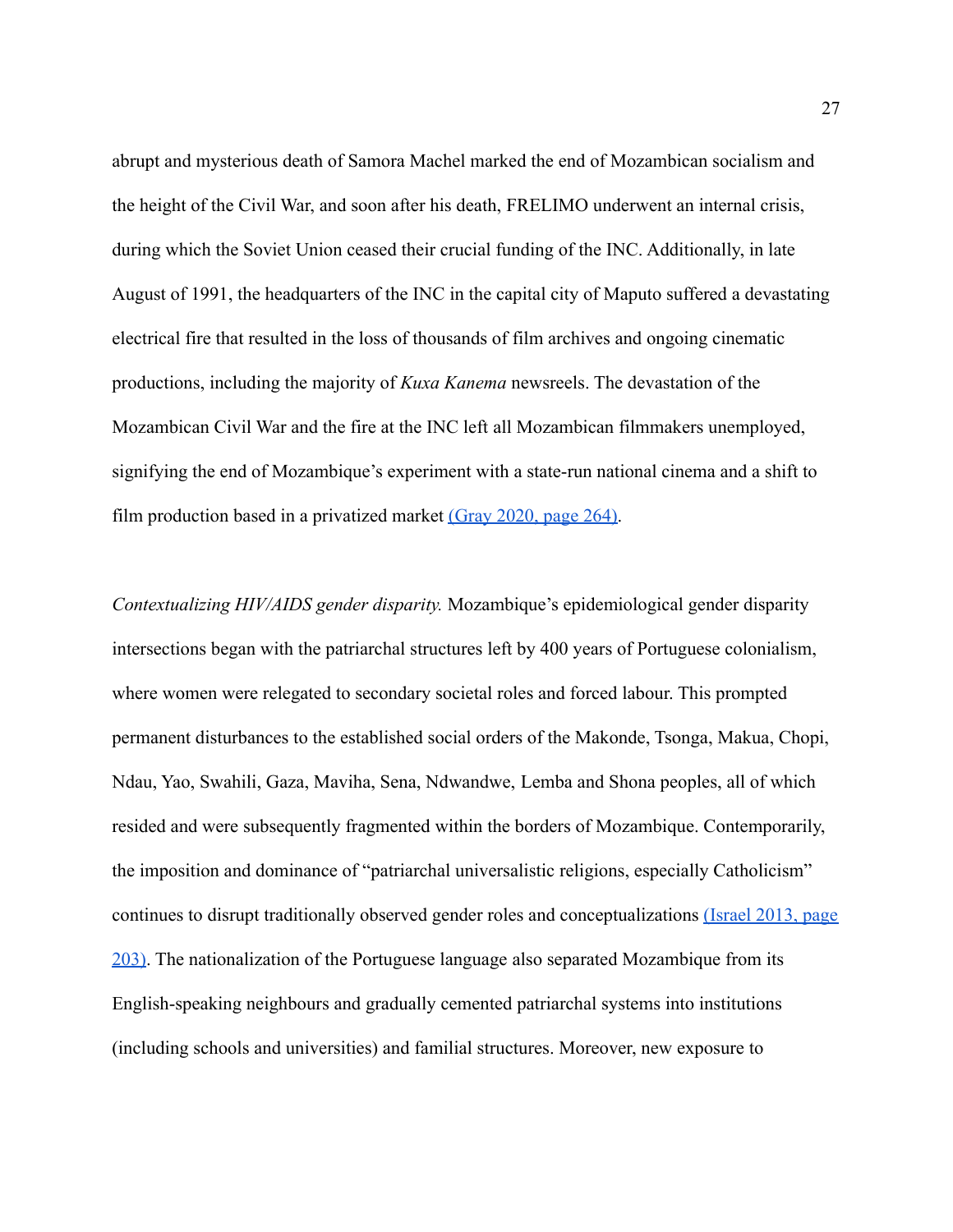abrupt and mysterious death of Samora Machel marked the end of Mozambican socialism and the height of the Civil War, and soon after his death, FRELIMO underwent an internal crisis, during which the Soviet Union ceased their crucial funding of the INC. Additionally, in late August of 1991, the headquarters of the INC in the capital city of Maputo suffered a devastating electrical fire that resulted in the loss of thousands of film archives and ongoing cinematic productions, including the majority of *Kuxa Kanema* newsreels. The devastation of the Mozambican Civil War and the fire at the INC left all Mozambican filmmakers unemployed, signifying the end of Mozambique's experiment with a state-run national cinema and a shift to film production based in a privatized market (Gray [2020, page 264\).](https://paperpile.com/c/16W0KQ/9rtR/?locator=264)

*Contextualizing HIV/AIDS gender disparity.* Mozambique's epidemiological gender disparity intersections began with the patriarchal structures left by 400 years of Portuguese colonialism, where women were relegated to secondary societal roles and forced labour. This prompted permanent disturbances to the established social orders of the Makonde, Tsonga, Makua, Chopi, Ndau, Yao, Swahili, Gaza, Maviha, Sena, Ndwandwe, Lemba and Shona peoples, all of which resided and were subsequently fragmented within the borders of Mozambique. Contemporarily, the imposition and dominance of "patriarchal universalistic religions, especially Catholicism" continues to disrupt traditionally observed gender roles and conceptualizations [\(Israel 2013, page](https://paperpile.com/c/16W0KQ/BlSU/?locator=203) [203\).](https://paperpile.com/c/16W0KQ/BlSU/?locator=203) The nationalization of the Portuguese language also separated Mozambique from its English-speaking neighbours and gradually cemented patriarchal systems into institutions (including schools and universities) and familial structures. Moreover, new exposure to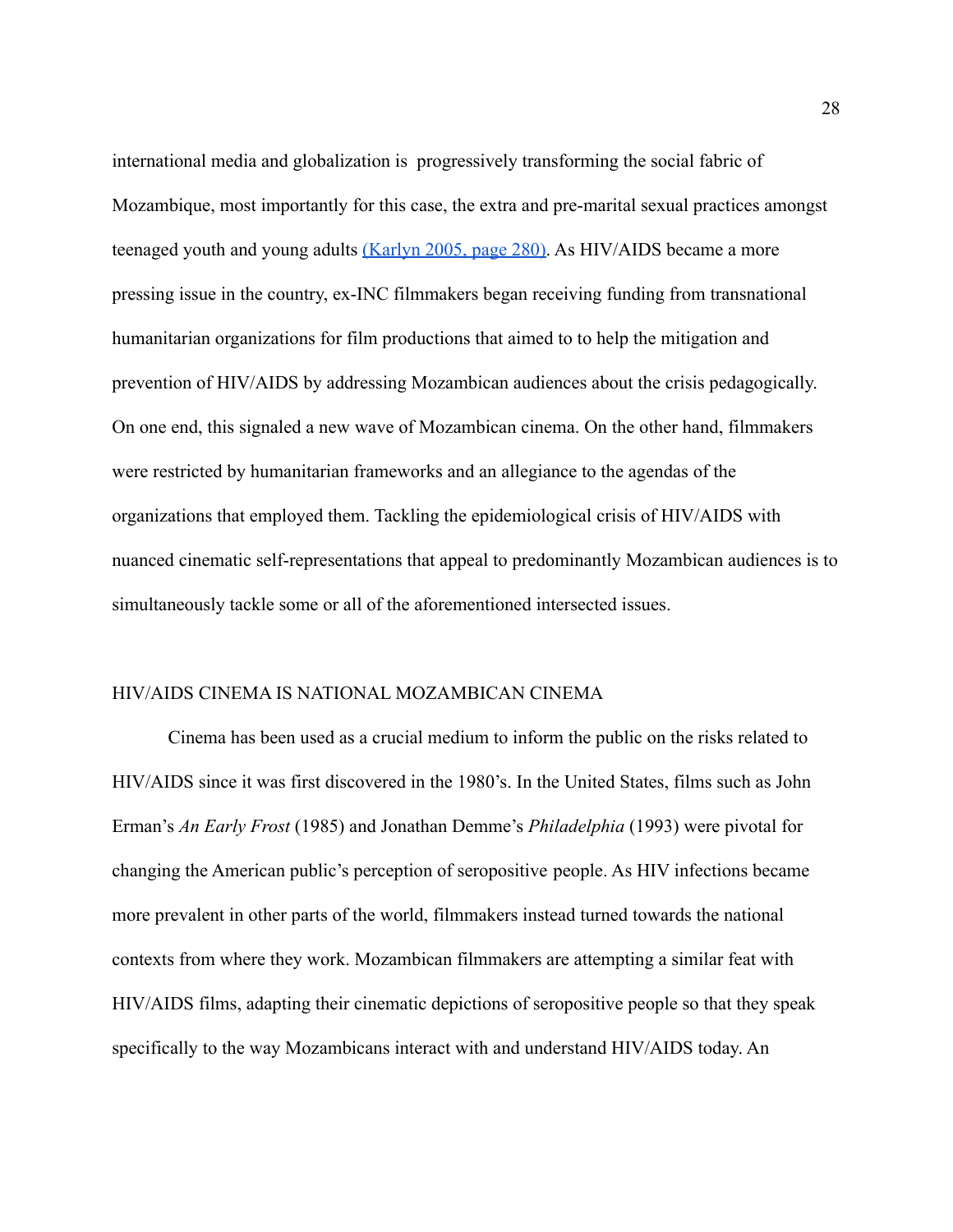international media and globalization is progressively transforming the social fabric of Mozambique, most importantly for this case, the extra and pre-marital sexual practices amongst teenaged youth and young adults [\(Karlyn 2005, page](https://paperpile.com/c/CHH1dt/s4Ak) 280). As HIV/AIDS became a more pressing issue in the country, ex-INC filmmakers began receiving funding from transnational humanitarian organizations for film productions that aimed to to help the mitigation and prevention of HIV/AIDS by addressing Mozambican audiences about the crisis pedagogically. On one end, this signaled a new wave of Mozambican cinema. On the other hand, filmmakers were restricted by humanitarian frameworks and an allegiance to the agendas of the organizations that employed them. Tackling the epidemiological crisis of HIV/AIDS with nuanced cinematic self-representations that appeal to predominantly Mozambican audiences is to simultaneously tackle some or all of the aforementioned intersected issues.

### HIV/AIDS CINEMA IS NATIONAL MOZAMBICAN CINEMA

Cinema has been used as a crucial medium to inform the public on the risks related to HIV/AIDS since it was first discovered in the 1980's. In the United States, films such as John Erman's *An Early Frost* (1985) and Jonathan Demme's *Philadelphia* (1993) were pivotal for changing the American public's perception of seropositive people. As HIV infections became more prevalent in other parts of the world, filmmakers instead turned towards the national contexts from where they work. Mozambican filmmakers are attempting a similar feat with HIV/AIDS films, adapting their cinematic depictions of seropositive people so that they speak specifically to the way Mozambicans interact with and understand HIV/AIDS today. An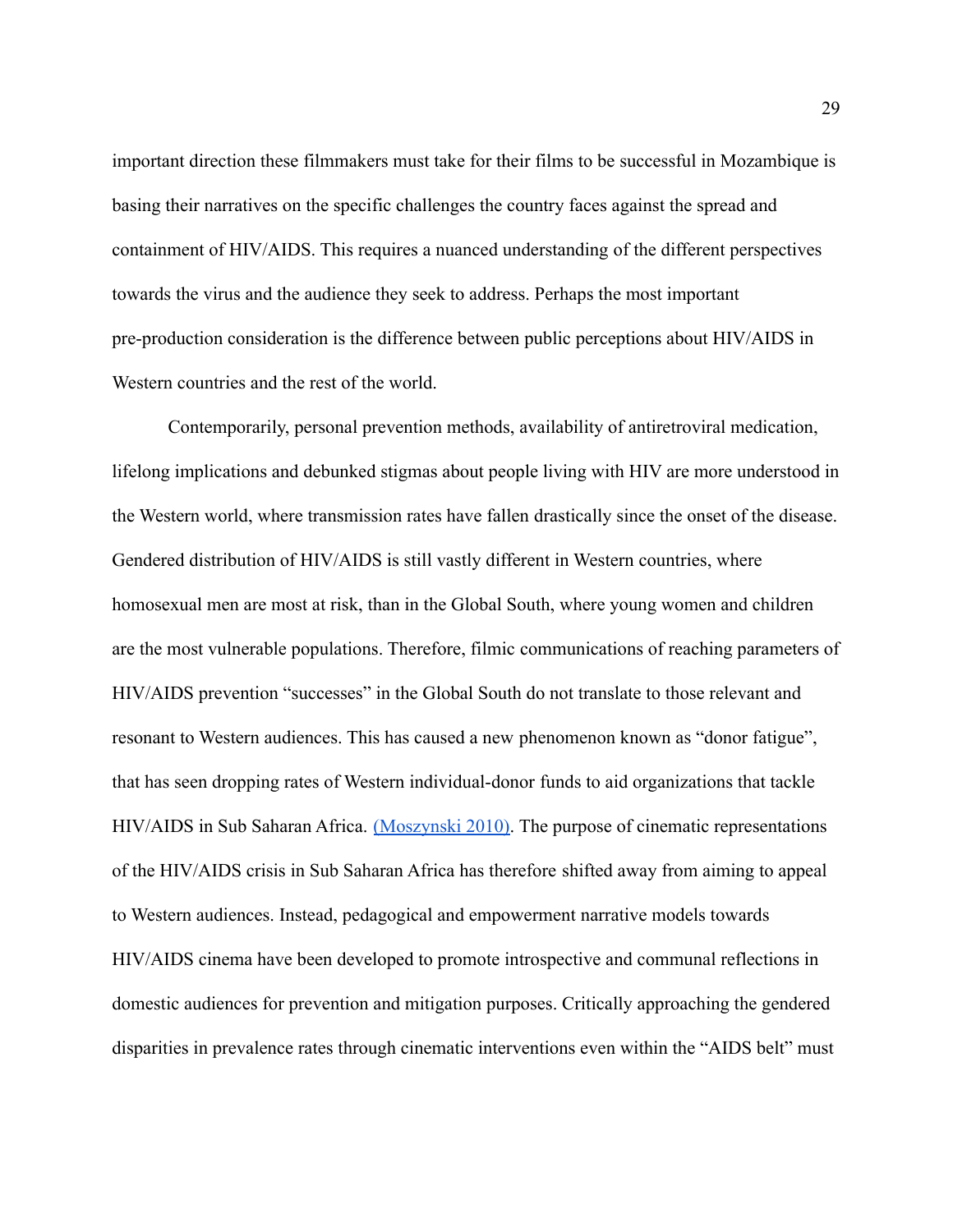important direction these filmmakers must take for their films to be successful in Mozambique is basing their narratives on the specific challenges the country faces against the spread and containment of HIV/AIDS. This requires a nuanced understanding of the different perspectives towards the virus and the audience they seek to address. Perhaps the most important pre-production consideration is the difference between public perceptions about HIV/AIDS in Western countries and the rest of the world.

Contemporarily, personal prevention methods, availability of antiretroviral medication, lifelong implications and debunked stigmas about people living with HIV are more understood in the Western world, where transmission rates have fallen drastically since the onset of the disease. Gendered distribution of HIV/AIDS is still vastly different in Western countries, where homosexual men are most at risk, than in the Global South, where young women and children are the most vulnerable populations. Therefore, filmic communications of reaching parameters of HIV/AIDS prevention "successes" in the Global South do not translate to those relevant and resonant to Western audiences. This has caused a new phenomenon known as "donor fatigue", that has seen dropping rates of Western individual-donor funds to aid organizations that tackle HIV/AIDS in Sub Saharan Africa. [\(Moszynski 2010\).](https://paperpile.com/c/54c6Y4/Rapn) The purpose of cinematic representations of the HIV/AIDS crisis in Sub Saharan Africa has therefore shifted away from aiming to appeal to Western audiences. Instead, pedagogical and empowerment narrative models towards HIV/AIDS cinema have been developed to promote introspective and communal reflections in domestic audiences for prevention and mitigation purposes. Critically approaching the gendered disparities in prevalence rates through cinematic interventions even within the "AIDS belt" must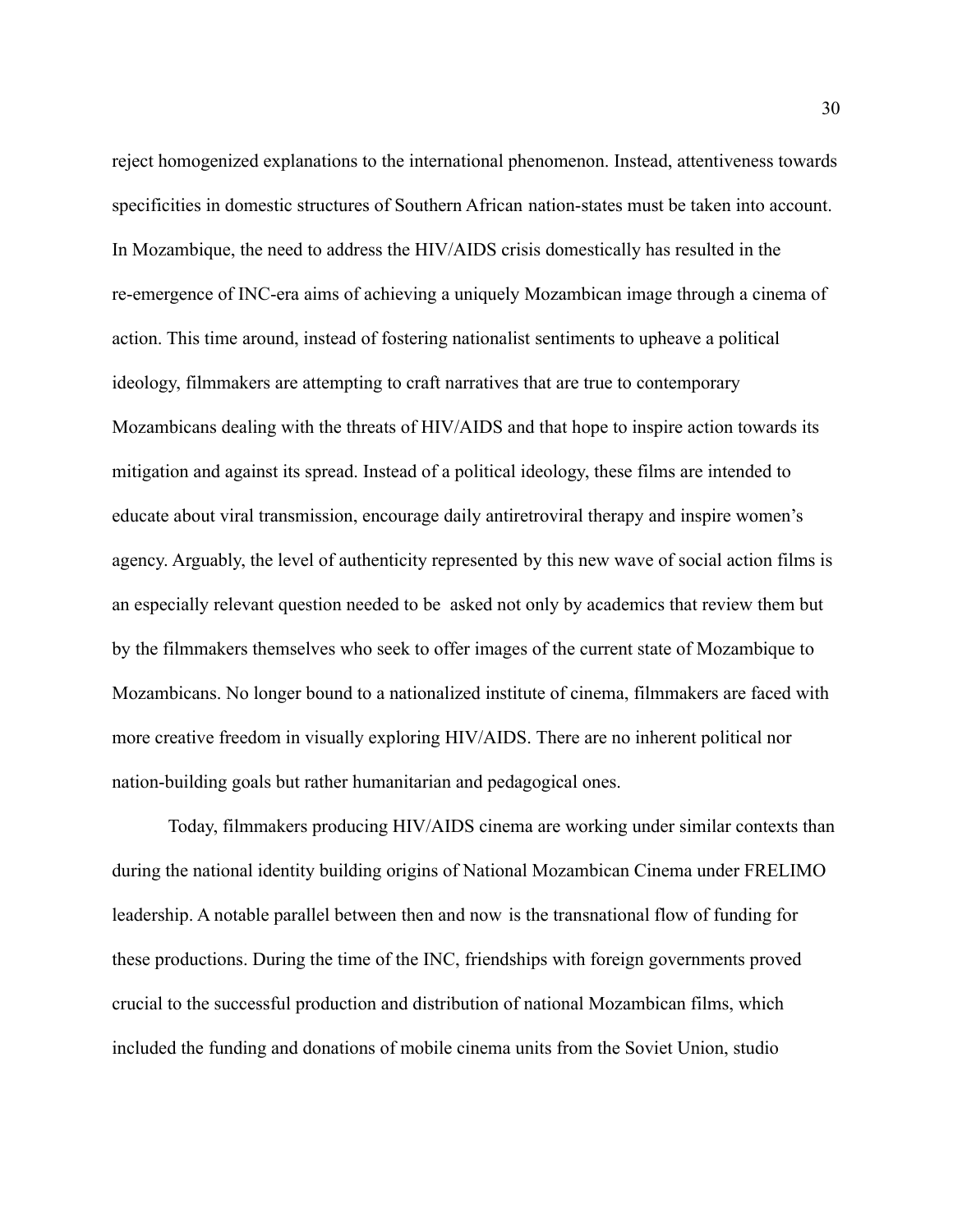reject homogenized explanations to the international phenomenon. Instead, attentiveness towards specificities in domestic structures of Southern African nation-states must be taken into account. In Mozambique, the need to address the HIV/AIDS crisis domestically has resulted in the re-emergence of INC-era aims of achieving a uniquely Mozambican image through a cinema of action. This time around, instead of fostering nationalist sentiments to upheave a political ideology, filmmakers are attempting to craft narratives that are true to contemporary Mozambicans dealing with the threats of HIV/AIDS and that hope to inspire action towards its mitigation and against its spread. Instead of a political ideology, these films are intended to educate about viral transmission, encourage daily antiretroviral therapy and inspire women's agency. Arguably, the level of authenticity represented by this new wave of social action films is an especially relevant question needed to be asked not only by academics that review them but by the filmmakers themselves who seek to offer images of the current state of Mozambique to Mozambicans. No longer bound to a nationalized institute of cinema, filmmakers are faced with more creative freedom in visually exploring HIV/AIDS. There are no inherent political nor nation-building goals but rather humanitarian and pedagogical ones.

Today, filmmakers producing HIV/AIDS cinema are working under similar contexts than during the national identity building origins of National Mozambican Cinema under FRELIMO leadership. A notable parallel between then and now is the transnational flow of funding for these productions. During the time of the INC, friendships with foreign governments proved crucial to the successful production and distribution of national Mozambican films, which included the funding and donations of mobile cinema units from the Soviet Union, studio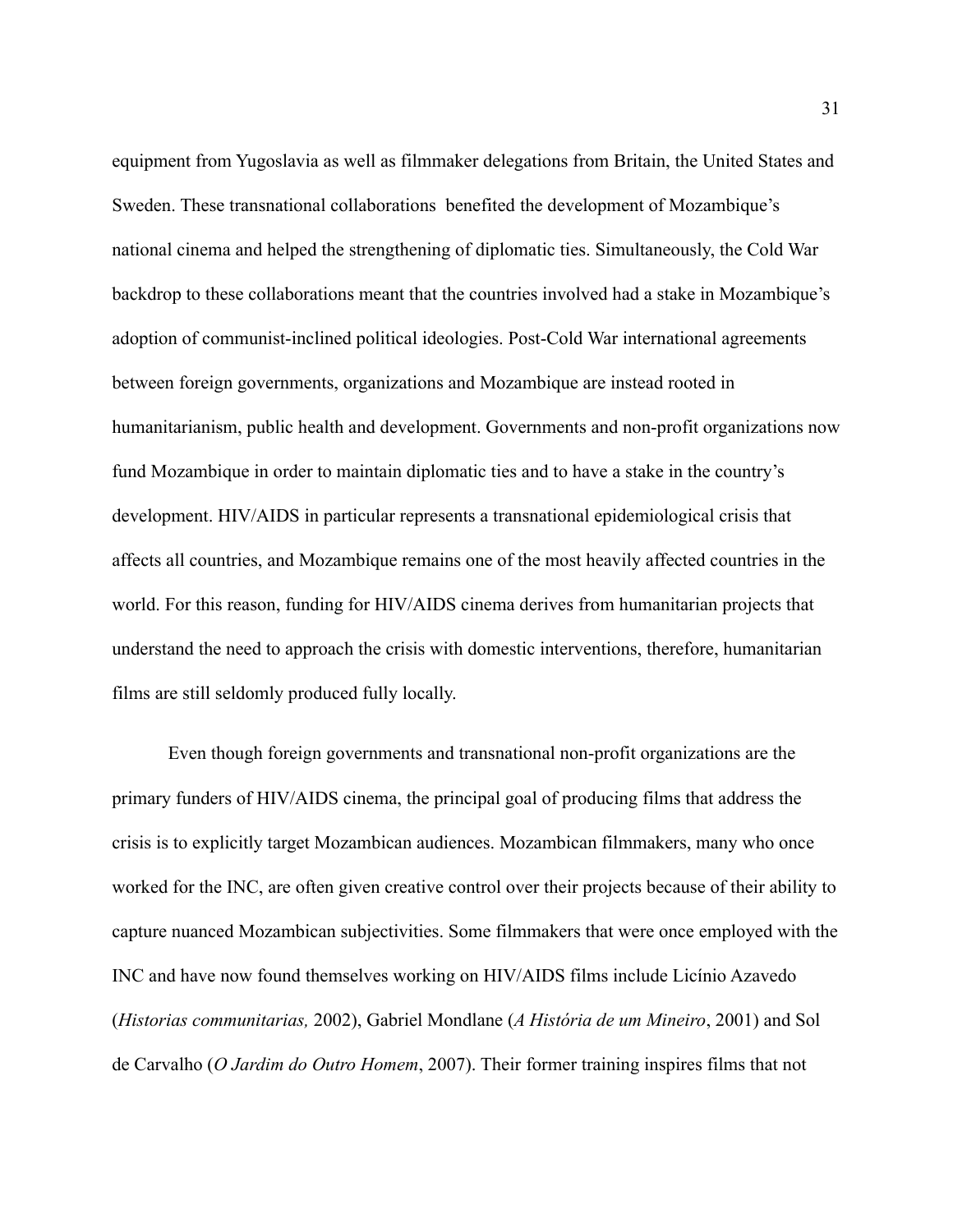equipment from Yugoslavia as well as filmmaker delegations from Britain, the United States and Sweden. These transnational collaborations benefited the development of Mozambique's national cinema and helped the strengthening of diplomatic ties. Simultaneously, the Cold War backdrop to these collaborations meant that the countries involved had a stake in Mozambique's adoption of communist-inclined political ideologies. Post-Cold War international agreements between foreign governments, organizations and Mozambique are instead rooted in humanitarianism, public health and development. Governments and non-profit organizations now fund Mozambique in order to maintain diplomatic ties and to have a stake in the country's development. HIV/AIDS in particular represents a transnational epidemiological crisis that affects all countries, and Mozambique remains one of the most heavily affected countries in the world. For this reason, funding for HIV/AIDS cinema derives from humanitarian projects that understand the need to approach the crisis with domestic interventions, therefore, humanitarian films are still seldomly produced fully locally.

Even though foreign governments and transnational non-profit organizations are the primary funders of HIV/AIDS cinema, the principal goal of producing films that address the crisis is to explicitly target Mozambican audiences. Mozambican filmmakers, many who once worked for the INC, are often given creative control over their projects because of their ability to capture nuanced Mozambican subjectivities. Some filmmakers that were once employed with the INC and have now found themselves working on HIV/AIDS films include Licínio Azavedo (*Historias communitarias,* 2002), Gabriel Mondlane (*A História de um Mineiro*, 2001) and Sol de Carvalho (*O Jardim do Outro Homem*, 2007). Their former training inspires films that not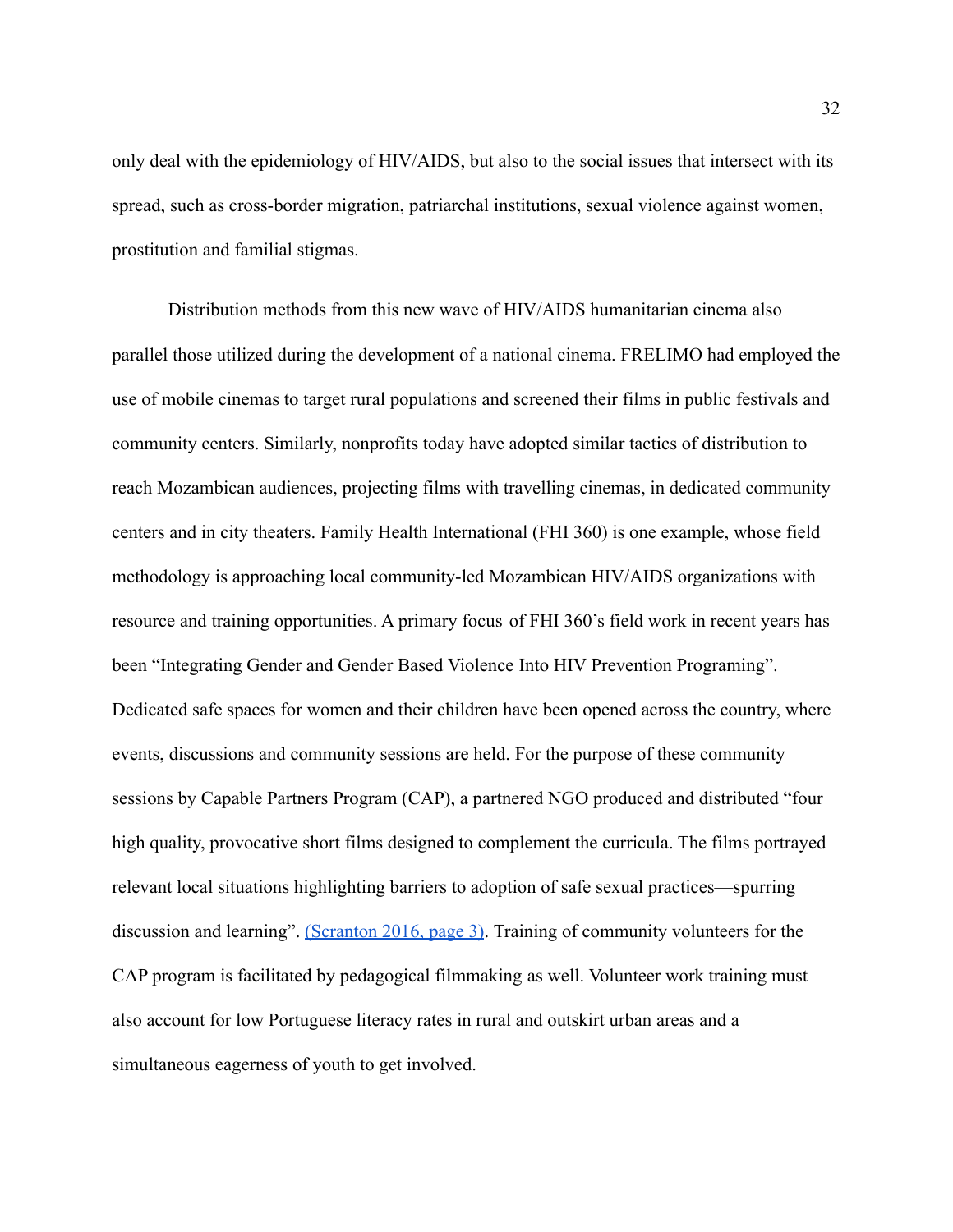only deal with the epidemiology of HIV/AIDS, but also to the social issues that intersect with its spread, such as cross-border migration, patriarchal institutions, sexual violence against women, prostitution and familial stigmas.

Distribution methods from this new wave of HIV/AIDS humanitarian cinema also parallel those utilized during the development of a national cinema. FRELIMO had employed the use of mobile cinemas to target rural populations and screened their films in public festivals and community centers. Similarly, nonprofits today have adopted similar tactics of distribution to reach Mozambican audiences, projecting films with travelling cinemas, in dedicated community centers and in city theaters. Family Health International (FHI 360) is one example, whose field methodology is approaching local community-led Mozambican HIV/AIDS organizations with resource and training opportunities. A primary focus of FHI 360's field work in recent years has been "Integrating Gender and Gender Based Violence Into HIV Prevention Programing". Dedicated safe spaces for women and their children have been opened across the country, where events, discussions and community sessions are held. For the purpose of these community sessions by Capable Partners Program (CAP), a partnered NGO produced and distributed "four high quality, provocative short films designed to complement the curricula. The films portrayed relevant local situations highlighting barriers to adoption of safe sexual practices—spurring discussion and learning". [\(Scranton 2016, page 3\)](https://paperpile.com/c/CHH1dt/WE9g/?locator=3). Training of community volunteers for the CAP program is facilitated by pedagogical filmmaking as well. Volunteer work training must also account for low Portuguese literacy rates in rural and outskirt urban areas and a simultaneous eagerness of youth to get involved.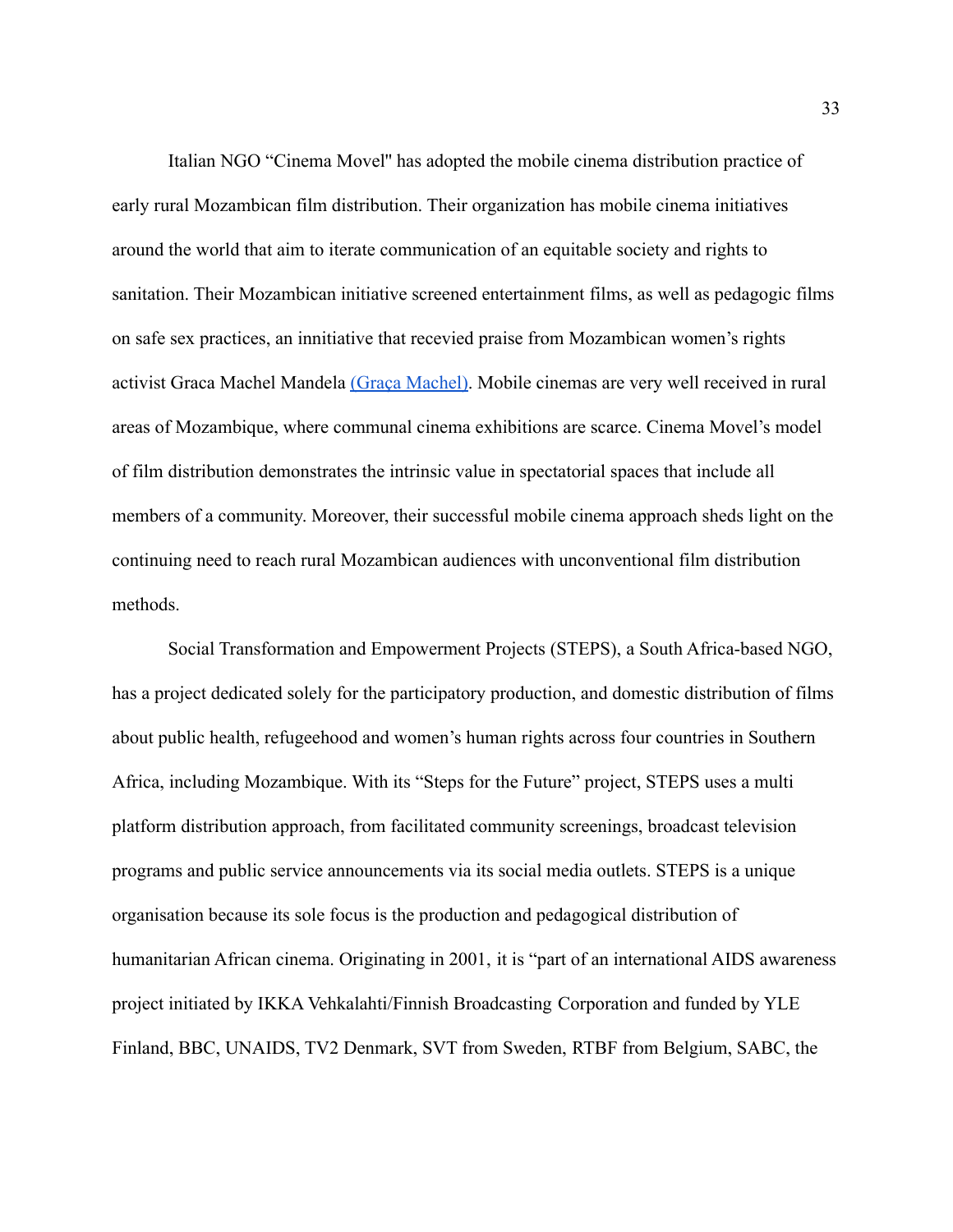Italian NGO "Cinema Movel'' has adopted the mobile cinema distribution practice of early rural Mozambican film distribution. Their organization has mobile cinema initiatives around the world that aim to iterate communication of an equitable society and rights to sanitation. Their Mozambican initiative screened entertainment films, as well as pedagogic films on safe sex practices, an innitiative that recevied praise from Mozambican women's rights activist Graca Machel Mandela [\(Graça Machel\).](https://paperpile.com/c/CHH1dt/5fHY) Mobile cinemas are very well received in rural areas of Mozambique, where communal cinema exhibitions are scarce. Cinema Movel's model of film distribution demonstrates the intrinsic value in spectatorial spaces that include all members of a community. Moreover, their successful mobile cinema approach sheds light on the continuing need to reach rural Mozambican audiences with unconventional film distribution methods.

Social Transformation and Empowerment Projects (STEPS), a South Africa-based NGO, has a project dedicated solely for the participatory production, and domestic distribution of films about public health, refugeehood and women's human rights across four countries in Southern Africa, including Mozambique. With its "Steps for the Future" project, STEPS uses a multi platform distribution approach, from facilitated community screenings, broadcast television programs and public service announcements via its social media outlets. STEPS is a unique organisation because its sole focus is the production and pedagogical distribution of humanitarian African cinema. Originating in 2001, it is "part of an international AIDS awareness project initiated by IKKA Vehkalahti/Finnish Broadcasting Corporation and funded by YLE Finland, BBC, UNAIDS, TV2 Denmark, SVT from Sweden, RTBF from Belgium, SABC, the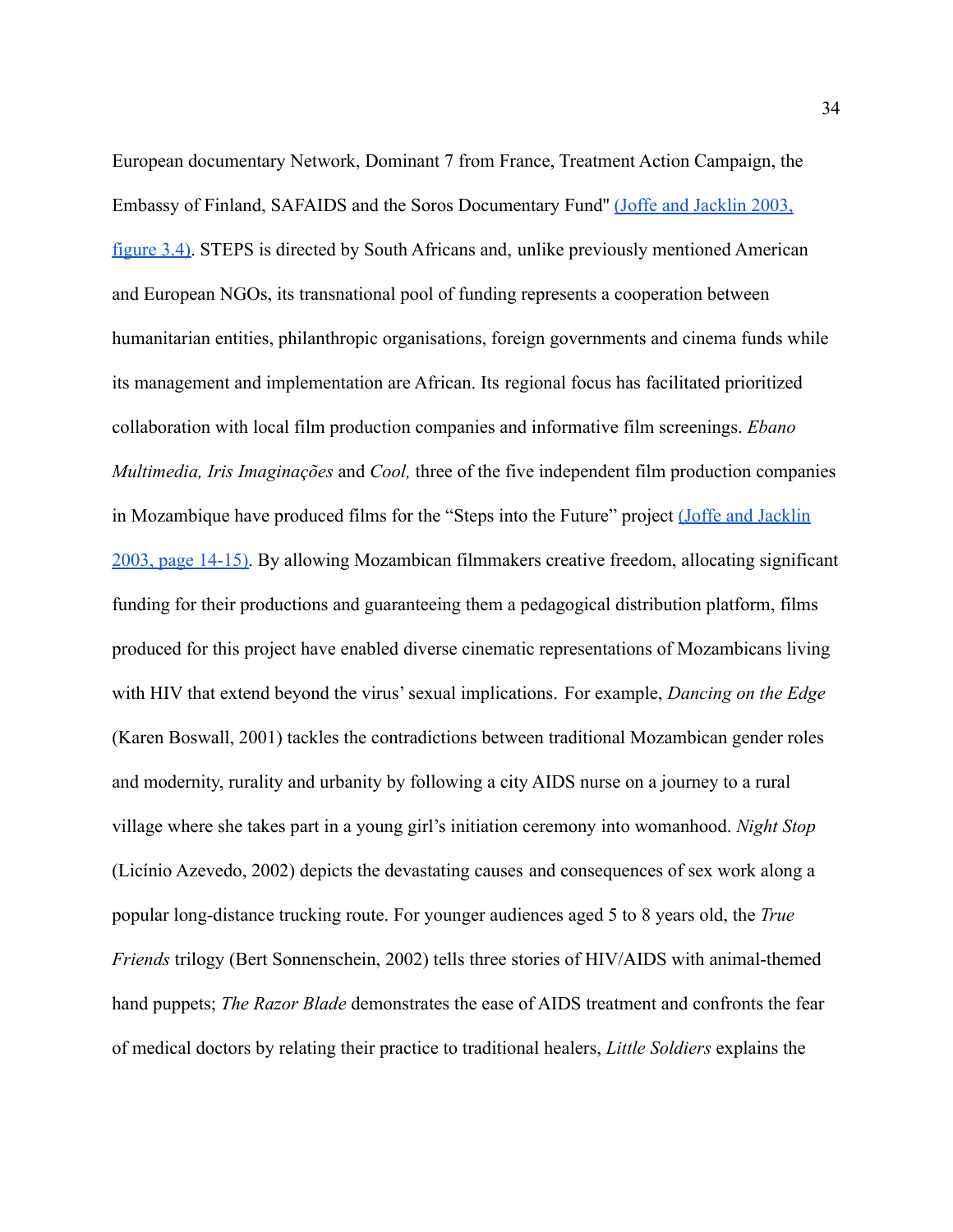European documentary Network, Dominant 7 from France, Treatment Action Campaign, the Embassy of Finland, SAFAIDS and the Soros Documentary Fund'' [\(Joffe and Jacklin 2003,](https://paperpile.com/c/16W0KQ/adIz/?locator_label=figure&locator=3.4) [figure 3.4\).](https://paperpile.com/c/16W0KQ/adIz/?locator_label=figure&locator=3.4) STEPS is directed by South Africans and, unlike previously mentioned American and European NGOs, its transnational pool of funding represents a cooperation between humanitarian entities, philanthropic organisations, foreign governments and cinema funds while its management and implementation are African. Its regional focus has facilitated prioritized collaboration with local film production companies and informative film screenings. *Ebano Multimedia, Iris Imaginações* and *Cool,* three of the five independent film production companies in Mozambique have produced films for the "Steps into the Future" project [\(Joffe and Jacklin](https://paperpile.com/c/16W0KQ/adIz/?locator=14) [2003, page 14-15\).](https://paperpile.com/c/16W0KQ/adIz/?locator=14) By allowing Mozambican filmmakers creative freedom, allocating significant funding for their productions and guaranteeing them a pedagogical distribution platform, films produced for this project have enabled diverse cinematic representations of Mozambicans living with HIV that extend beyond the virus' sexual implications. For example, *Dancing on the Edge* (Karen Boswall, 2001) tackles the contradictions between traditional Mozambican gender roles and modernity, rurality and urbanity by following a city AIDS nurse on a journey to a rural village where she takes part in a young girl's initiation ceremony into womanhood. *Night Stop* (Licínio Azevedo, 2002) depicts the devastating causes and consequences of sex work along a popular long-distance trucking route. For younger audiences aged 5 to 8 years old, the *True Friends* trilogy (Bert Sonnenschein, 2002) tells three stories of HIV/AIDS with animal-themed hand puppets; *The Razor Blade* demonstrates the ease of AIDS treatment and confronts the fear of medical doctors by relating their practice to traditional healers, *Little Soldiers* explains the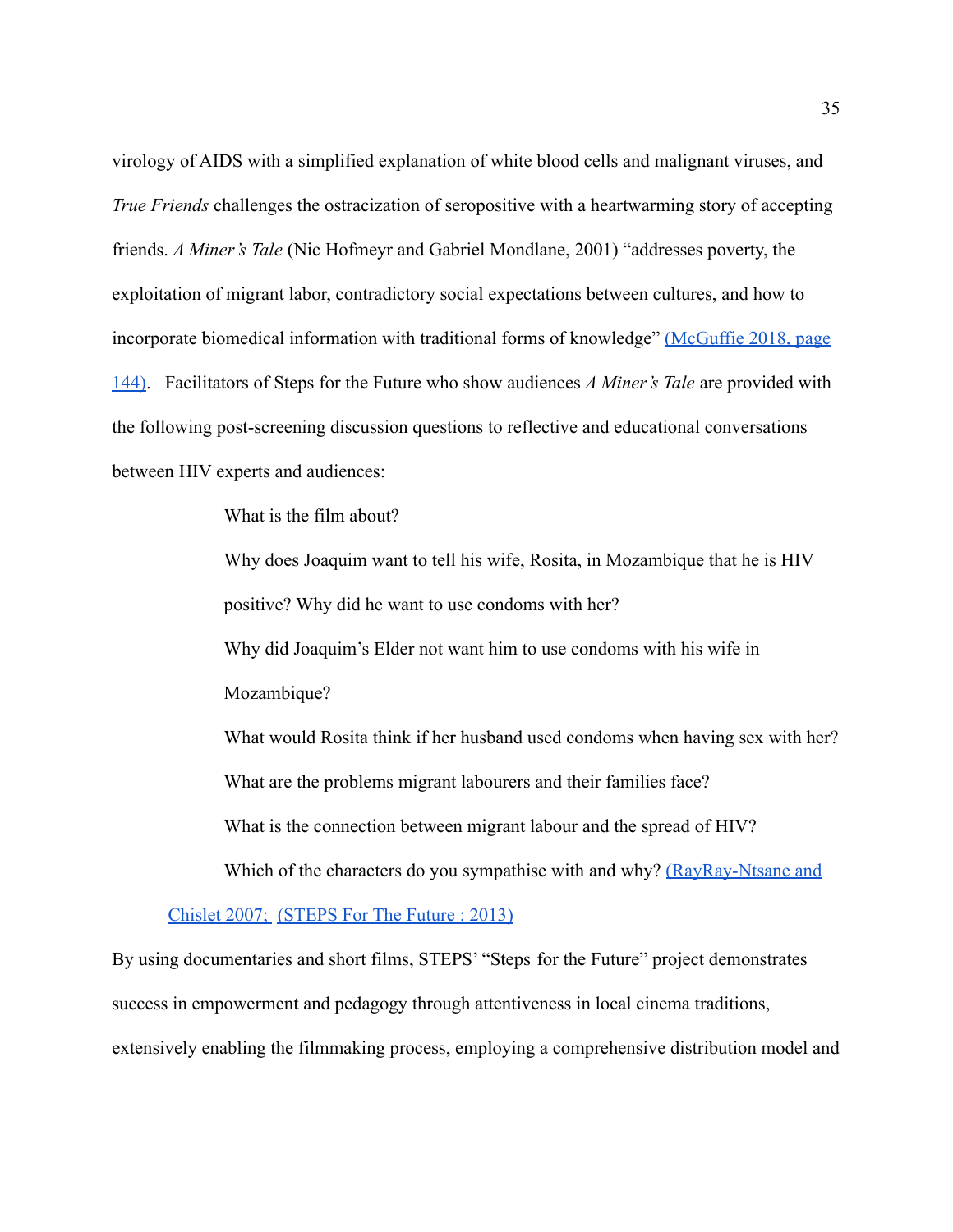virology of AIDS with a simplified explanation of white blood cells and malignant viruses, and *True Friends* challenges the ostracization of seropositive with a heartwarming story of accepting friends. *A Miner's Tale* (Nic Hofmeyr and Gabriel Mondlane, 2001) "addresses poverty, the exploitation of migrant labor, contradictory social expectations between cultures, and how to incorporate biomedical information with traditional forms of knowledge" [\(McGuffie 2018, page](https://paperpile.com/c/16W0KQ/BbUb/?locator=144) [144\).](https://paperpile.com/c/16W0KQ/BbUb/?locator=144) Facilitators of Steps for the Future who show audiences *A Miner's Tale* are provided with the following post-screening discussion questions to reflective and educational conversations between HIV experts and audiences:

What is the film about?

Why does Joaquim want to tell his wife, Rosita, in Mozambique that he is HIV positive? Why did he want to use condoms with her? Why did Joaquim's Elder not want him to use condoms with his wife in Mozambique? What would Rosita think if her husband used condoms when having sex with her? What are the problems migrant labourers and their families face? What is the connection between migrant labour and the spread of HIV? Which of the characters do you sympathise with and why? [\(RayRay-Ntsane and](https://paperpile.com/c/16W0KQ/orUg)

[Chislet 2007;](https://paperpile.com/c/16W0KQ/orUg) [\(STEPS For The Future : 2013](https://paperpile.com/c/CHH1dt/x5r8)[\)](https://paperpile.com/c/16W0KQ/orUg)

By using documentaries and short films, STEPS' "Steps for the Future" project demonstrates success in empowerment and pedagogy through attentiveness in local cinema traditions, extensively enabling the filmmaking process, employing a comprehensive distribution model and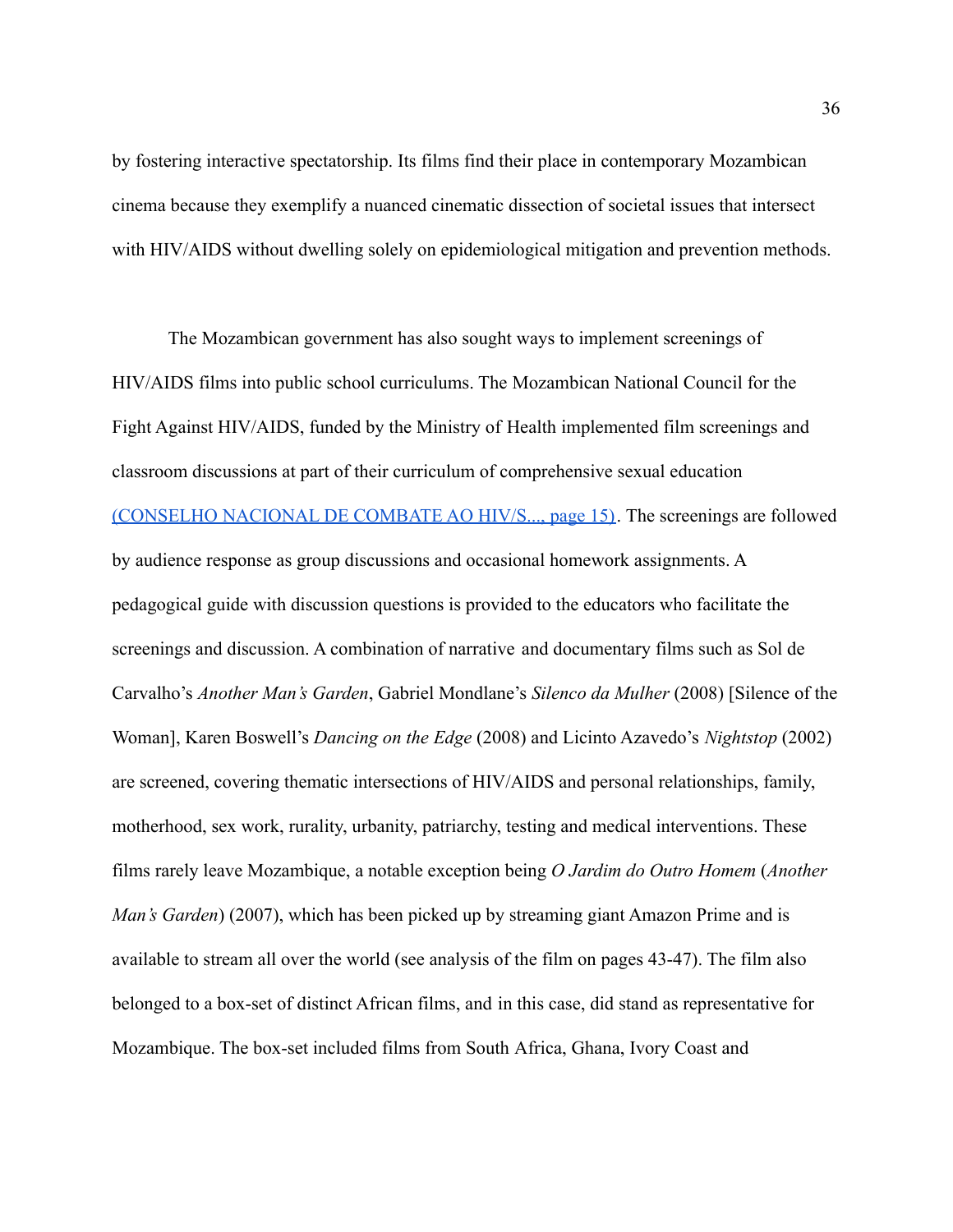by fostering interactive spectatorship. Its films find their place in contemporary Mozambican cinema because they exemplify a nuanced cinematic dissection of societal issues that intersect with HIV/AIDS without dwelling solely on epidemiological mitigation and prevention methods.

The Mozambican government has also sought ways to implement screenings of HIV/AIDS films into public school curriculums. The Mozambican National Council for the Fight Against HIV/AIDS, funded by the Ministry of Health implemented film screenings and classroom discussions at part of their curriculum of comprehensive sexual education [\(CONSELHO NACIONAL DE COMBATE AO HIV/S..., page 15\)](https://paperpile.com/c/CHH1dt/PIup/?locator=15). The screenings are followed by audience response as group discussions and occasional homework assignments. A pedagogical guide with discussion questions is provided to the educators who facilitate the screenings and discussion. A combination of narrative and documentary films such as Sol de Carvalho's *Another Man's Garden*, Gabriel Mondlane's *Silenco da Mulher* (2008) [Silence of the Woman], Karen Boswell's *Dancing on the Edge* (2008) and Licinto Azavedo's *Nightstop* (2002) are screened, covering thematic intersections of HIV/AIDS and personal relationships, family, motherhood, sex work, rurality, urbanity, patriarchy, testing and medical interventions. These films rarely leave Mozambique, a notable exception being *O Jardim do Outro Homem* (*Another Man's Garden*) (2007), which has been picked up by streaming giant Amazon Prime and is available to stream all over the world (see analysis of the film on pages 43-47). The film also belonged to a box-set of distinct African films, and in this case, did stand as representative for Mozambique. The box-set included films from South Africa, Ghana, Ivory Coast and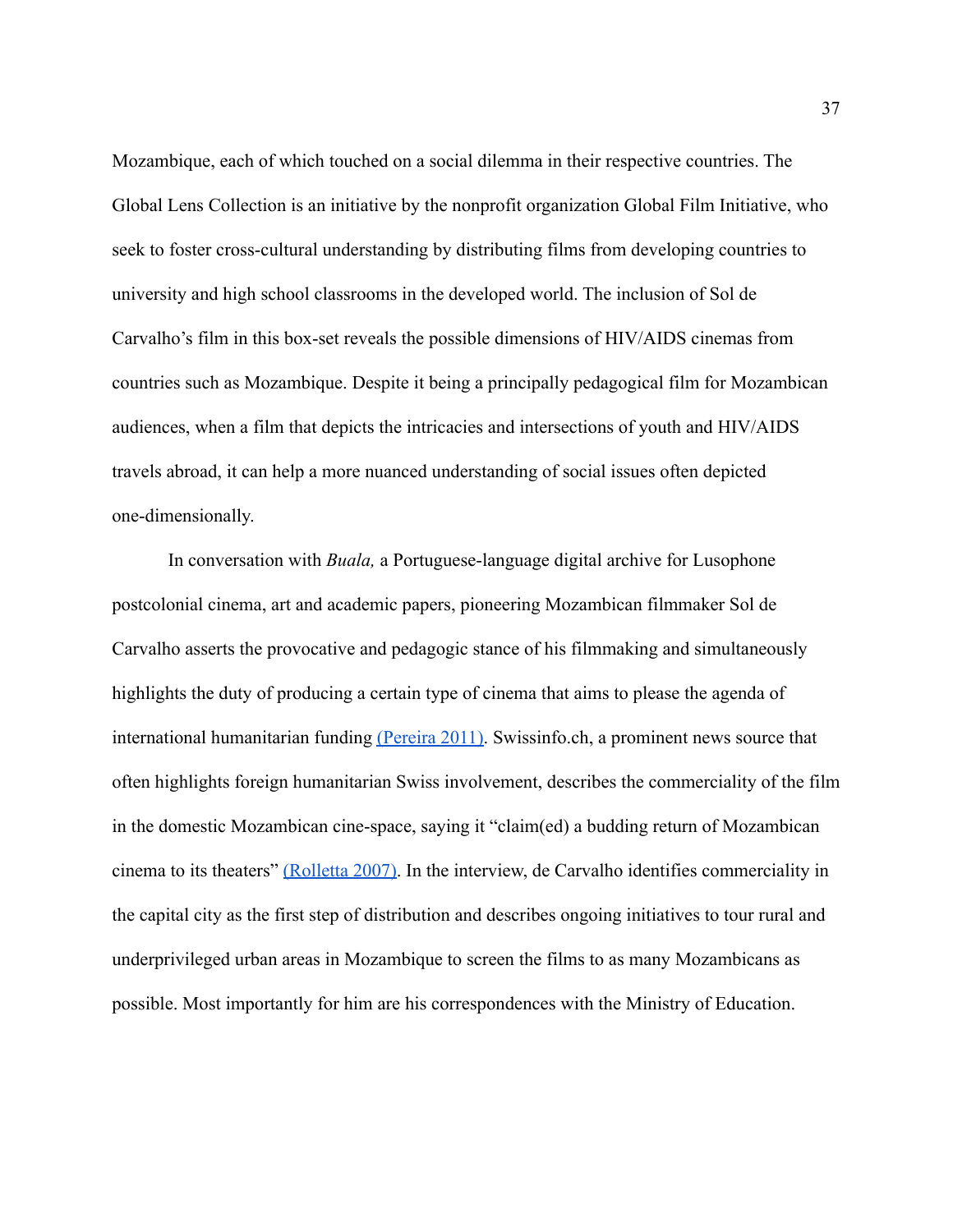Mozambique, each of which touched on a social dilemma in their respective countries. The Global Lens Collection is an initiative by the nonprofit organization Global Film Initiative, who seek to foster cross-cultural understanding by distributing films from developing countries to university and high school classrooms in the developed world. The inclusion of Sol de Carvalho's film in this box-set reveals the possible dimensions of HIV/AIDS cinemas from countries such as Mozambique. Despite it being a principally pedagogical film for Mozambican audiences, when a film that depicts the intricacies and intersections of youth and HIV/AIDS travels abroad, it can help a more nuanced understanding of social issues often depicted one-dimensionally.

In conversation with *Buala,* a Portuguese-language digital archive for Lusophone postcolonial cinema, art and academic papers, pioneering Mozambican filmmaker Sol de Carvalho asserts the provocative and pedagogic stance of his filmmaking and simultaneously highlights the duty of producing a certain type of cinema that aims to please the agenda of international humanitarian funding [\(Pereira 2011\).](https://paperpile.com/c/16W0KQ/84Hi) Swissinfo.ch, a prominent news source that often highlights foreign humanitarian Swiss involvement, describes the commerciality of the film in the domestic Mozambican cine-space, saying it "claim(ed) a budding return of Mozambican cinema to its theaters" [\(Rolletta 2007\).](https://paperpile.com/c/16W0KQ/3pcJ) In the interview, de Carvalho identifies commerciality in the capital city as the first step of distribution and describes ongoing initiatives to tour rural and underprivileged urban areas in Mozambique to screen the films to as many Mozambicans as possible. Most importantly for him are his correspondences with the Ministry of Education.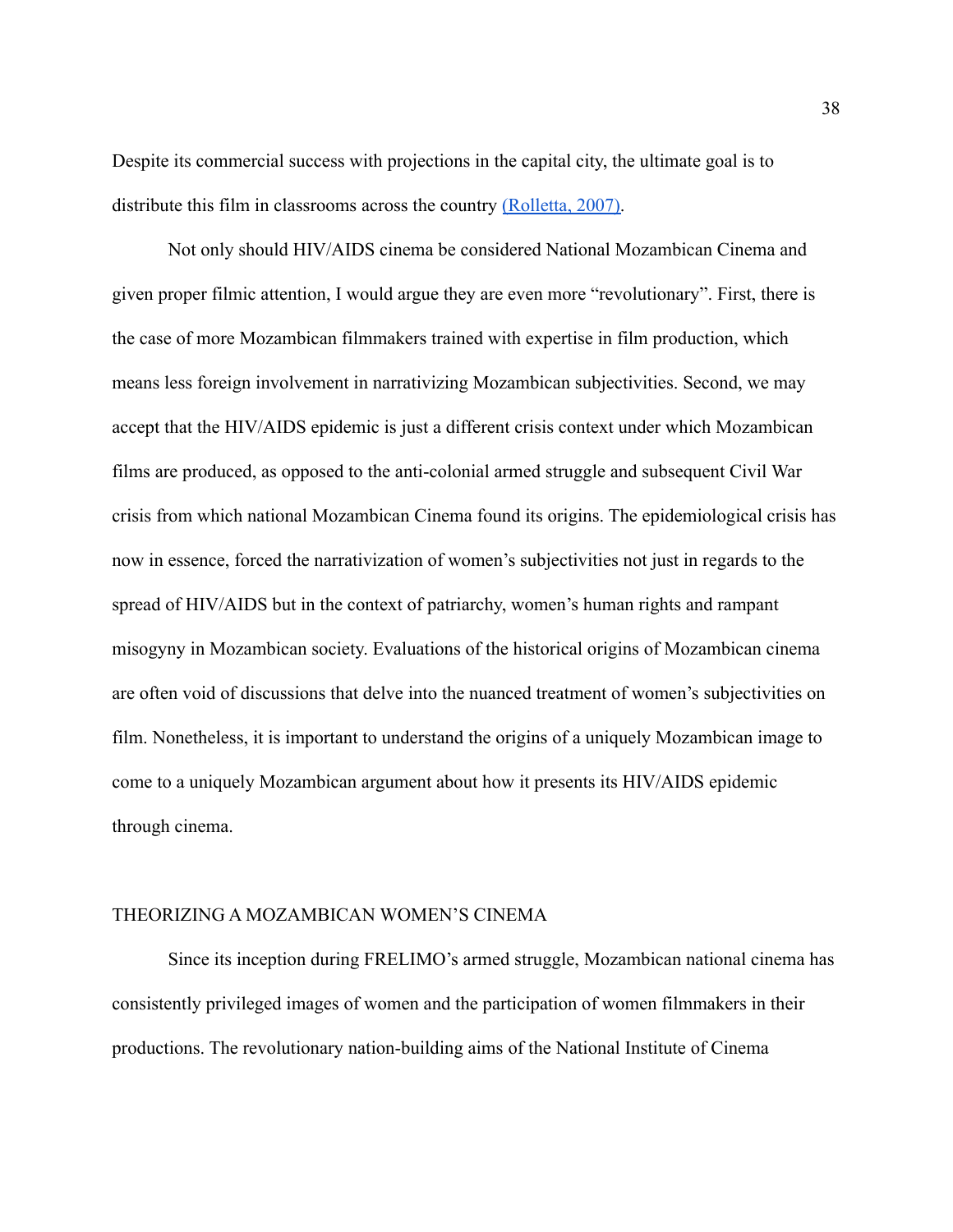Despite its commercial success with projections in the capital city, the ultimate goal is to distribute this film in classrooms across the country [\(Rolletta, 2007\).](https://paperpile.com/c/16W0KQ/3pcJ)

Not only should HIV/AIDS cinema be considered National Mozambican Cinema and given proper filmic attention, I would argue they are even more "revolutionary". First, there is the case of more Mozambican filmmakers trained with expertise in film production, which means less foreign involvement in narrativizing Mozambican subjectivities. Second, we may accept that the HIV/AIDS epidemic is just a different crisis context under which Mozambican films are produced, as opposed to the anti-colonial armed struggle and subsequent Civil War crisis from which national Mozambican Cinema found its origins. The epidemiological crisis has now in essence, forced the narrativization of women's subjectivities not just in regards to the spread of HIV/AIDS but in the context of patriarchy, women's human rights and rampant misogyny in Mozambican society. Evaluations of the historical origins of Mozambican cinema are often void of discussions that delve into the nuanced treatment of women's subjectivities on film. Nonetheless, it is important to understand the origins of a uniquely Mozambican image to come to a uniquely Mozambican argument about how it presents its HIV/AIDS epidemic through cinema.

#### THEORIZING A MOZAMBICAN WOMEN'S CINEMA

Since its inception during FRELIMO's armed struggle, Mozambican national cinema has consistently privileged images of women and the participation of women filmmakers in their productions. The revolutionary nation-building aims of the National Institute of Cinema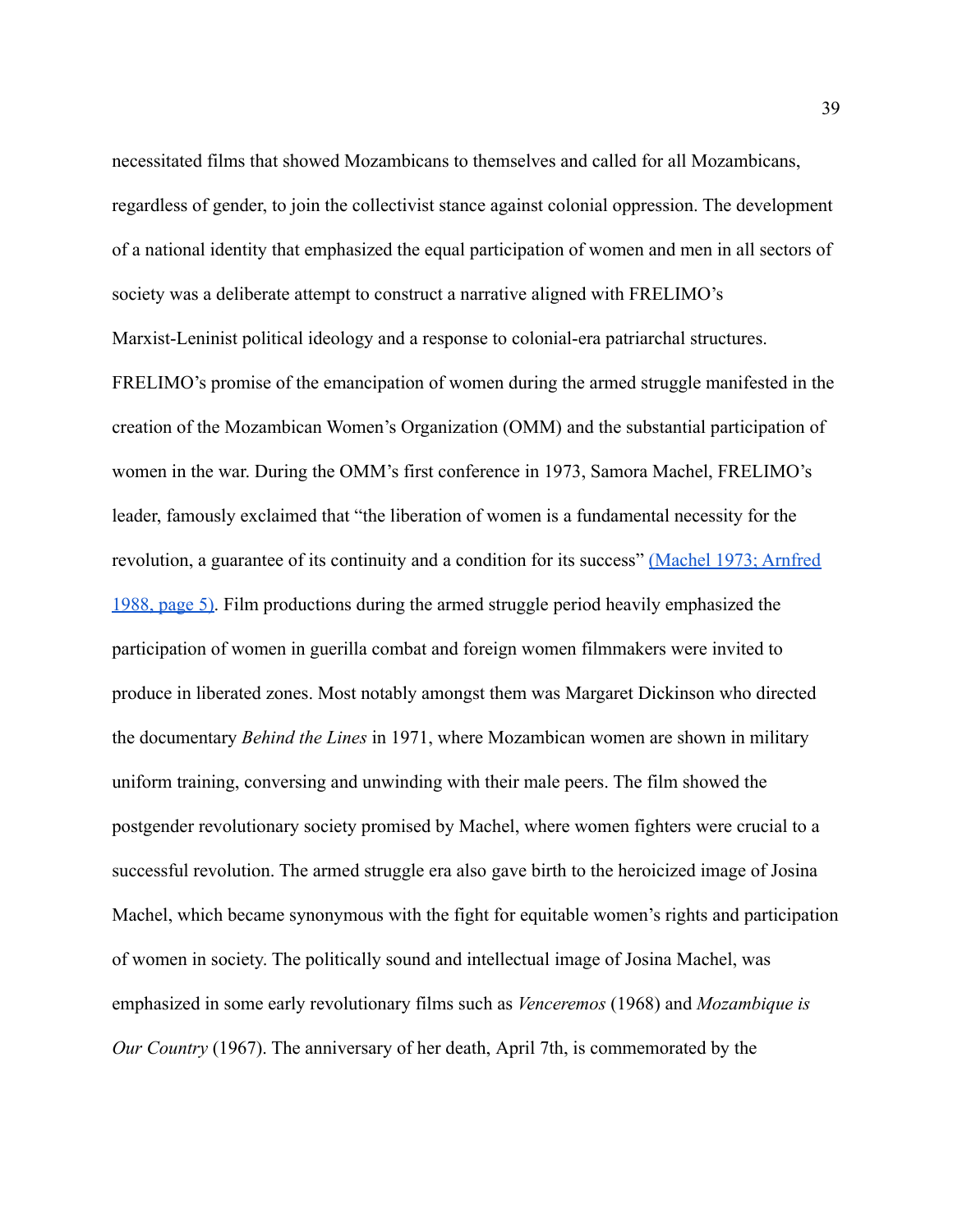necessitated films that showed Mozambicans to themselves and called for all Mozambicans, regardless of gender, to join the collectivist stance against colonial oppression. The development of a national identity that emphasized the equal participation of women and men in all sectors of society was a deliberate attempt to construct a narrative aligned with FRELIMO's Marxist-Leninist political ideology and a response to colonial-era patriarchal structures. FRELIMO's promise of the emancipation of women during the armed struggle manifested in the creation of the Mozambican Women's Organization (OMM) and the substantial participation of women in the war. During the OMM's first conference in 1973, Samora Machel, FRELIMO's leader, famously exclaimed that "the liberation of women is a fundamental necessity for the revolution, a guarantee of its continuity and a condition for its success" [\(Machel 1973; Arnfred](https://paperpile.com/c/16W0KQ/h9kH/?locator=5) [1988, page 5\).](https://paperpile.com/c/16W0KQ/h9kH/?locator=5) Film productions during the armed struggle period heavily emphasized the participation of women in guerilla combat and foreign women filmmakers were invited to produce in liberated zones. Most notably amongst them was Margaret Dickinson who directed the documentary *Behind the Lines* in 1971, where Mozambican women are shown in military uniform training, conversing and unwinding with their male peers. The film showed the postgender revolutionary society promised by Machel, where women fighters were crucial to a successful revolution. The armed struggle era also gave birth to the heroicized image of Josina Machel, which became synonymous with the fight for equitable women's rights and participation of women in society. The politically sound and intellectual image of Josina Machel, was emphasized in some early revolutionary films such as *Venceremos* (1968) and *Mozambique is Our Country* (1967). The anniversary of her death, April 7th, is commemorated by the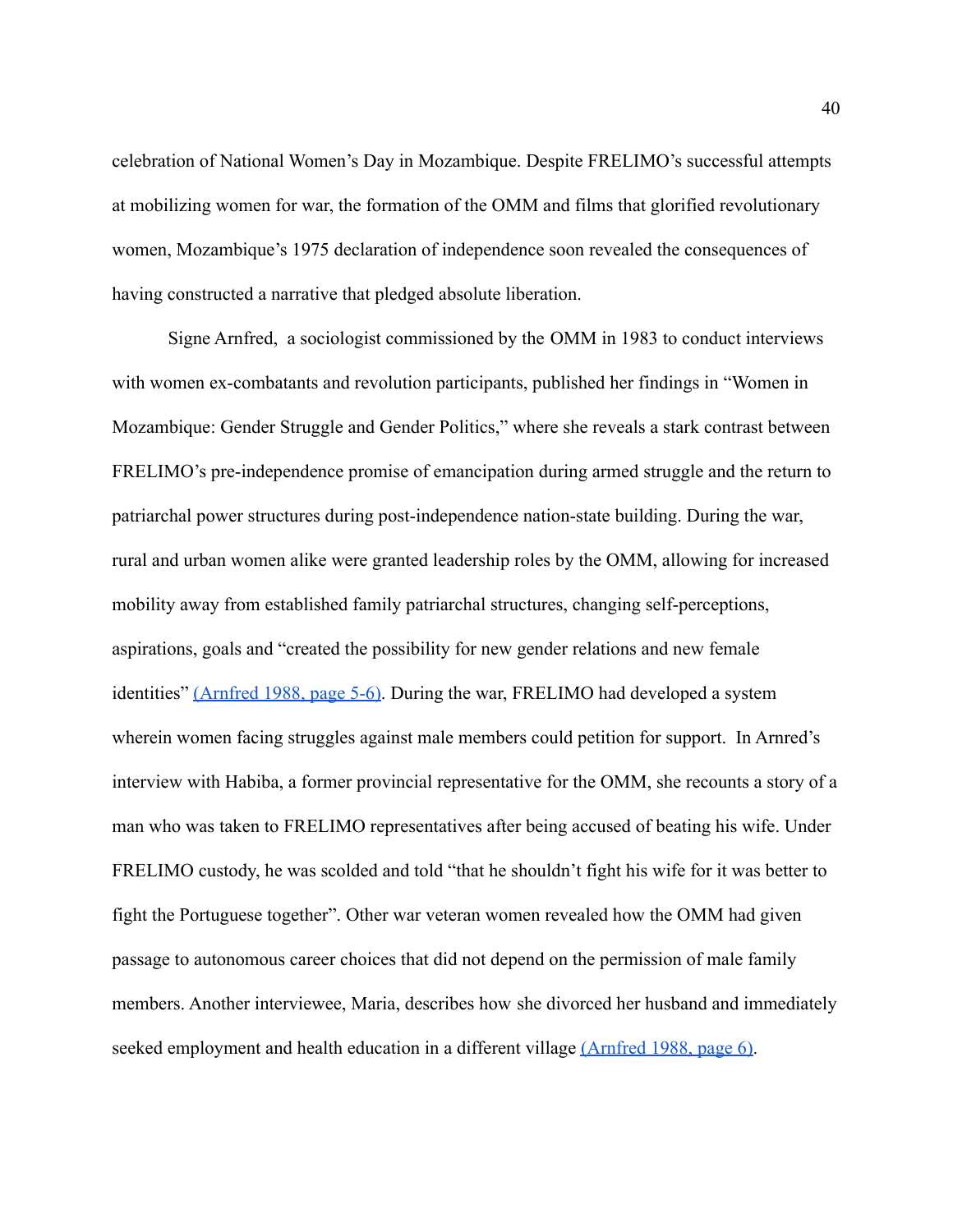celebration of National Women's Day in Mozambique. Despite FRELIMO's successful attempts at mobilizing women for war, the formation of the OMM and films that glorified revolutionary women, Mozambique's 1975 declaration of independence soon revealed the consequences of having constructed a narrative that pledged absolute liberation.

Signe Arnfred, a sociologist commissioned by the OMM in 1983 to conduct interviews with women ex-combatants and revolution participants, published her findings in "Women in Mozambique: Gender Struggle and Gender Politics," where she reveals a stark contrast between FRELIMO's pre-independence promise of emancipation during armed struggle and the return to patriarchal power structures during post-independence nation-state building. During the war, rural and urban women alike were granted leadership roles by the OMM, allowing for increased mobility away from established family patriarchal structures, changing self-perceptions, aspirations, goals and "created the possibility for new gender relations and new female identities" [\(Arnfred 1988, page 5-6\).](https://paperpile.com/c/16W0KQ/h9kH/?locator=5-6) During the war, FRELIMO had developed a system wherein women facing struggles against male members could petition for support. In Arnred's interview with Habiba, a former provincial representative for the OMM, she recounts a story of a man who was taken to FRELIMO representatives after being accused of beating his wife. Under FRELIMO custody, he was scolded and told "that he shouldn't fight his wife for it was better to fight the Portuguese together". Other war veteran women revealed how the OMM had given passage to autonomous career choices that did not depend on the permission of male family members. Another interviewee, Maria, describes how she divorced her husband and immediately seeked employment and health education in a different village [\(Arnfred 1988, page 6\).](https://paperpile.com/c/16W0KQ/h9kH/?locator=5-6)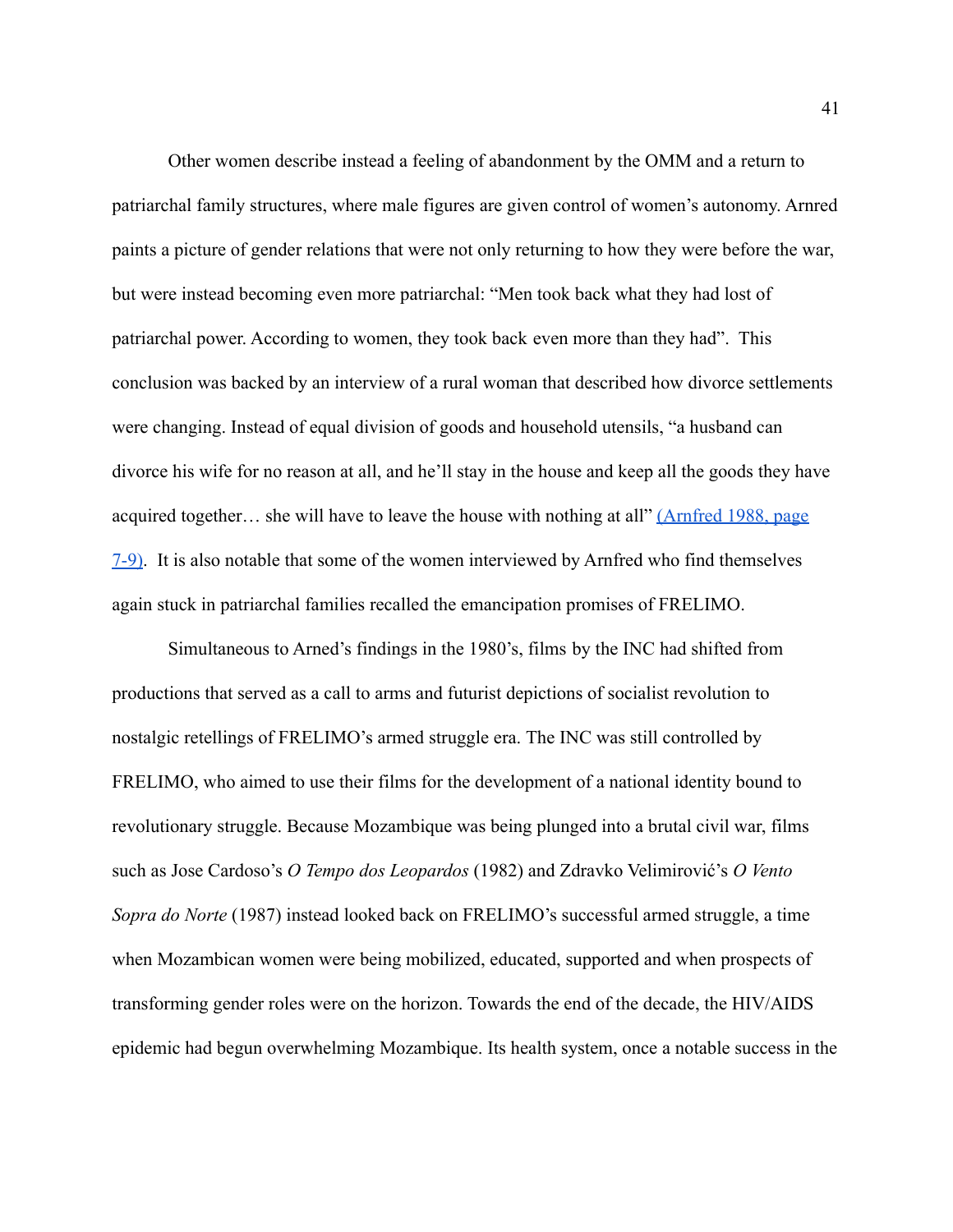Other women describe instead a feeling of abandonment by the OMM and a return to patriarchal family structures, where male figures are given control of women's autonomy. Arnred paints a picture of gender relations that were not only returning to how they were before the war, but were instead becoming even more patriarchal: "Men took back what they had lost of patriarchal power. According to women, they took back even more than they had". This conclusion was backed by an interview of a rural woman that described how divorce settlements were changing. Instead of equal division of goods and household utensils, "a husband can divorce his wife for no reason at all, and he'll stay in the house and keep all the goods they have acquired together… she will have to leave the house with nothing at all" [\(Arnfred 1988, page](https://paperpile.com/c/16W0KQ/h9kH/?locator=5-6) [7-9\).](https://paperpile.com/c/16W0KQ/h9kH/?locator=5-6) It is also notable that some of the women interviewed by Arnfred who find themselves again stuck in patriarchal families recalled the emancipation promises of FRELIMO.

Simultaneous to Arned's findings in the 1980's, films by the INC had shifted from productions that served as a call to arms and futurist depictions of socialist revolution to nostalgic retellings of FRELIMO's armed struggle era. The INC was still controlled by FRELIMO, who aimed to use their films for the development of a national identity bound to revolutionary struggle. Because Mozambique was being plunged into a brutal civil war, films such as Jose Cardoso's *O Tempo dos Leopardos* (1982) and Zdravko Velimirović's *O Vento Sopra do Norte* (1987) instead looked back on FRELIMO's successful armed struggle, a time when Mozambican women were being mobilized, educated, supported and when prospects of transforming gender roles were on the horizon. Towards the end of the decade, the HIV/AIDS epidemic had begun overwhelming Mozambique. Its health system, once a notable success in the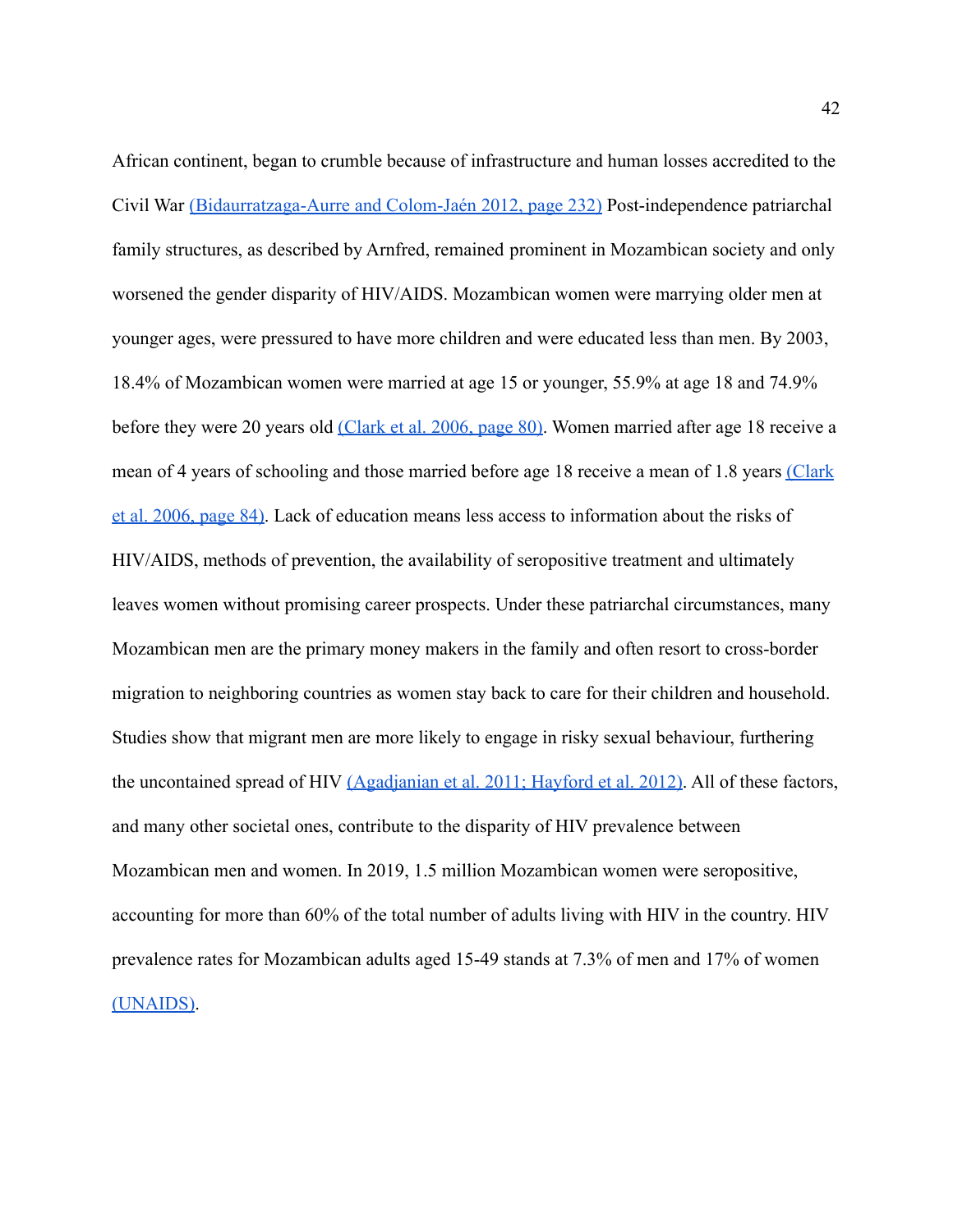African continent, began to crumble because of infrastructure and human losses accredited to the Civil War [\(Bidaurratzaga-Aurre and Colom-Jaén 2012,](https://paperpile.com/c/H3xfq9/JxPP/?locator=232) page 232) Post-independence patriarchal family structures, as described by Arnfred, remained prominent in Mozambican society and only worsened the gender disparity of HIV/AIDS. Mozambican women were marrying older men at younger ages, were pressured to have more children and were educated less than men. By 2003, 18.4% of Mozambican women were married at age 15 or younger, 55.9% at age 18 and 74.9% before they were 20 years old [\(Clark et al. 2006,](https://paperpile.com/c/H3xfq9/vIiV/?locator=80) page 80). Women married after age 18 receive a mean of 4 years of schooling and those married before age 18 receive a mean of 1.8 years [\(Clark](https://paperpile.com/c/H3xfq9/vIiV/?locator=84) [et al. 2006, page 84\).](https://paperpile.com/c/H3xfq9/vIiV/?locator=84) Lack of education means less access to information about the risks of HIV/AIDS, methods of prevention, the availability of seropositive treatment and ultimately leaves women without promising career prospects. Under these patriarchal circumstances, many Mozambican men are the primary money makers in the family and often resort to cross-border migration to neighboring countries as women stay back to care for their children and household. Studies show that migrant men are more likely to engage in risky sexual behaviour, furthering the uncontained spread of HIV [\(Agadjanian et al. 2011;](https://paperpile.com/c/H3xfq9/JhPR+OKD6) Hayford et al. 2012). All of these factors, and many other societal ones, contribute to the disparity of HIV prevalence between Mozambican men and women. In 2019, 1.5 million Mozambican women were seropositive, accounting for more than 60% of the total number of adults living with HIV in the country. HIV prevalence rates for Mozambican adults aged 15-49 stands at 7.3% of men and 17% of women [\(UNAIDS\)](https://paperpile.com/c/H3xfq9/TGeS).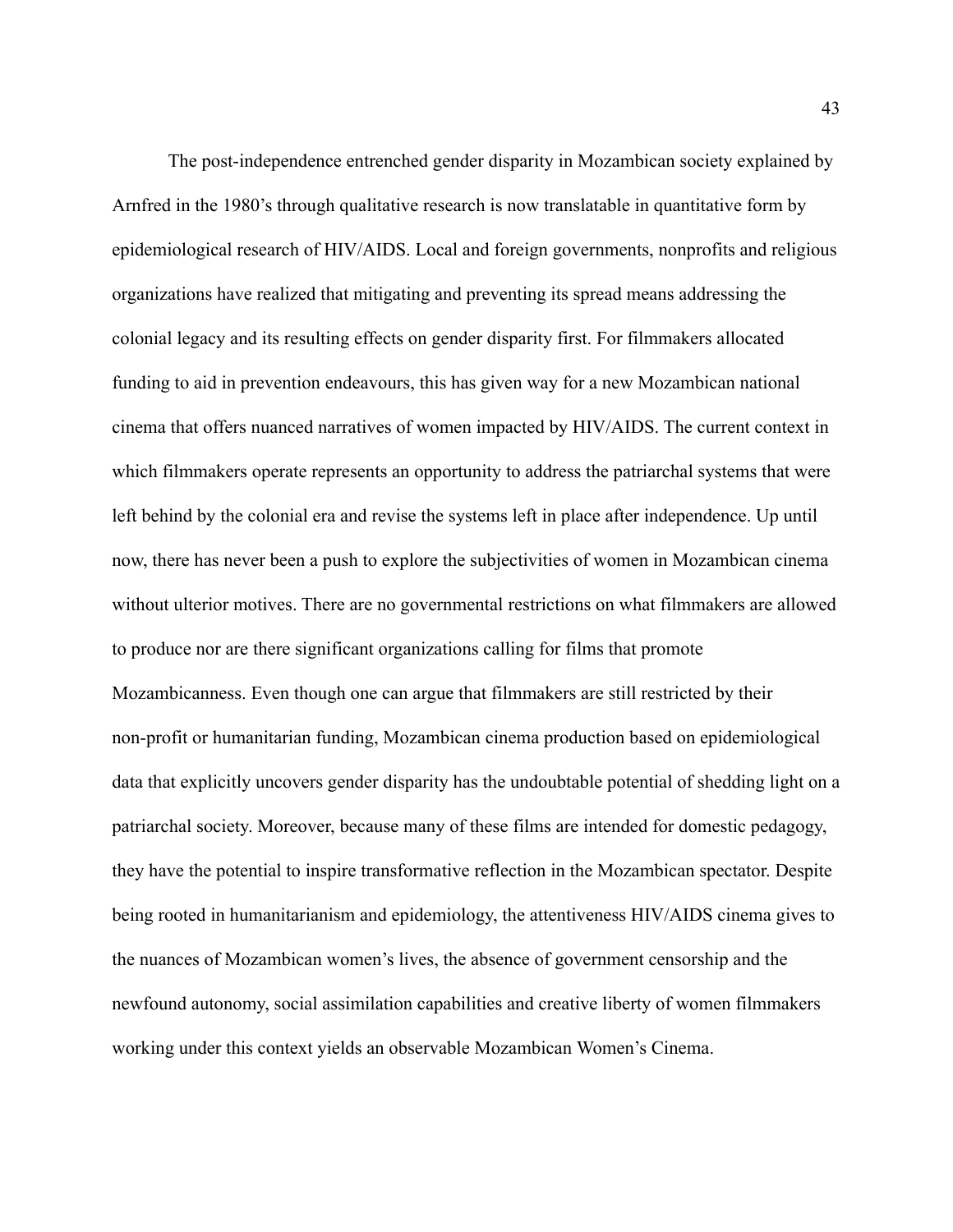The post-independence entrenched gender disparity in Mozambican society explained by Arnfred in the 1980's through qualitative research is now translatable in quantitative form by epidemiological research of HIV/AIDS. Local and foreign governments, nonprofits and religious organizations have realized that mitigating and preventing its spread means addressing the colonial legacy and its resulting effects on gender disparity first. For filmmakers allocated funding to aid in prevention endeavours, this has given way for a new Mozambican national cinema that offers nuanced narratives of women impacted by HIV/AIDS. The current context in which filmmakers operate represents an opportunity to address the patriarchal systems that were left behind by the colonial era and revise the systems left in place after independence. Up until now, there has never been a push to explore the subjectivities of women in Mozambican cinema without ulterior motives. There are no governmental restrictions on what filmmakers are allowed to produce nor are there significant organizations calling for films that promote Mozambicanness. Even though one can argue that filmmakers are still restricted by their non-profit or humanitarian funding, Mozambican cinema production based on epidemiological data that explicitly uncovers gender disparity has the undoubtable potential of shedding light on a patriarchal society. Moreover, because many of these films are intended for domestic pedagogy, they have the potential to inspire transformative reflection in the Mozambican spectator. Despite being rooted in humanitarianism and epidemiology, the attentiveness HIV/AIDS cinema gives to the nuances of Mozambican women's lives, the absence of government censorship and the newfound autonomy, social assimilation capabilities and creative liberty of women filmmakers working under this context yields an observable Mozambican Women's Cinema.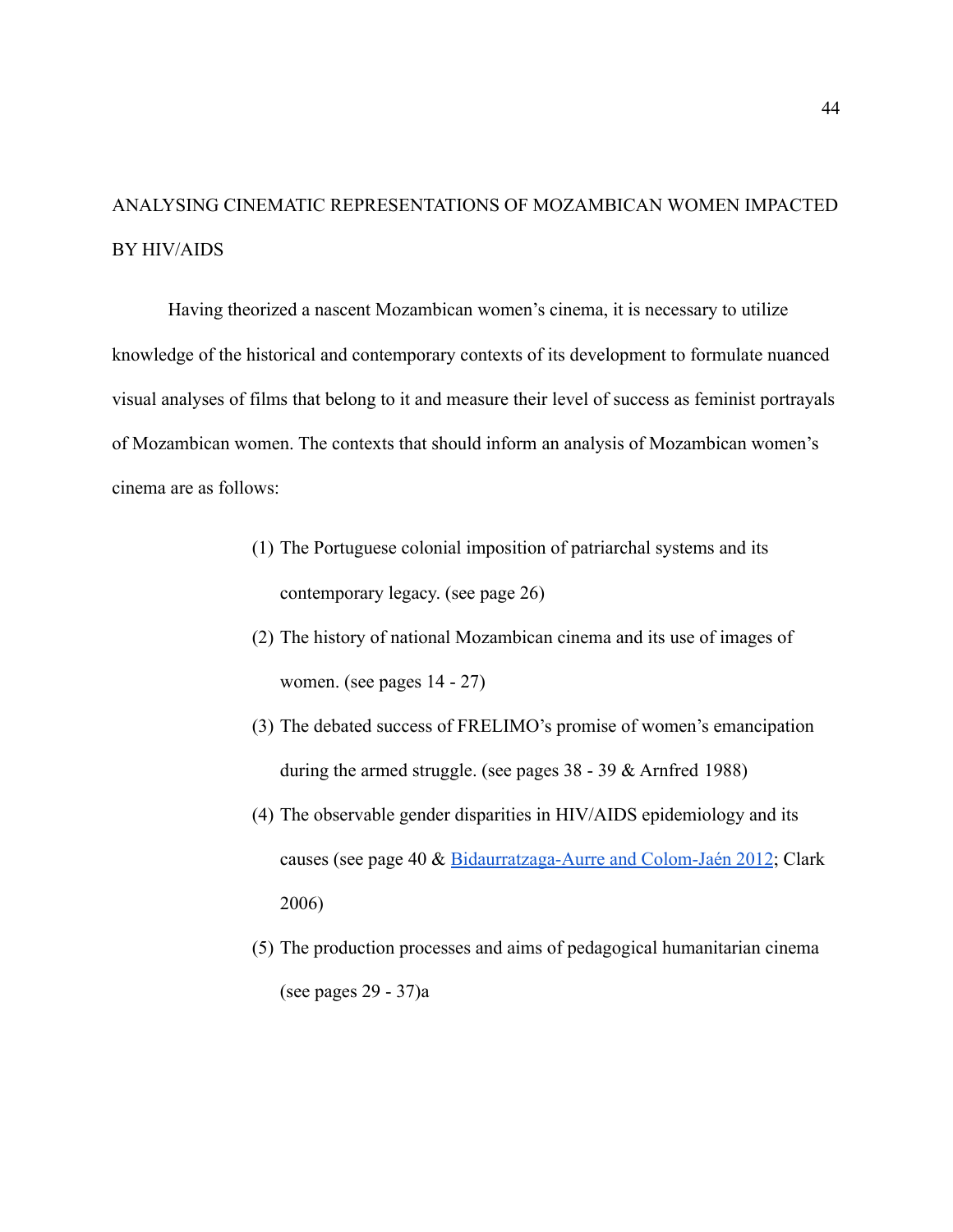# ANALYSING CINEMATIC REPRESENTATIONS OF MOZAMBICAN WOMEN IMPACTED BY HIV/AIDS

Having theorized a nascent Mozambican women's cinema, it is necessary to utilize knowledge of the historical and contemporary contexts of its development to formulate nuanced visual analyses of films that belong to it and measure their level of success as feminist portrayals of Mozambican women. The contexts that should inform an analysis of Mozambican women's cinema are as follows:

- (1) The Portuguese colonial imposition of patriarchal systems and its contemporary legacy. (see page 26)
- (2) The history of national Mozambican cinema and its use of images of women. (see pages 14 - 27)
- (3) The debated success of FRELIMO's promise of women's emancipation during the armed struggle. (see pages 38 - 39 & Arnfred 1988)
- (4) The observable gender disparities in HIV/AIDS epidemiology and its causes (see page 40 & [Bidaurratzaga-Aurre and Colom-Jaén](https://paperpile.com/c/H3xfq9/JxPP/?locator=232) 2012; Clark 2006)
- (5) The production processes and aims of pedagogical humanitarian cinema (see pages 29 - 37)a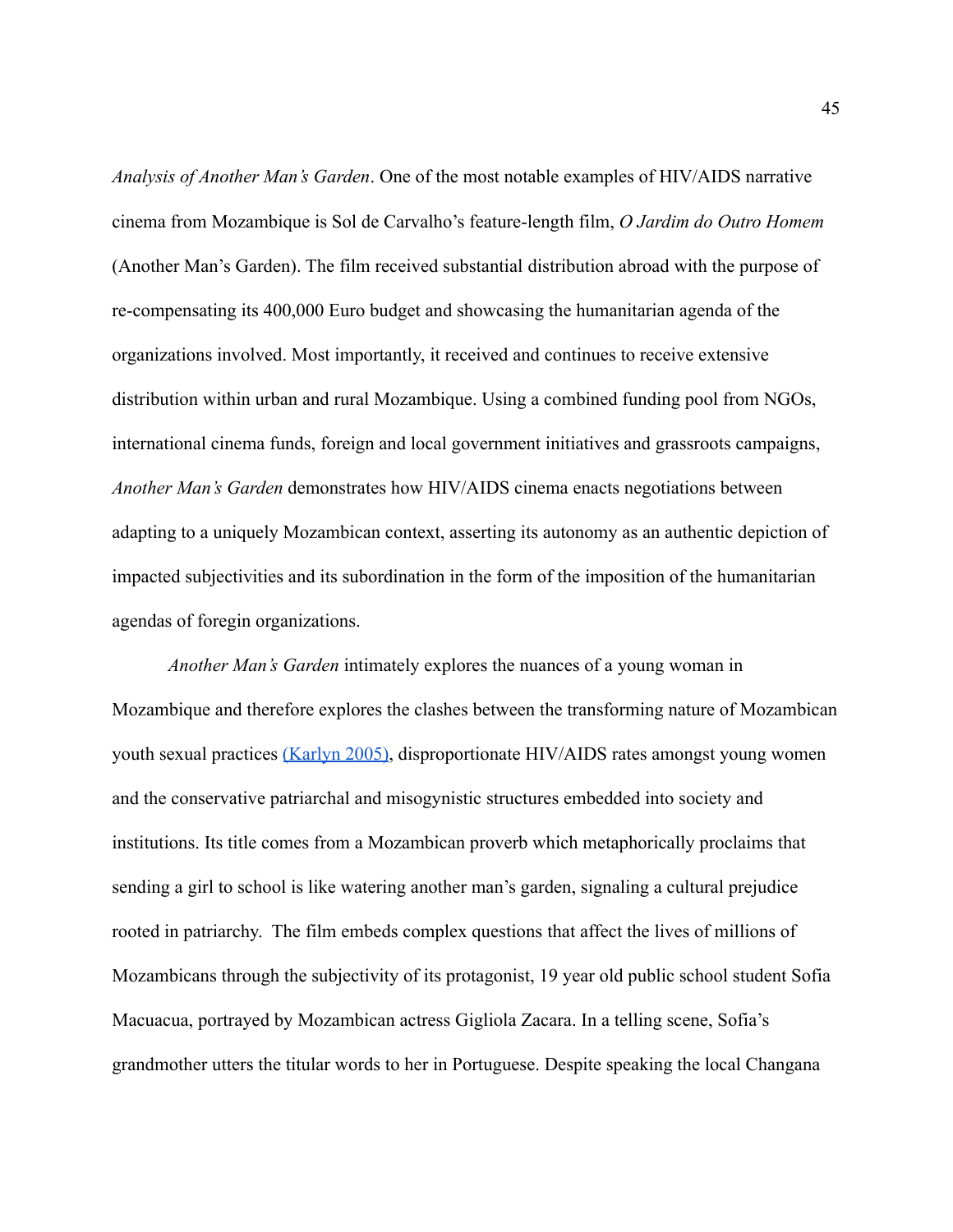*Analysis of Another Man's Garden*. One of the most notable examples of HIV/AIDS narrative cinema from Mozambique is Sol de Carvalho's feature-length film, *O Jardim do Outro Homem* (Another Man's Garden). The film received substantial distribution abroad with the purpose of re-compensating its 400,000 Euro budget and showcasing the humanitarian agenda of the organizations involved. Most importantly, it received and continues to receive extensive distribution within urban and rural Mozambique. Using a combined funding pool from NGOs, international cinema funds, foreign and local government initiatives and grassroots campaigns, *Another Man's Garden* demonstrates how HIV/AIDS cinema enacts negotiations between adapting to a uniquely Mozambican context, asserting its autonomy as an authentic depiction of impacted subjectivities and its subordination in the form of the imposition of the humanitarian agendas of foregin organizations.

*Another Man's Garden* intimately explores the nuances of a young woman in Mozambique and therefore explores the clashes between the transforming nature of Mozambican youth sexual practices [\(Karlyn 2005\),](https://paperpile.com/c/54c6Y4/TFnP) disproportionate HIV/AIDS rates amongst young women and the conservative patriarchal and misogynistic structures embedded into society and institutions. Its title comes from a Mozambican proverb which metaphorically proclaims that sending a girl to school is like watering another man's garden, signaling a cultural prejudice rooted in patriarchy. The film embeds complex questions that affect the lives of millions of Mozambicans through the subjectivity of its protagonist, 19 year old public school student Sofia Macuacua, portrayed by Mozambican actress Gigliola Zacara. In a telling scene, Sofia's grandmother utters the titular words to her in Portuguese. Despite speaking the local Changana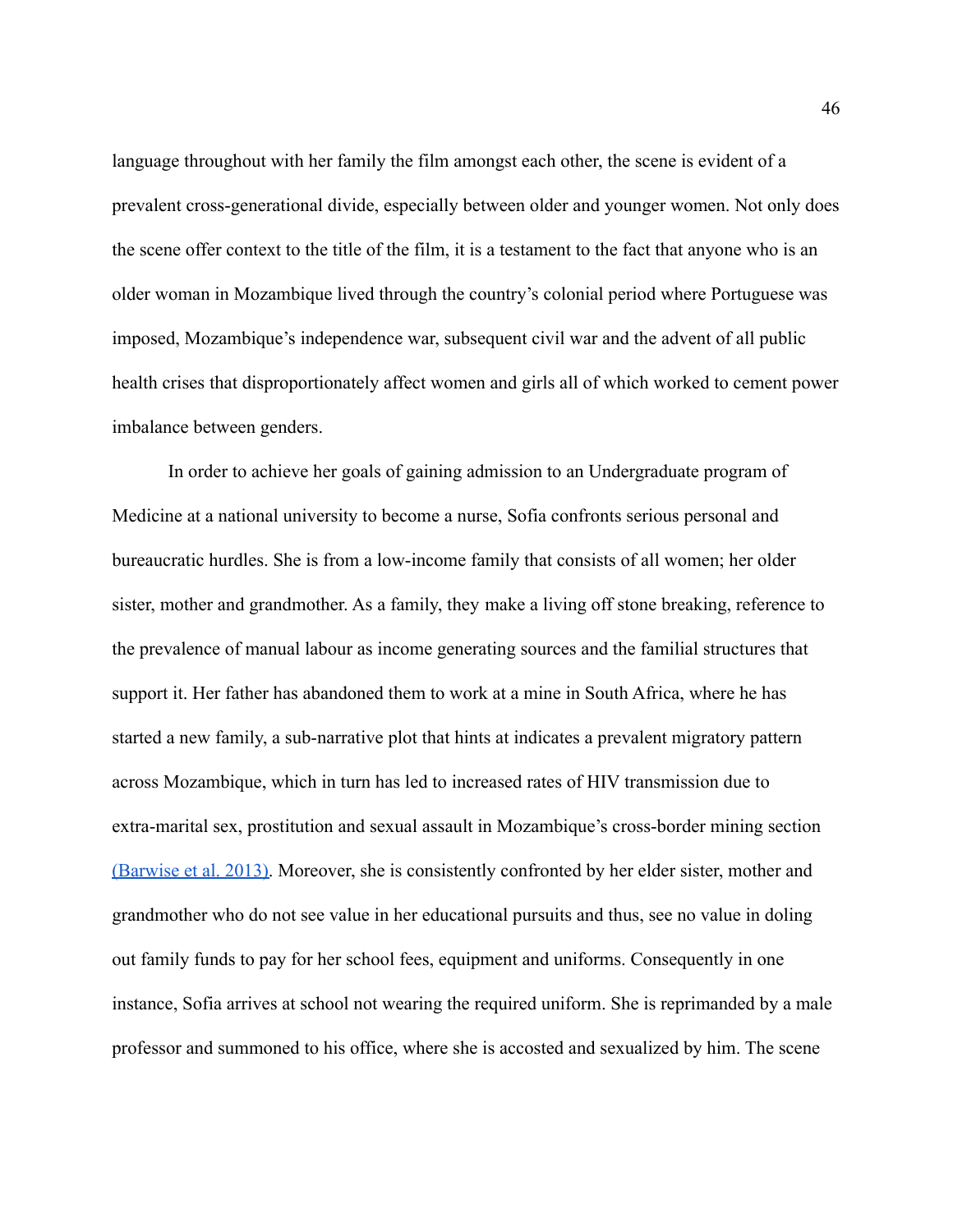language throughout with her family the film amongst each other, the scene is evident of a prevalent cross-generational divide, especially between older and younger women. Not only does the scene offer context to the title of the film, it is a testament to the fact that anyone who is an older woman in Mozambique lived through the country's colonial period where Portuguese was imposed, Mozambique's independence war, subsequent civil war and the advent of all public health crises that disproportionately affect women and girls all of which worked to cement power imbalance between genders.

In order to achieve her goals of gaining admission to an Undergraduate program of Medicine at a national university to become a nurse, Sofia confronts serious personal and bureaucratic hurdles. She is from a low-income family that consists of all women; her older sister, mother and grandmother. As a family, they make a living off stone breaking, reference to the prevalence of manual labour as income generating sources and the familial structures that support it. Her father has abandoned them to work at a mine in South Africa, where he has started a new family, a sub-narrative plot that hints at indicates a prevalent migratory pattern across Mozambique, which in turn has led to increased rates of HIV transmission due to extra-marital sex, prostitution and sexual assault in Mozambique's cross-border mining section [\(Barwise et al. 2013\).](https://paperpile.com/c/54c6Y4/BVNO) Moreover, she is consistently confronted by her elder sister, mother and grandmother who do not see value in her educational pursuits and thus, see no value in doling out family funds to pay for her school fees, equipment and uniforms. Consequently in one instance, Sofia arrives at school not wearing the required uniform. She is reprimanded by a male professor and summoned to his office, where she is accosted and sexualized by him. The scene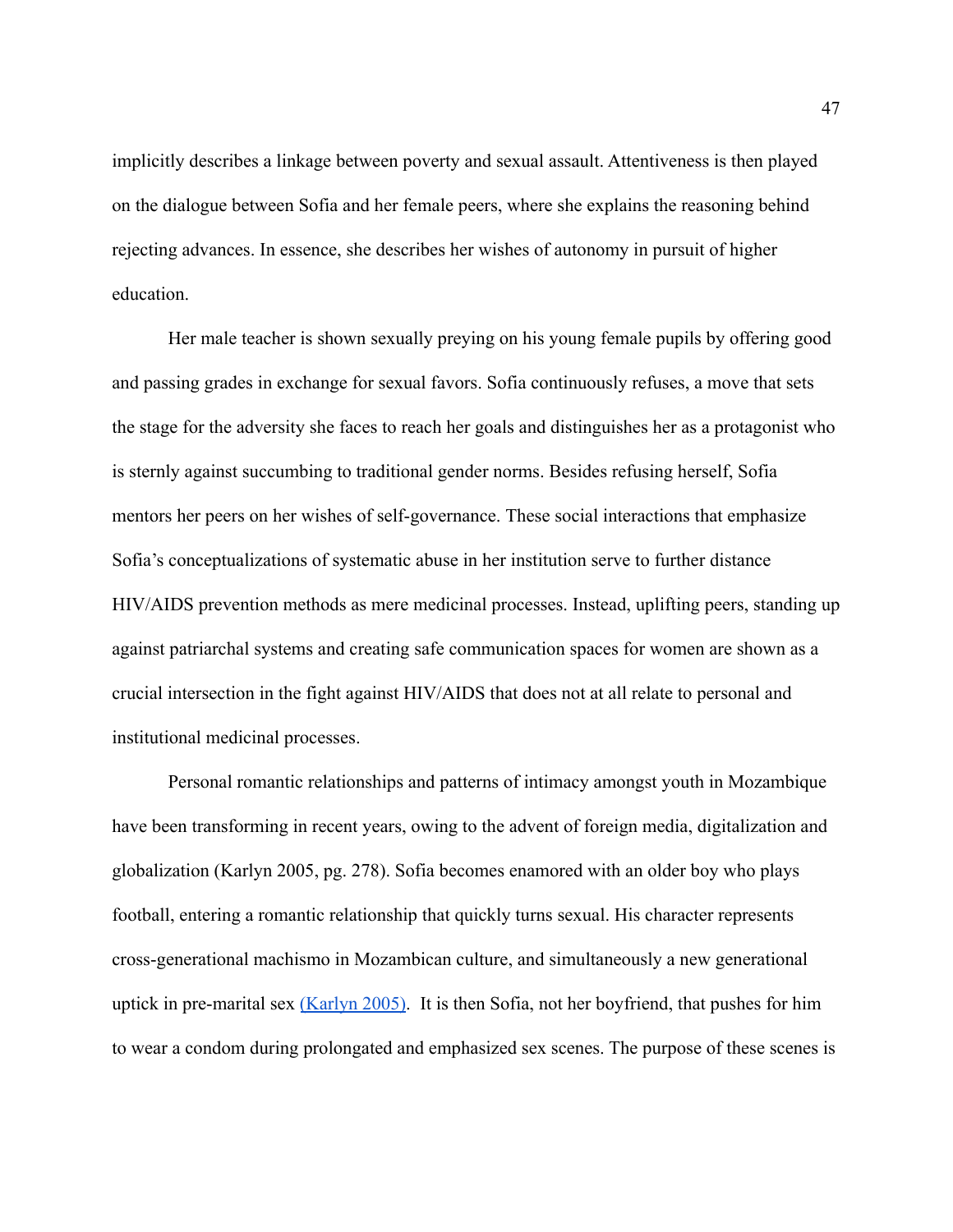implicitly describes a linkage between poverty and sexual assault. Attentiveness is then played on the dialogue between Sofia and her female peers, where she explains the reasoning behind rejecting advances. In essence, she describes her wishes of autonomy in pursuit of higher education.

Her male teacher is shown sexually preying on his young female pupils by offering good and passing grades in exchange for sexual favors. Sofia continuously refuses, a move that sets the stage for the adversity she faces to reach her goals and distinguishes her as a protagonist who is sternly against succumbing to traditional gender norms. Besides refusing herself, Sofia mentors her peers on her wishes of self-governance. These social interactions that emphasize Sofia's conceptualizations of systematic abuse in her institution serve to further distance HIV/AIDS prevention methods as mere medicinal processes. Instead, uplifting peers, standing up against patriarchal systems and creating safe communication spaces for women are shown as a crucial intersection in the fight against HIV/AIDS that does not at all relate to personal and institutional medicinal processes.

Personal romantic relationships and patterns of intimacy amongst youth in Mozambique have been transforming in recent years, owing to the advent of foreign media, digitalization and globalization (Karlyn 2005, pg. 278). Sofia becomes enamored with an older boy who plays football, entering a romantic relationship that quickly turns sexual. His character represents cross-generational machismo in Mozambican culture, and simultaneously a new generational uptick in pre-marital sex [\(Karlyn 2005\).](https://paperpile.com/c/54c6Y4/TFnP) It is then Sofia, not her boyfriend, that pushes for him to wear a condom during prolongated and emphasized sex scenes. The purpose of these scenes is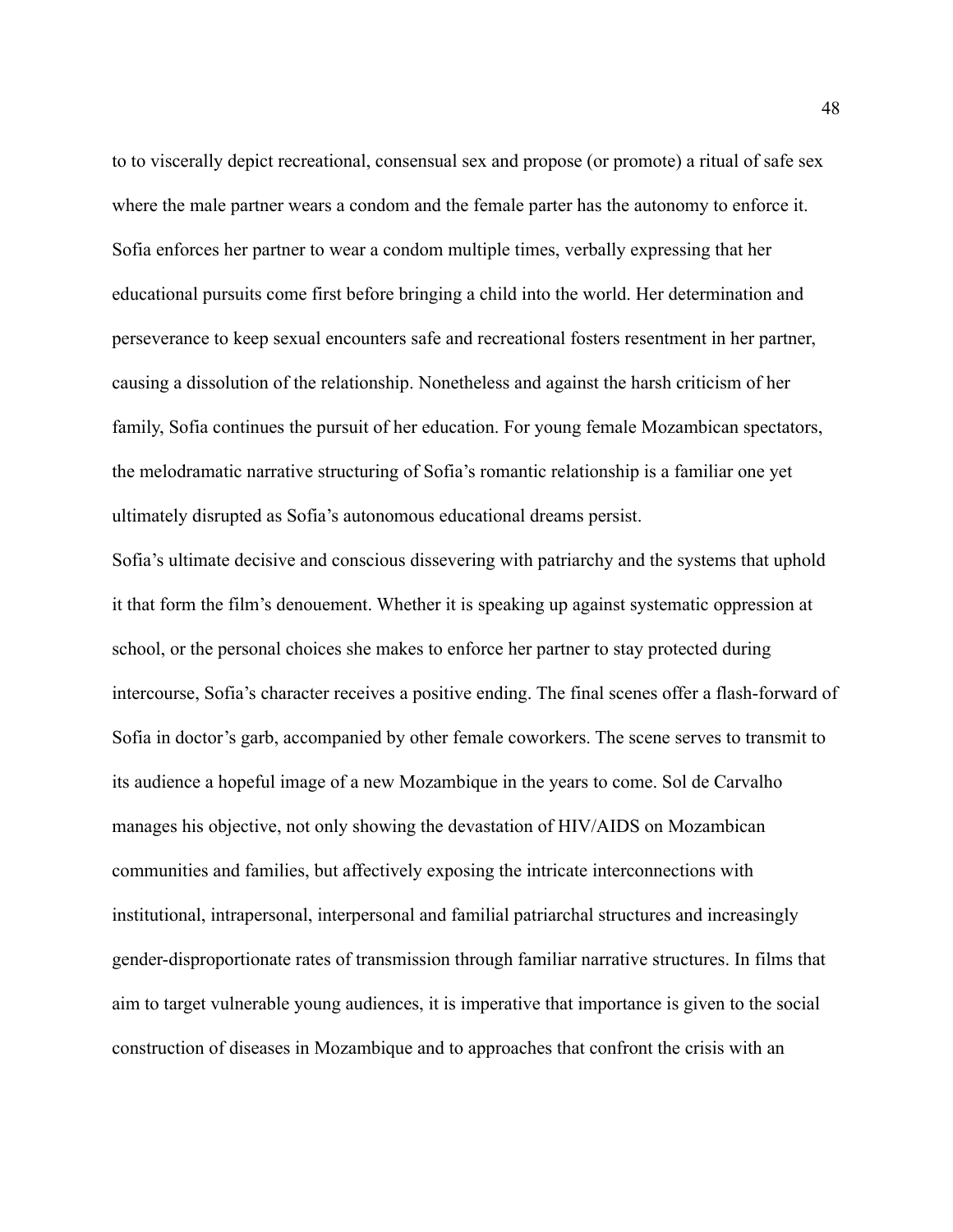to to viscerally depict recreational, consensual sex and propose (or promote) a ritual of safe sex where the male partner wears a condom and the female parter has the autonomy to enforce it. Sofia enforces her partner to wear a condom multiple times, verbally expressing that her educational pursuits come first before bringing a child into the world. Her determination and perseverance to keep sexual encounters safe and recreational fosters resentment in her partner, causing a dissolution of the relationship. Nonetheless and against the harsh criticism of her family, Sofia continues the pursuit of her education. For young female Mozambican spectators, the melodramatic narrative structuring of Sofia's romantic relationship is a familiar one yet ultimately disrupted as Sofia's autonomous educational dreams persist.

Sofia's ultimate decisive and conscious dissevering with patriarchy and the systems that uphold it that form the film's denouement. Whether it is speaking up against systematic oppression at school, or the personal choices she makes to enforce her partner to stay protected during intercourse, Sofia's character receives a positive ending. The final scenes offer a flash-forward of Sofia in doctor's garb, accompanied by other female coworkers. The scene serves to transmit to its audience a hopeful image of a new Mozambique in the years to come. Sol de Carvalho manages his objective, not only showing the devastation of HIV/AIDS on Mozambican communities and families, but affectively exposing the intricate interconnections with institutional, intrapersonal, interpersonal and familial patriarchal structures and increasingly gender-disproportionate rates of transmission through familiar narrative structures. In films that aim to target vulnerable young audiences, it is imperative that importance is given to the social construction of diseases in Mozambique and to approaches that confront the crisis with an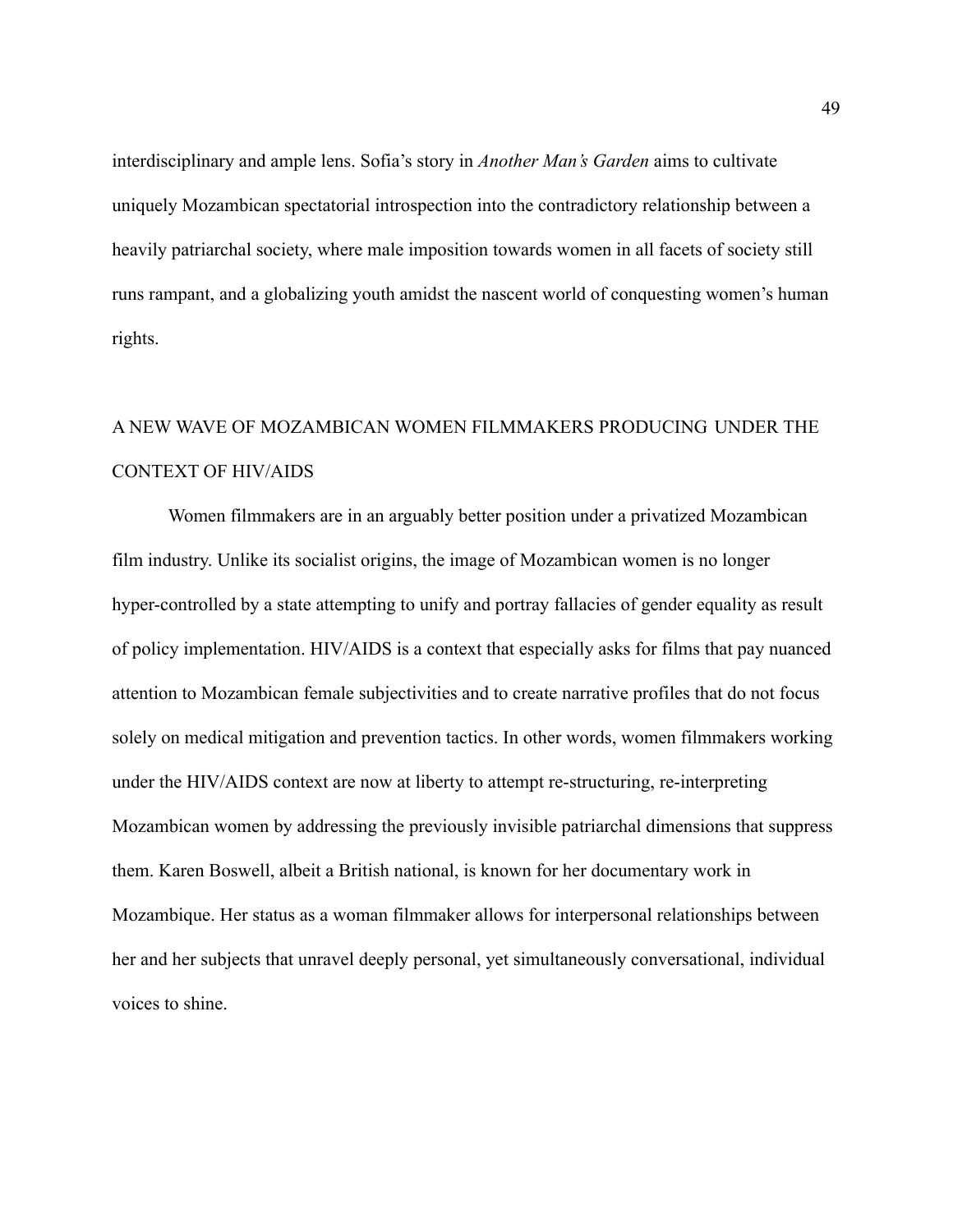interdisciplinary and ample lens. Sofia's story in *Another Man's Garden* aims to cultivate uniquely Mozambican spectatorial introspection into the contradictory relationship between a heavily patriarchal society, where male imposition towards women in all facets of society still runs rampant, and a globalizing youth amidst the nascent world of conquesting women's human rights.

## A NEW WAVE OF MOZAMBICAN WOMEN FILMMAKERS PRODUCING UNDER THE CONTEXT OF HIV/AIDS

Women filmmakers are in an arguably better position under a privatized Mozambican film industry. Unlike its socialist origins, the image of Mozambican women is no longer hyper-controlled by a state attempting to unify and portray fallacies of gender equality as result of policy implementation. HIV/AIDS is a context that especially asks for films that pay nuanced attention to Mozambican female subjectivities and to create narrative profiles that do not focus solely on medical mitigation and prevention tactics. In other words, women filmmakers working under the HIV/AIDS context are now at liberty to attempt re-structuring, re-interpreting Mozambican women by addressing the previously invisible patriarchal dimensions that suppress them. Karen Boswell, albeit a British national, is known for her documentary work in Mozambique. Her status as a woman filmmaker allows for interpersonal relationships between her and her subjects that unravel deeply personal, yet simultaneously conversational, individual voices to shine.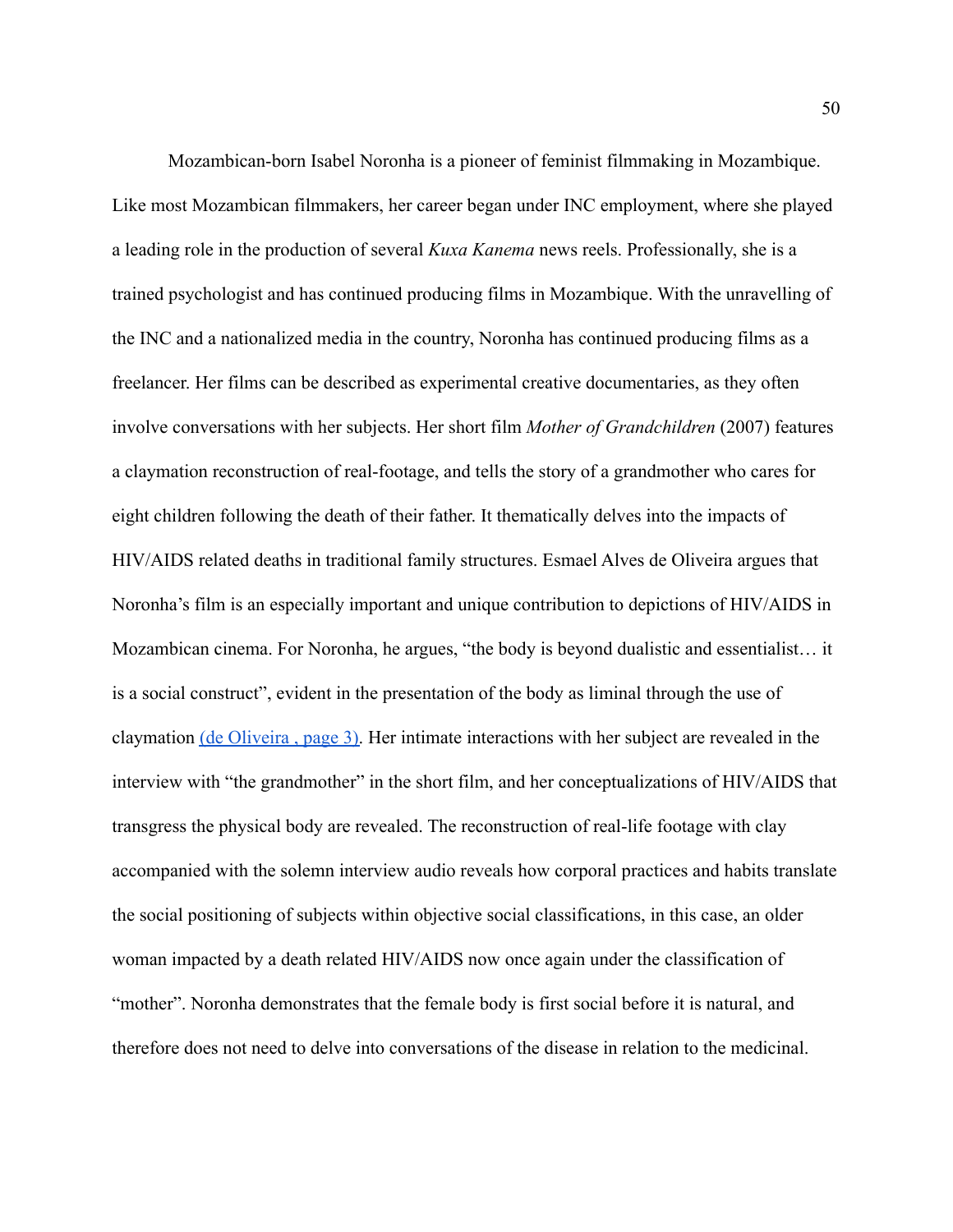Mozambican-born Isabel Noronha is a pioneer of feminist filmmaking in Mozambique. Like most Mozambican filmmakers, her career began under INC employment, where she played a leading role in the production of several *Kuxa Kanema* news reels. Professionally, she is a trained psychologist and has continued producing films in Mozambique. With the unravelling of the INC and a nationalized media in the country, Noronha has continued producing films as a freelancer. Her films can be described as experimental creative documentaries, as they often involve conversations with her subjects. Her short film *Mother of Grandchildren* (2007) features a claymation reconstruction of real-footage, and tells the story of a grandmother who cares for eight children following the death of their father. It thematically delves into the impacts of HIV/AIDS related deaths in traditional family structures. Esmael Alves de Oliveira argues that Noronha's film is an especially important and unique contribution to depictions of HIV/AIDS in Mozambican cinema. For Noronha, he argues, "the body is beyond dualistic and essentialist… it is a social construct", evident in the presentation of the body as liminal through the use of claymation [\(de Oliveira , page 3\).](https://paperpile.com/c/CHH1dt/shSU/?locator=3) Her intimate interactions with her subject are revealed in the interview with "the grandmother" in the short film, and her conceptualizations of HIV/AIDS that transgress the physical body are revealed. The reconstruction of real-life footage with clay accompanied with the solemn interview audio reveals how corporal practices and habits translate the social positioning of subjects within objective social classifications, in this case, an older woman impacted by a death related HIV/AIDS now once again under the classification of "mother". Noronha demonstrates that the female body is first social before it is natural, and therefore does not need to delve into conversations of the disease in relation to the medicinal.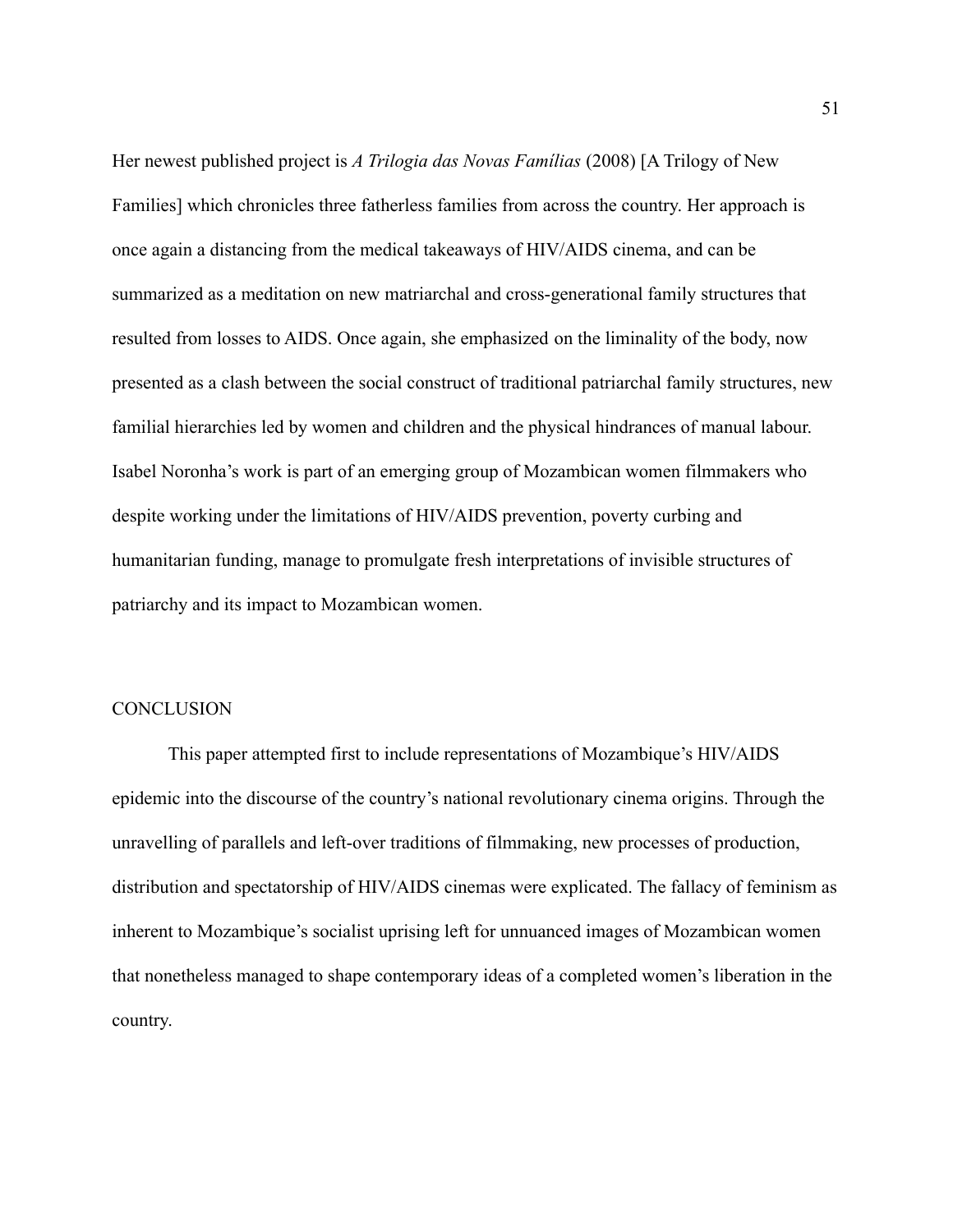Her newest published project is *A Trilogia das Novas Famílias* (2008) [A Trilogy of New Families] which chronicles three fatherless families from across the country. Her approach is once again a distancing from the medical takeaways of HIV/AIDS cinema, and can be summarized as a meditation on new matriarchal and cross-generational family structures that resulted from losses to AIDS. Once again, she emphasized on the liminality of the body, now presented as a clash between the social construct of traditional patriarchal family structures, new familial hierarchies led by women and children and the physical hindrances of manual labour. Isabel Noronha's work is part of an emerging group of Mozambican women filmmakers who despite working under the limitations of HIV/AIDS prevention, poverty curbing and humanitarian funding, manage to promulgate fresh interpretations of invisible structures of patriarchy and its impact to Mozambican women.

#### **CONCLUSION**

This paper attempted first to include representations of Mozambique's HIV/AIDS epidemic into the discourse of the country's national revolutionary cinema origins. Through the unravelling of parallels and left-over traditions of filmmaking, new processes of production, distribution and spectatorship of HIV/AIDS cinemas were explicated. The fallacy of feminism as inherent to Mozambique's socialist uprising left for unnuanced images of Mozambican women that nonetheless managed to shape contemporary ideas of a completed women's liberation in the country.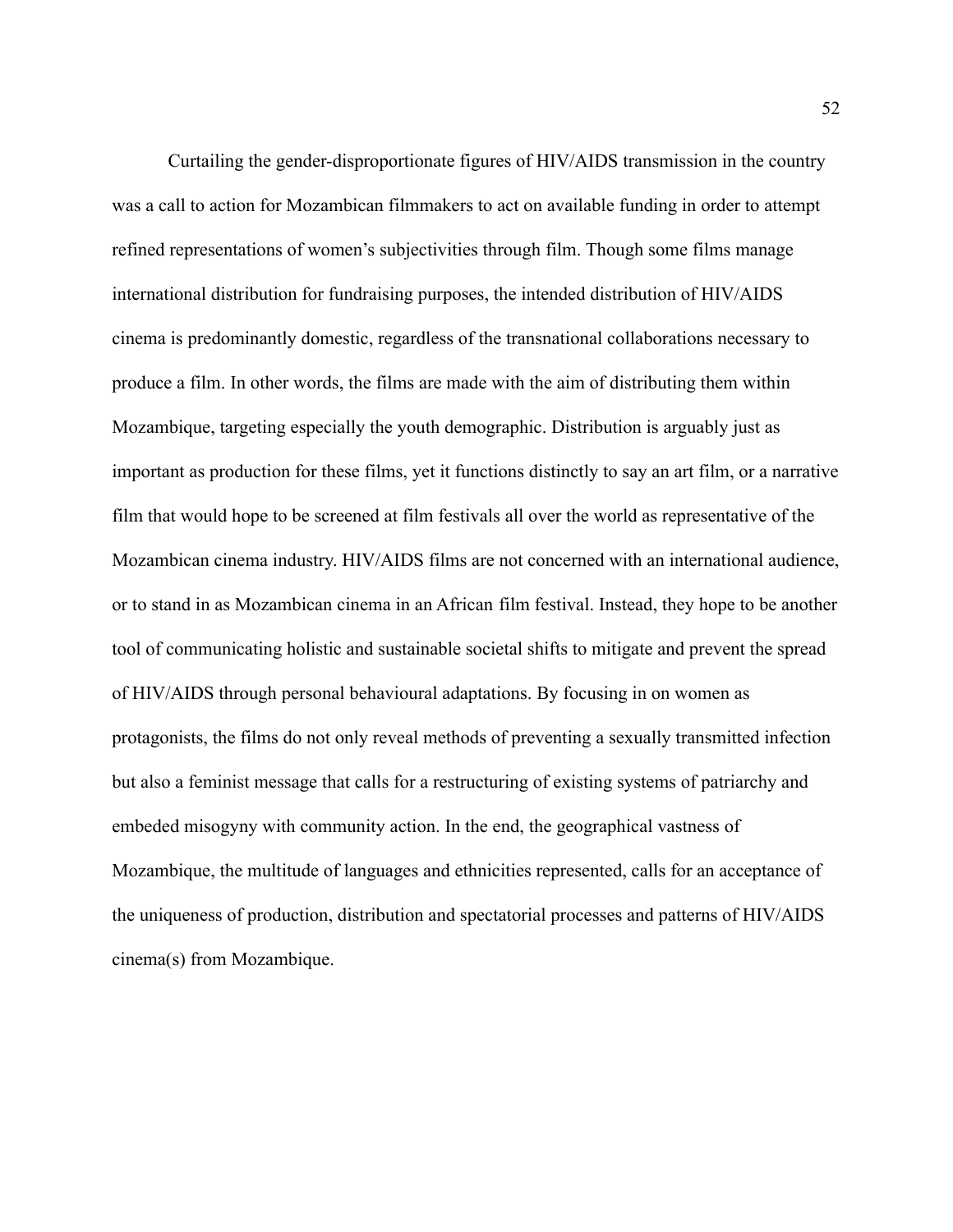Curtailing the gender-disproportionate figures of HIV/AIDS transmission in the country was a call to action for Mozambican filmmakers to act on available funding in order to attempt refined representations of women's subjectivities through film. Though some films manage international distribution for fundraising purposes, the intended distribution of HIV/AIDS cinema is predominantly domestic, regardless of the transnational collaborations necessary to produce a film. In other words, the films are made with the aim of distributing them within Mozambique, targeting especially the youth demographic. Distribution is arguably just as important as production for these films, yet it functions distinctly to say an art film, or a narrative film that would hope to be screened at film festivals all over the world as representative of the Mozambican cinema industry. HIV/AIDS films are not concerned with an international audience, or to stand in as Mozambican cinema in an African film festival. Instead, they hope to be another tool of communicating holistic and sustainable societal shifts to mitigate and prevent the spread of HIV/AIDS through personal behavioural adaptations. By focusing in on women as protagonists, the films do not only reveal methods of preventing a sexually transmitted infection but also a feminist message that calls for a restructuring of existing systems of patriarchy and embeded misogyny with community action. In the end, the geographical vastness of Mozambique, the multitude of languages and ethnicities represented, calls for an acceptance of the uniqueness of production, distribution and spectatorial processes and patterns of HIV/AIDS cinema(s) from Mozambique.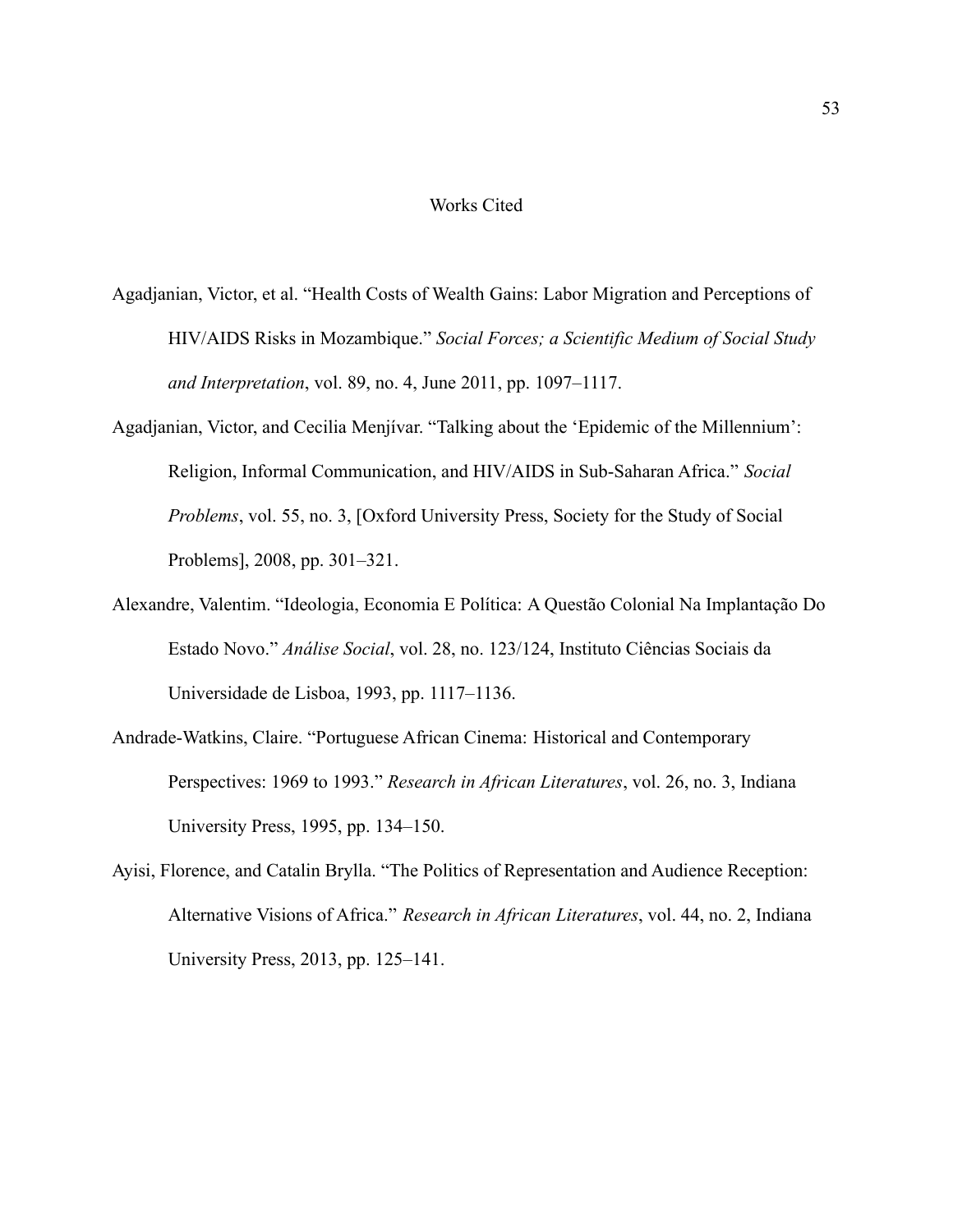#### Works Cited

- Agadjanian, Victor, et al. "Health Costs of Wealth Gains: Labor Migration and Perceptions of HIV/AIDS Risks in Mozambique." *Social Forces; a Scientific Medium of Social Study and Interpretation*, vol. 89, no. 4, June 2011, pp. 1097–1117.
- Agadjanian, Victor, and Cecilia Menjívar. "Talking about the 'Epidemic of the Millennium': Religion, Informal Communication, and HIV/AIDS in Sub-Saharan Africa." *Social Problems*, vol. 55, no. 3, [Oxford University Press, Society for the Study of Social Problems], 2008, pp. 301–321.
- Alexandre, Valentim. "Ideologia, Economia E Política: A Questão Colonial Na Implantação Do Estado Novo." *Análise Social*, vol. 28, no. 123/124, Instituto Ciências Sociais da Universidade de Lisboa, 1993, pp. 1117–1136.
- Andrade-Watkins, Claire. "Portuguese African Cinema: Historical and Contemporary Perspectives: 1969 to 1993." *Research in African Literatures*, vol. 26, no. 3, Indiana University Press, 1995, pp. 134–150.
- Ayisi, Florence, and Catalin Brylla. "The Politics of Representation and Audience Reception: Alternative Visions of Africa." *Research in African Literatures*, vol. 44, no. 2, Indiana University Press, 2013, pp. 125–141.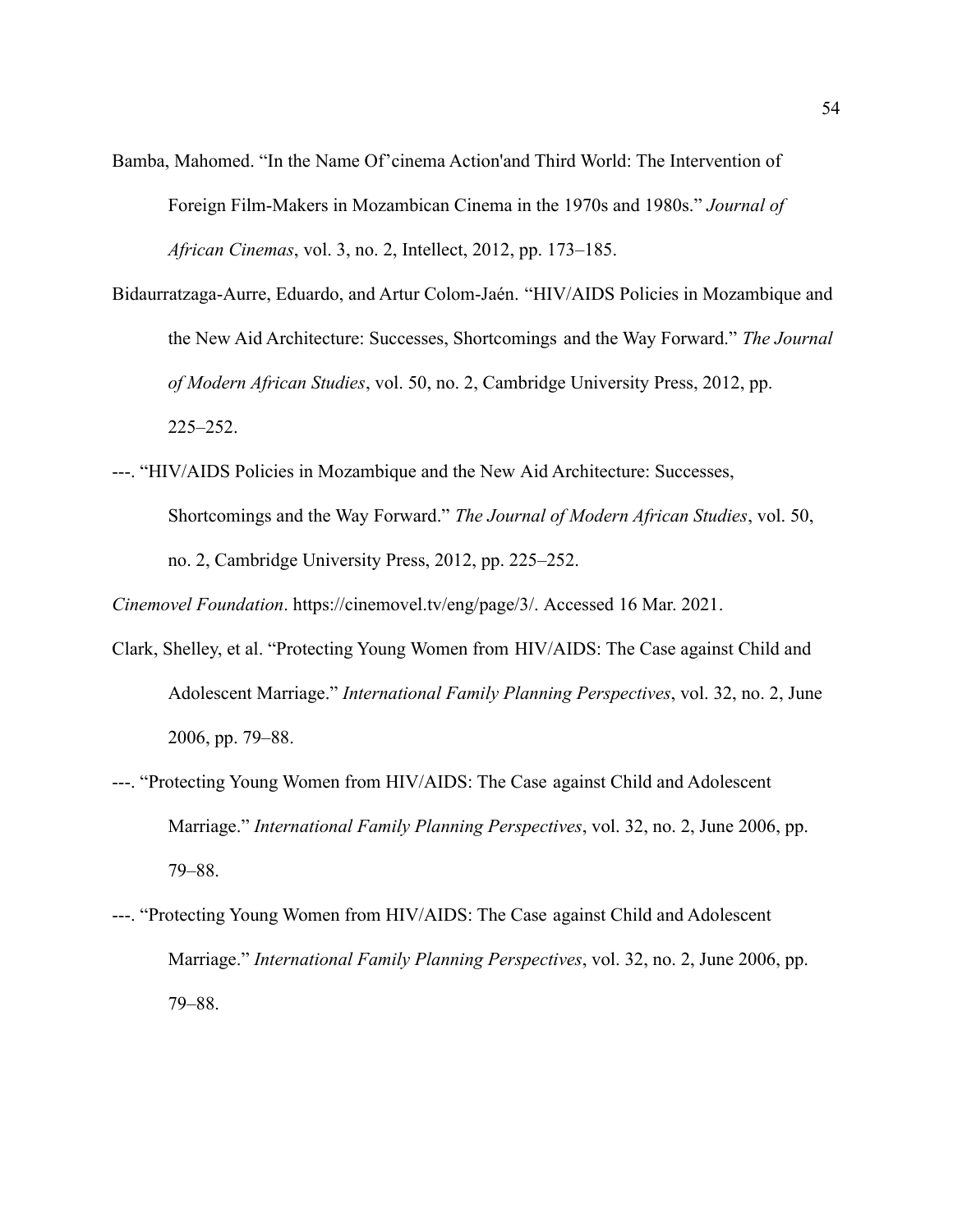- Bamba, Mahomed. "In the Name Of'cinema Action'and Third World: The Intervention of Foreign Film-Makers in Mozambican Cinema in the 1970s and 1980s." *Journal of African Cinemas*, vol. 3, no. 2, Intellect, 2012, pp. 173–185.
- Bidaurratzaga-Aurre, Eduardo, and Artur Colom-Jaén. "HIV/AIDS Policies in Mozambique and the New Aid Architecture: Successes, Shortcomings and the Way Forward." *The Journal of Modern African Studies*, vol. 50, no. 2, Cambridge University Press, 2012, pp. 225–252.
- ---. "HIV/AIDS Policies in Mozambique and the New Aid Architecture: Successes, Shortcomings and the Way Forward." *The Journal of Modern African Studies*, vol. 50, no. 2, Cambridge University Press, 2012, pp. 225–252.

*Cinemovel Foundation*. https://cinemovel.tv/eng/page/3/. Accessed 16 Mar. 2021.

- Clark, Shelley, et al. "Protecting Young Women from HIV/AIDS: The Case against Child and Adolescent Marriage." *International Family Planning Perspectives*, vol. 32, no. 2, June 2006, pp. 79–88.
- ---. "Protecting Young Women from HIV/AIDS: The Case against Child and Adolescent Marriage." *International Family Planning Perspectives*, vol. 32, no. 2, June 2006, pp. 79–88.
- ---. "Protecting Young Women from HIV/AIDS: The Case against Child and Adolescent Marriage." *International Family Planning Perspectives*, vol. 32, no. 2, June 2006, pp. 79–88.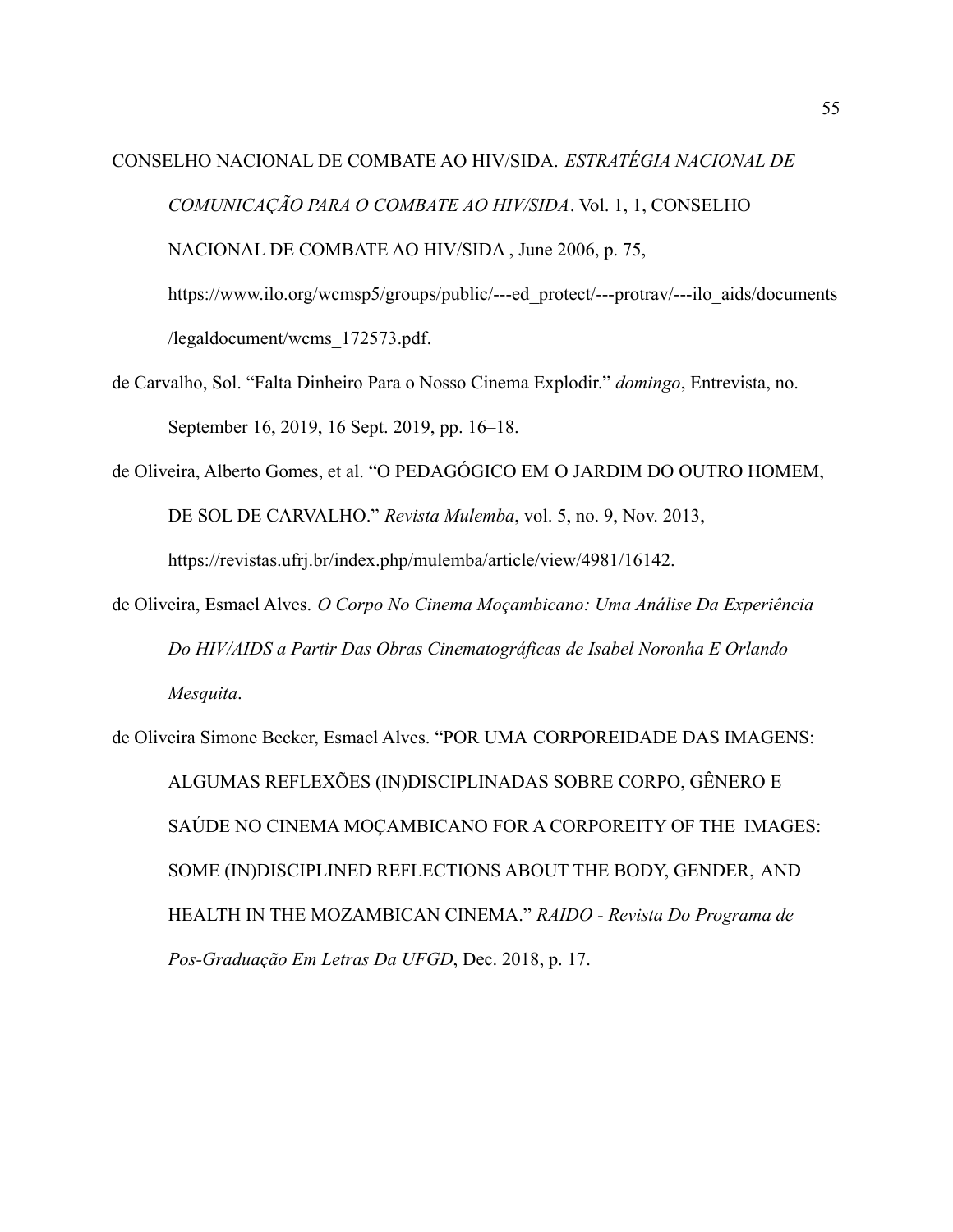# CONSELHO NACIONAL DE COMBATE AO HIV/SIDA. *ESTRATÉGIA NACIONAL DE COMUNICAÇÃO PARA O COMBATE AO HIV/SIDA*. Vol. 1, 1, CONSELHO NACIONAL DE COMBATE AO HIV/SIDA , June 2006, p. 75, https://www.ilo.org/wcmsp5/groups/public/---ed\_protect/---protrav/---ilo\_aids/documents /legaldocument/wcms\_172573.pdf.

- de Carvalho, Sol. "Falta Dinheiro Para o Nosso Cinema Explodir." *domingo*, Entrevista, no. September 16, 2019, 16 Sept. 2019, pp. 16–18.
- de Oliveira, Alberto Gomes, et al. "O PEDAGÓGICO EM O JARDIM DO OUTRO HOMEM, DE SOL DE CARVALHO." *Revista Mulemba*, vol. 5, no. 9, Nov. 2013,

https://revistas.ufrj.br/index.php/mulemba/article/view/4981/16142.

de Oliveira, Esmael Alves. *O Corpo No Cinema Moçambicano: Uma Análise Da Experiência Do HIV/AIDS a Partir Das Obras Cinematográficas de Isabel Noronha E Orlando Mesquita*.

de Oliveira Simone Becker, Esmael Alves. "POR UMA CORPOREIDADE DAS IMAGENS: ALGUMAS REFLEXÕES (IN)DISCIPLINADAS SOBRE CORPO, GÊNERO E SAÚDE NO CINEMA MOÇAMBICANO FOR A CORPOREITY OF THE IMAGES: SOME (IN)DISCIPLINED REFLECTIONS ABOUT THE BODY, GENDER, AND HEALTH IN THE MOZAMBICAN CINEMA." *RAIDO - Revista Do Programa de Pos-Graduação Em Letras Da UFGD*, Dec. 2018, p. 17.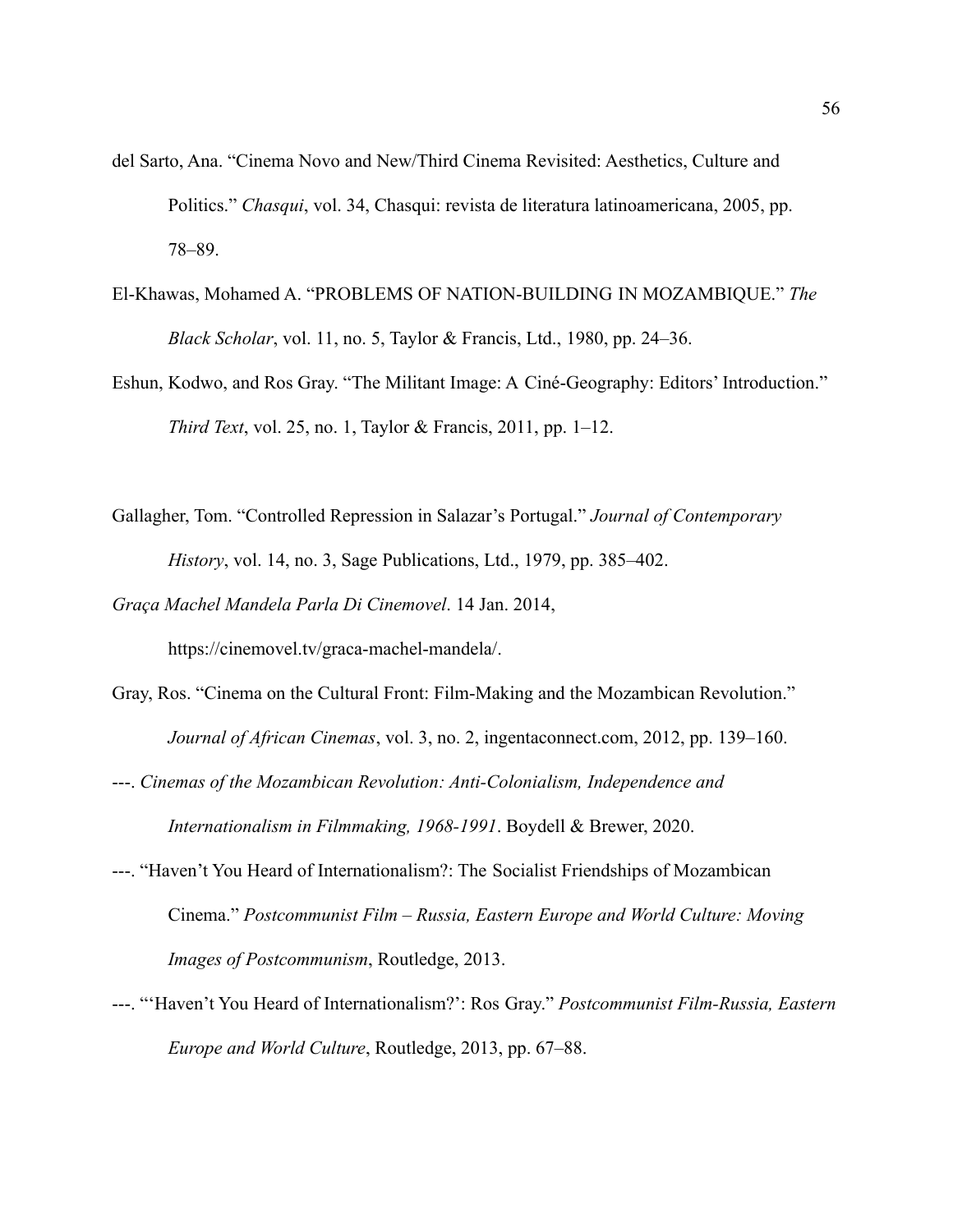- del Sarto, Ana. "Cinema Novo and New/Third Cinema Revisited: Aesthetics, Culture and Politics." *Chasqui*, vol. 34, Chasqui: revista de literatura latinoamericana, 2005, pp. 78–89.
- El-Khawas, Mohamed A. "PROBLEMS OF NATION-BUILDING IN MOZAMBIQUE." *The Black Scholar*, vol. 11, no. 5, Taylor & Francis, Ltd., 1980, pp. 24–36.
- Eshun, Kodwo, and Ros Gray. "The Militant Image: A Ciné-Geography: Editors' Introduction." *Third Text*, vol. 25, no. 1, Taylor & Francis, 2011, pp. 1–12.
- Gallagher, Tom. "Controlled Repression in Salazar's Portugal." *Journal of Contemporary History*, vol. 14, no. 3, Sage Publications, Ltd., 1979, pp. 385–402.

*Graça Machel Mandela Parla Di Cinemovel*. 14 Jan. 2014,

https://cinemovel.tv/graca-machel-mandela/.

- Gray, Ros. "Cinema on the Cultural Front: Film-Making and the Mozambican Revolution." *Journal of African Cinemas*, vol. 3, no. 2, ingentaconnect.com, 2012, pp. 139–160.
- ---. *Cinemas of the Mozambican Revolution: Anti-Colonialism, Independence and Internationalism in Filmmaking, 1968-1991*. Boydell & Brewer, 2020.
- ---. "Haven't You Heard of Internationalism?: The Socialist Friendships of Mozambican Cinema." *Postcommunist Film – Russia, Eastern Europe and World Culture: Moving Images of Postcommunism*, Routledge, 2013.
- ---. "'Haven't You Heard of Internationalism?': Ros Gray." *Postcommunist Film-Russia, Eastern Europe and World Culture*, Routledge, 2013, pp. 67–88.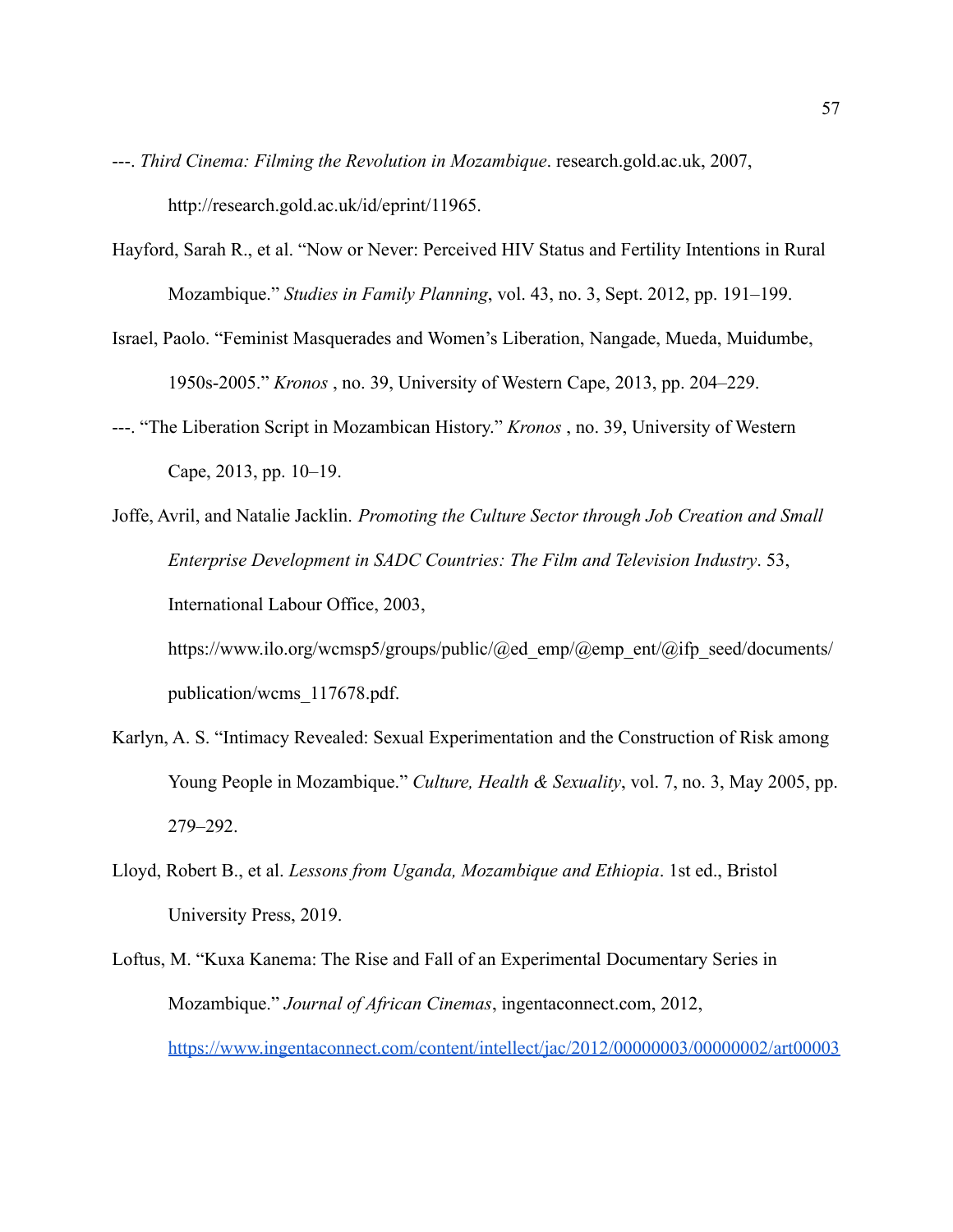- ---. *Third Cinema: Filming the Revolution in Mozambique*. research.gold.ac.uk, 2007, http://research.gold.ac.uk/id/eprint/11965.
- Hayford, Sarah R., et al. "Now or Never: Perceived HIV Status and Fertility Intentions in Rural Mozambique." *Studies in Family Planning*, vol. 43, no. 3, Sept. 2012, pp. 191–199.
- Israel, Paolo. "Feminist Masquerades and Women's Liberation, Nangade, Mueda, Muidumbe, 1950s-2005." *Kronos* , no. 39, University of Western Cape, 2013, pp. 204–229.
- ---. "The Liberation Script in Mozambican History." *Kronos* , no. 39, University of Western Cape, 2013, pp. 10–19.
- Joffe, Avril, and Natalie Jacklin. *Promoting the Culture Sector through Job Creation and Small Enterprise Development in SADC Countries: The Film and Television Industry*. 53, International Labour Office, 2003,

https://www.ilo.org/wcmsp5/groups/public/@ed\_emp/@emp\_ent/@ifp\_seed/documents/ publication/wcms\_117678.pdf.

- Karlyn, A. S. "Intimacy Revealed: Sexual Experimentation and the Construction of Risk among Young People in Mozambique." *Culture, Health & Sexuality*, vol. 7, no. 3, May 2005, pp. 279–292.
- Lloyd, Robert B., et al. *Lessons from Uganda, Mozambique and Ethiopia*. 1st ed., Bristol University Press, 2019.
- Loftus, M. "Kuxa Kanema: The Rise and Fall of an Experimental Documentary Series in Mozambique." *Journal of African Cinemas*, ingentaconnect.com, 2012, <https://www.ingentaconnect.com/content/intellect/jac/2012/00000003/00000002/art00003>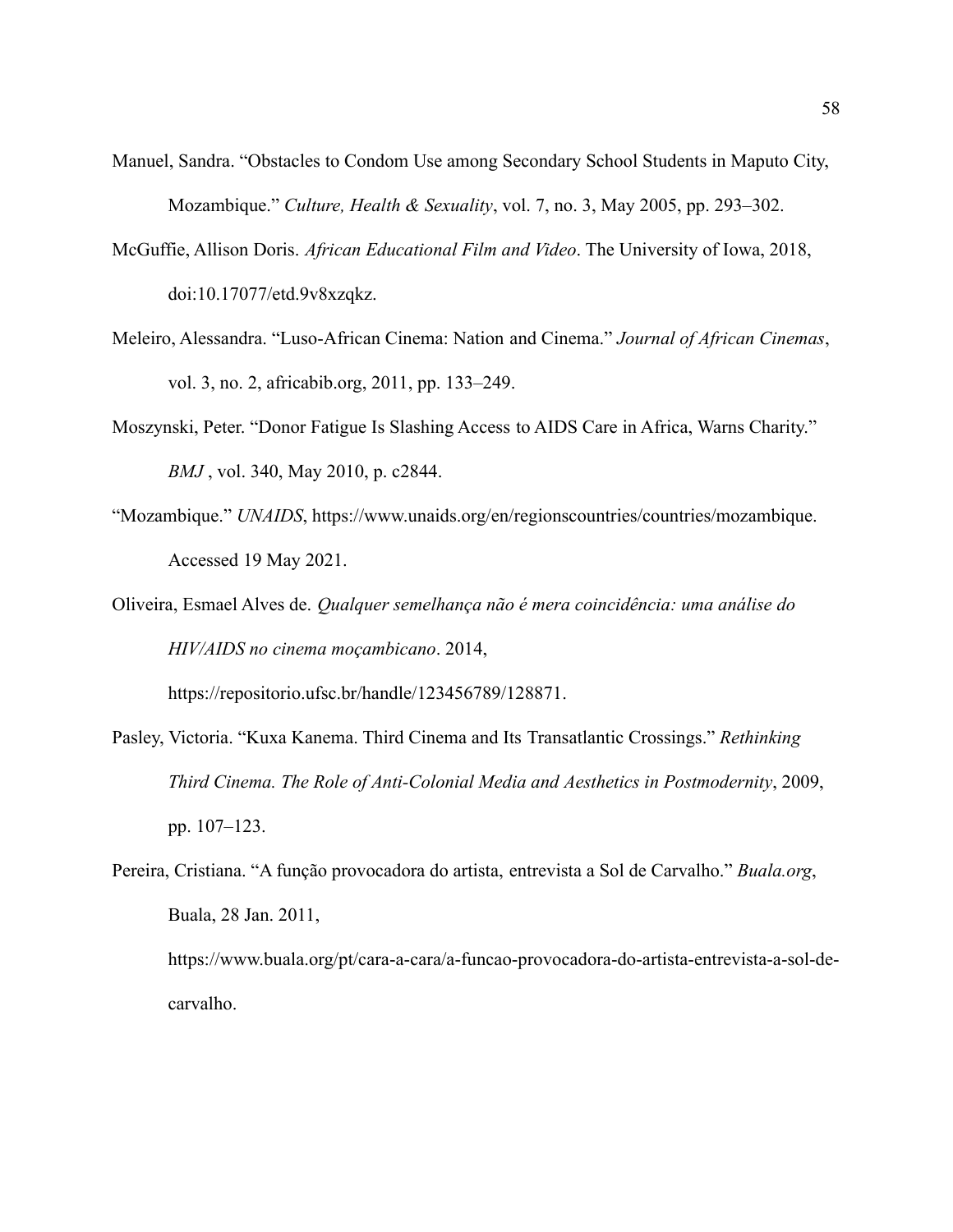- Manuel, Sandra. "Obstacles to Condom Use among Secondary School Students in Maputo City, Mozambique." *Culture, Health & Sexuality*, vol. 7, no. 3, May 2005, pp. 293–302.
- McGuffie, Allison Doris. *African Educational Film and Video*. The University of Iowa, 2018, doi:10.17077/etd.9v8xzqkz.
- Meleiro, Alessandra. "Luso-African Cinema: Nation and Cinema." *Journal of African Cinemas*, vol. 3, no. 2, africabib.org, 2011, pp. 133–249.
- Moszynski, Peter. "Donor Fatigue Is Slashing Access to AIDS Care in Africa, Warns Charity." *BMJ* , vol. 340, May 2010, p. c2844.
- "Mozambique." *UNAIDS*, https://www.unaids.org/en/regionscountries/countries/mozambique. Accessed 19 May 2021.
- Oliveira, Esmael Alves de. *Qualquer semelhança não é mera coincidência: uma análise do HIV/AIDS no cinema moçambicano*. 2014,

https://repositorio.ufsc.br/handle/123456789/128871.

- Pasley, Victoria. "Kuxa Kanema. Third Cinema and Its Transatlantic Crossings." *Rethinking Third Cinema. The Role of Anti-Colonial Media and Aesthetics in Postmodernity*, 2009, pp. 107–123.
- Pereira, Cristiana. "A função provocadora do artista, entrevista a Sol de Carvalho." *Buala.org*, Buala, 28 Jan. 2011,

https://www.buala.org/pt/cara-a-cara/a-funcao-provocadora-do-artista-entrevista-a-sol-decarvalho.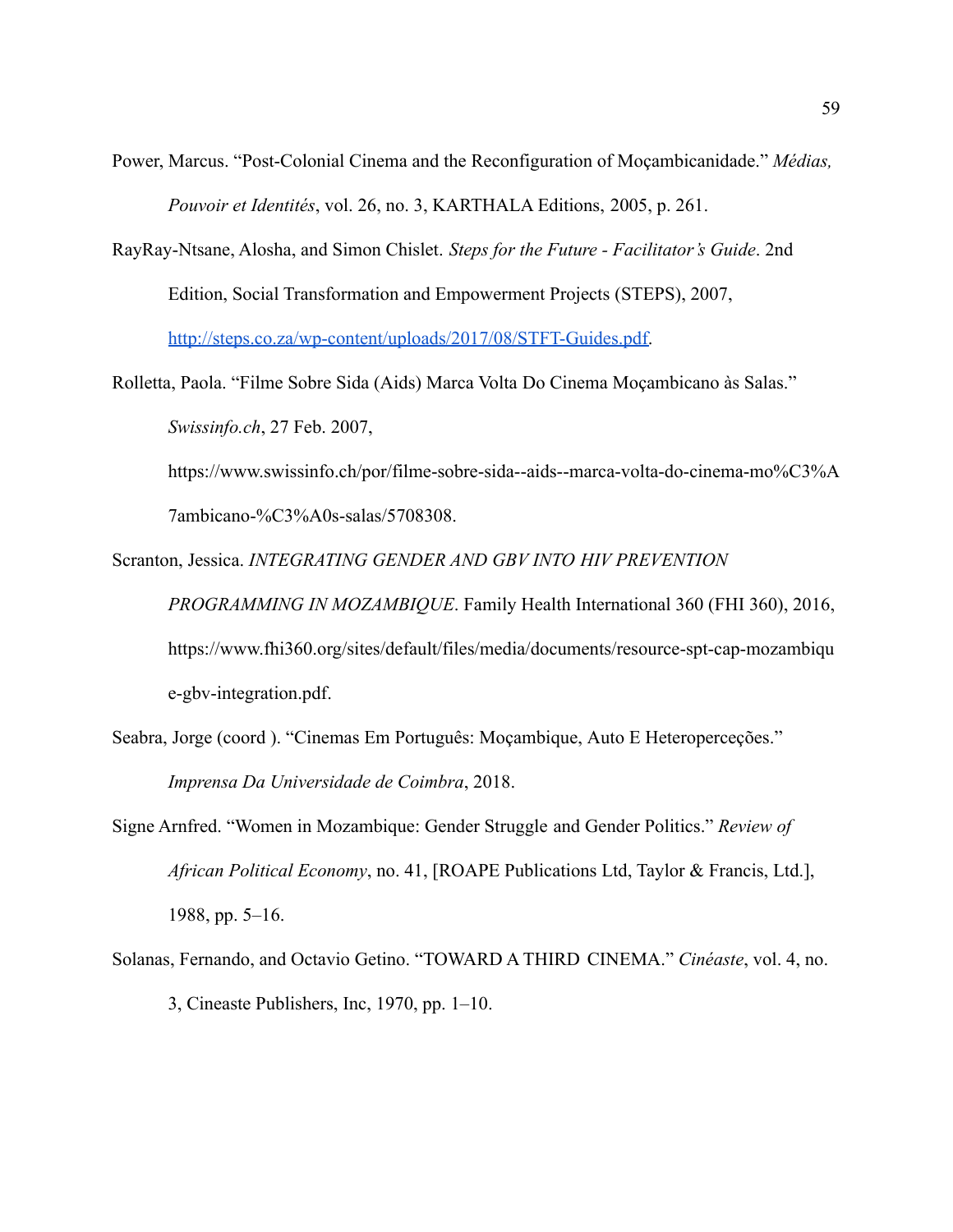Power, Marcus. "Post-Colonial Cinema and the Reconfiguration of Moçambicanidade." *Médias, Pouvoir et Identités*, vol. 26, no. 3, KARTHALA Editions, 2005, p. 261.

RayRay-Ntsane, Alosha, and Simon Chislet. *Steps for the Future - Facilitator's Guide*. 2nd Edition, Social Transformation and Empowerment Projects (STEPS), 2007, [http://steps.co.za/wp-content/uploads/2017/08/STFT-Guides.pdf.](http://steps.co.za/wp-content/uploads/2017/08/STFT-Guides.pdf)

Rolletta, Paola. "Filme Sobre Sida (Aids) Marca Volta Do Cinema Moçambicano às Salas." *Swissinfo.ch*, 27 Feb. 2007,

https://www.swissinfo.ch/por/filme-sobre-sida--aids--marca-volta-do-cinema-mo%C3%A 7ambicano-%C3%A0s-salas/5708308.

Scranton, Jessica. *INTEGRATING GENDER AND GBV INTO HIV PREVENTION*

*PROGRAMMING IN MOZAMBIQUE*. Family Health International 360 (FHI 360), 2016, https://www.fhi360.org/sites/default/files/media/documents/resource-spt-cap-mozambiqu e-gbv-integration.pdf.

- Seabra, Jorge (coord ). "Cinemas Em Português: Moçambique, Auto E Heteroperceções." *Imprensa Da Universidade de Coimbra*, 2018.
- Signe Arnfred. "Women in Mozambique: Gender Struggle and Gender Politics." *Review of African Political Economy*, no. 41, [ROAPE Publications Ltd, Taylor & Francis, Ltd.], 1988, pp. 5–16.
- Solanas, Fernando, and Octavio Getino. "TOWARD A THIRD CINEMA." *Cinéaste*, vol. 4, no. 3, Cineaste Publishers, Inc, 1970, pp. 1–10.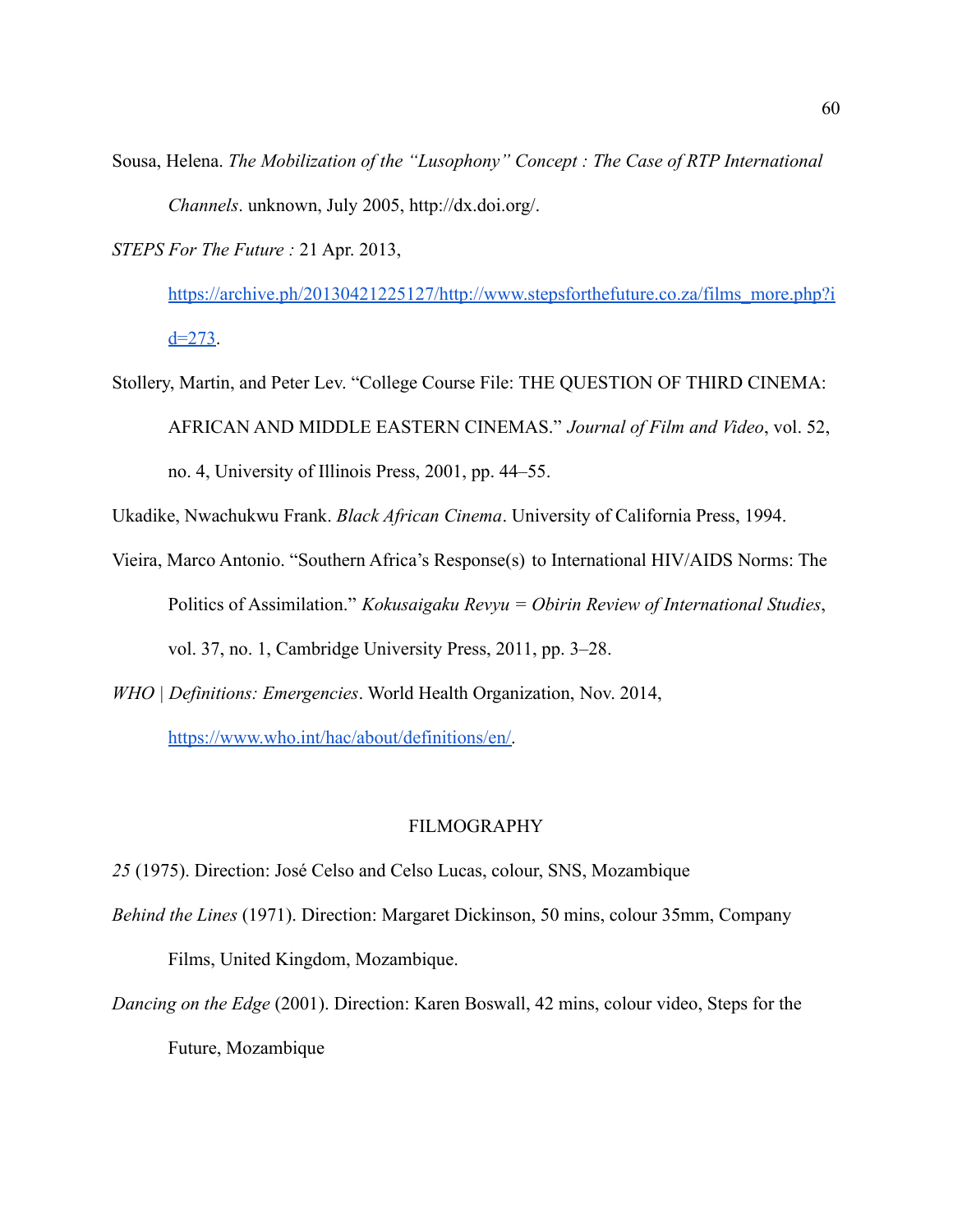Sousa, Helena. *The Mobilization of the "Lusophony" Concept : The Case of RTP International Channels*. unknown, July 2005, http://dx.doi.org/.

*STEPS For The Future :* 21 Apr. 2013,

[https://archive.ph/20130421225127/http://www.stepsforthefuture.co.za/films\\_more.php?i](https://archive.ph/20130421225127/http://www.stepsforthefuture.co.za/films_more.php?id=273)  $d=273$ .

Stollery, Martin, and Peter Lev. "College Course File: THE QUESTION OF THIRD CINEMA: AFRICAN AND MIDDLE EASTERN CINEMAS." *Journal of Film and Video*, vol. 52, no. 4, University of Illinois Press, 2001, pp. 44–55.

Ukadike, Nwachukwu Frank. *Black African Cinema*. University of California Press, 1994.

- Vieira, Marco Antonio. "Southern Africa's Response(s) to International HIV/AIDS Norms: The Politics of Assimilation." *Kokusaigaku Revyu = Obirin Review of International Studies*, vol. 37, no. 1, Cambridge University Press, 2011, pp. 3–28.
- *WHO | Definitions: Emergencies*. World Health Organization, Nov. 2014,

[https://www.who.int/hac/about/definitions/en/.](https://www.who.int/hac/about/definitions/en/)

#### FILMOGRAPHY

- *25* (1975). Direction: José Celso and Celso Lucas, colour, SNS, Mozambique
- *Behind the Lines* (1971). Direction: Margaret Dickinson, 50 mins, colour 35mm, Company

Films, United Kingdom, Mozambique.

*Dancing on the Edge* (2001). Direction: Karen Boswall, 42 mins, colour video, Steps for the Future, Mozambique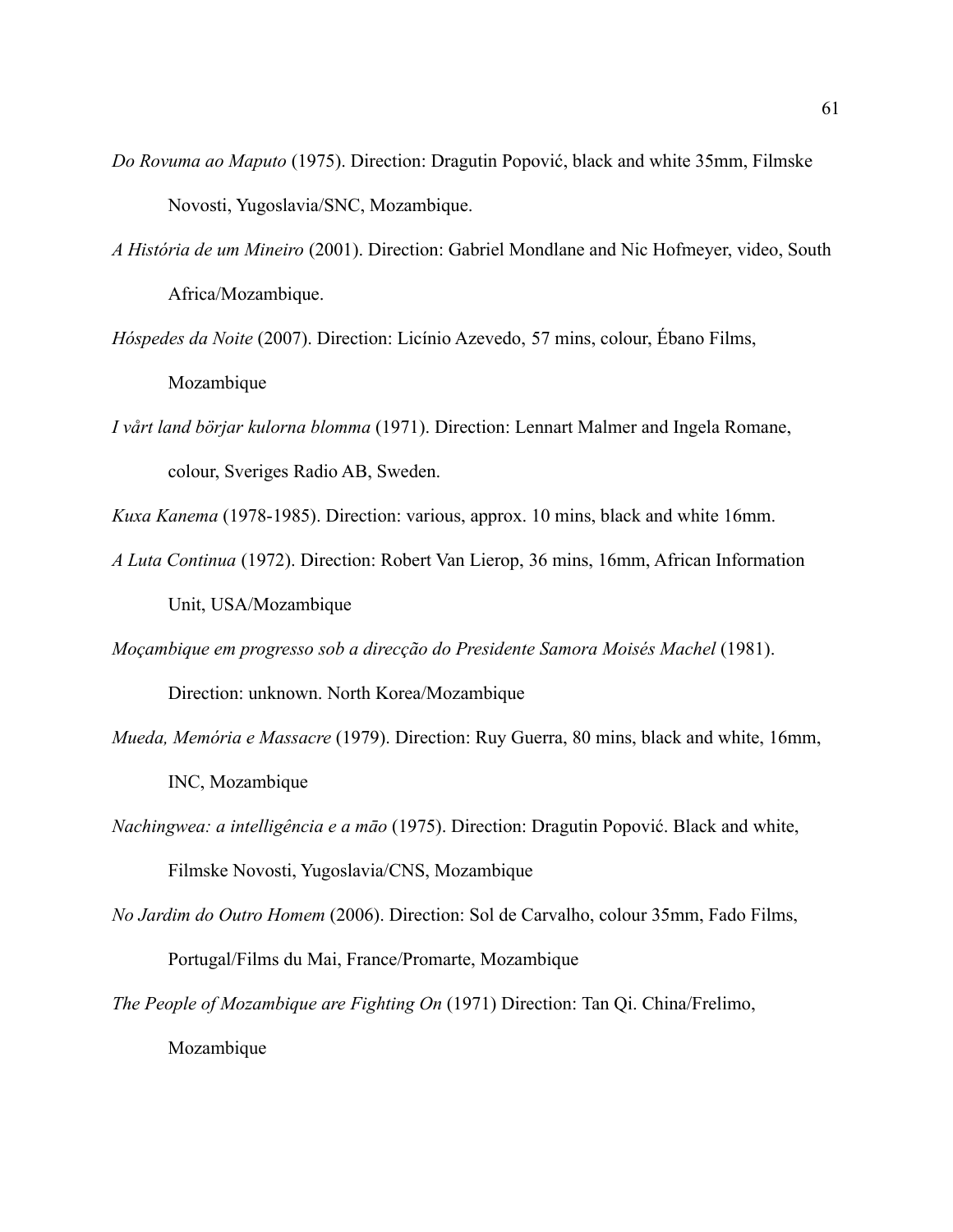- *Do Rovuma ao Maputo* (1975). Direction: Dragutin Popović, black and white 35mm, Filmske Novosti, Yugoslavia/SNC, Mozambique.
- *A História de um Mineiro* (2001). Direction: Gabriel Mondlane and Nic Hofmeyer, video, South Africa/Mozambique.
- *Hóspedes da Noite* (2007). Direction: Licínio Azevedo, 57 mins, colour, Ébano Films, Mozambique
- *I vårt land börjar kulorna blomma* (1971). Direction: Lennart Malmer and Ingela Romane, colour, Sveriges Radio AB, Sweden.

*Kuxa Kanema* (1978-1985). Direction: various, approx. 10 mins, black and white 16mm.

- *A Luta Continua* (1972). Direction: Robert Van Lierop, 36 mins, 16mm, African Information Unit, USA/Mozambique
- *Moçambique em progresso sob a direcção do Presidente Samora Moisés Machel* (1981).

Direction: unknown. North Korea/Mozambique

- *Mueda, Memória e Massacre* (1979). Direction: Ruy Guerra, 80 mins, black and white, 16mm, INC, Mozambique
- *Nachingwea: a intelligência e a māo* (1975). Direction: Dragutin Popović. Black and white, Filmske Novosti, Yugoslavia/CNS, Mozambique
- *No Jardim do Outro Homem* (2006). Direction: Sol de Carvalho, colour 35mm, Fado Films, Portugal/Films du Mai, France/Promarte, Mozambique
- *The People of Mozambique are Fighting On* (1971) Direction: Tan Qi. China/Frelimo, Mozambique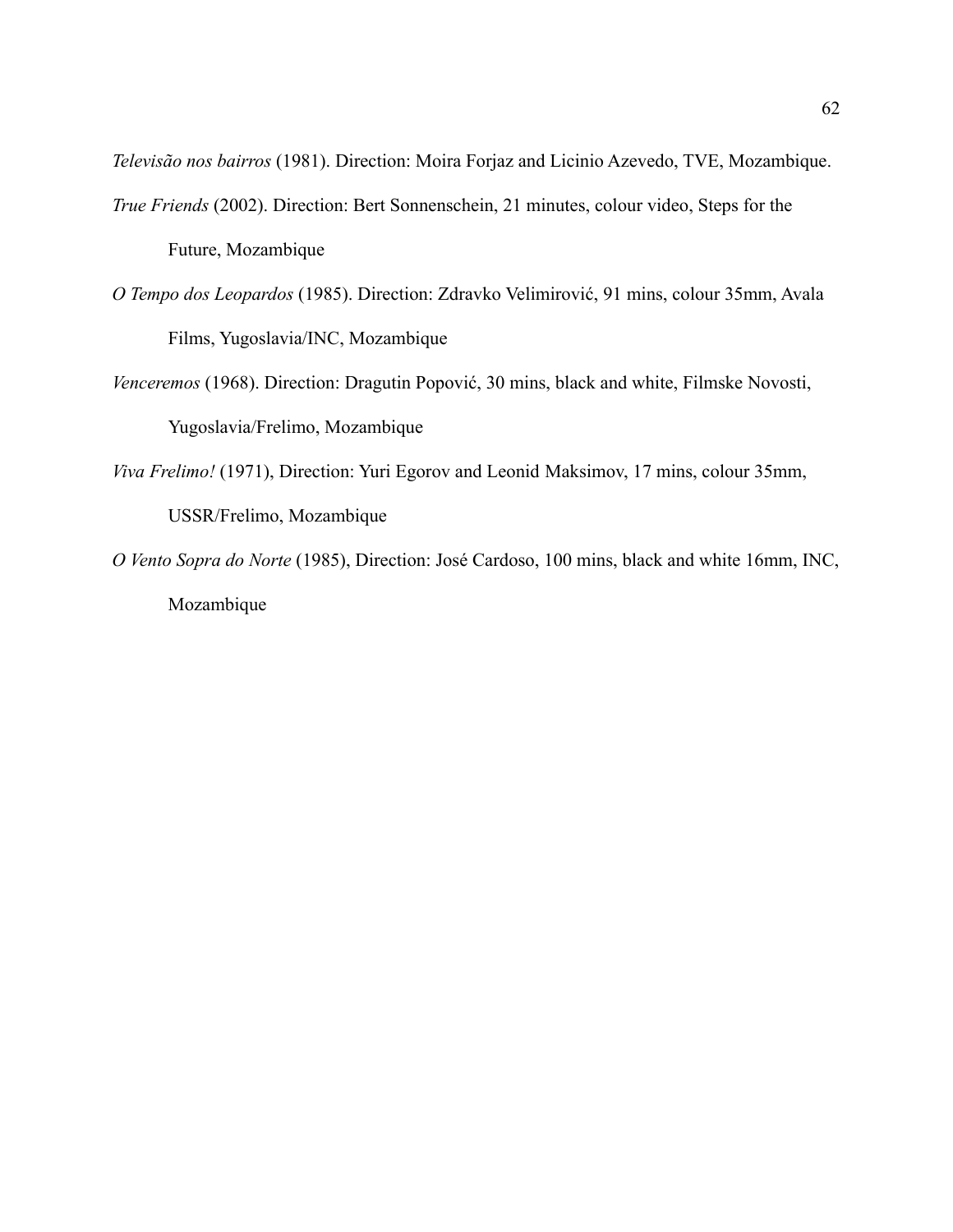*Televisão nos bairros* (1981). Direction: Moira Forjaz and Licinio Azevedo, TVE, Mozambique.

- *True Friends* (2002). Direction: Bert Sonnenschein, 21 minutes, colour video, Steps for the Future, Mozambique
- *O Tempo dos Leopardos* (1985). Direction: Zdravko Velimirović, 91 mins, colour 35mm, Avala Films, Yugoslavia/INC, Mozambique
- *Venceremos* (1968). Direction: Dragutin Popović, 30 mins, black and white, Filmske Novosti, Yugoslavia/Frelimo, Mozambique
- *Viva Frelimo!* (1971), Direction: Yuri Egorov and Leonid Maksimov, 17 mins, colour 35mm, USSR/Frelimo, Mozambique
- *O Vento Sopra do Norte* (1985), Direction: José Cardoso, 100 mins, black and white 16mm, INC, Mozambique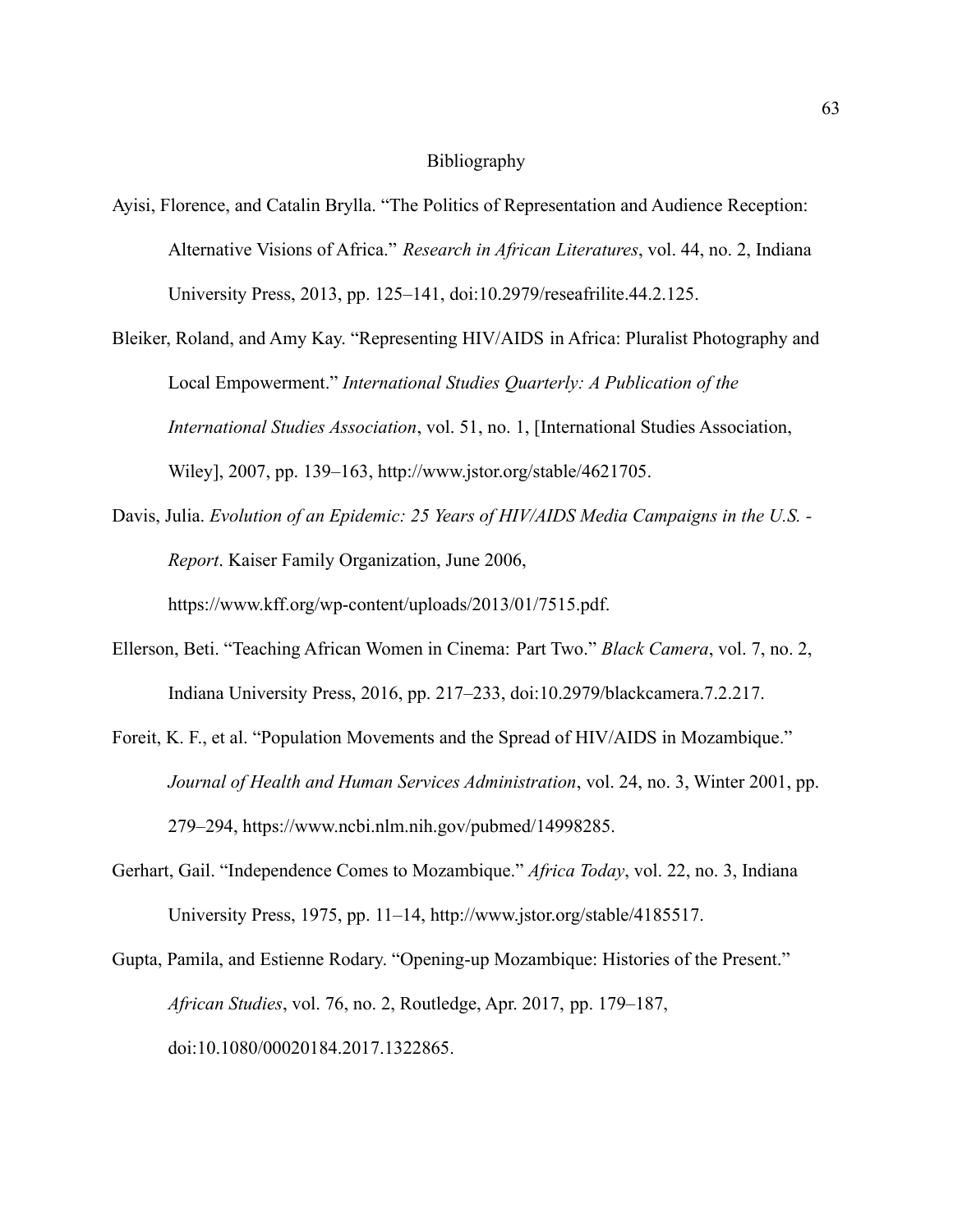#### Bibliography

- Ayisi, Florence, and Catalin Brylla. "The Politics of Representation and Audience Reception: Alternative Visions of Africa." *Research in African Literatures*, vol. 44, no. 2, Indiana University Press, 2013, pp. 125–141, doi:10.2979/reseafrilite.44.2.125.
- Bleiker, Roland, and Amy Kay. "Representing HIV/AIDS in Africa: Pluralist Photography and Local Empowerment." *International Studies Quarterly: A Publication of the International Studies Association*, vol. 51, no. 1, [International Studies Association, Wiley], 2007, pp. 139–163, http://www.jstor.org/stable/4621705.
- Davis, Julia. *Evolution of an Epidemic: 25 Years of HIV/AIDS Media Campaigns in the U.S. - Report*. Kaiser Family Organization, June 2006, https://www.kff.org/wp-content/uploads/2013/01/7515.pdf.
- Ellerson, Beti. "Teaching African Women in Cinema: Part Two." *Black Camera*, vol. 7, no. 2, Indiana University Press, 2016, pp. 217–233, doi:10.2979/blackcamera.7.2.217.
- Foreit, K. F., et al. "Population Movements and the Spread of HIV/AIDS in Mozambique." *Journal of Health and Human Services Administration*, vol. 24, no. 3, Winter 2001, pp. 279–294, https://www.ncbi.nlm.nih.gov/pubmed/14998285.
- Gerhart, Gail. "Independence Comes to Mozambique." *Africa Today*, vol. 22, no. 3, Indiana University Press, 1975, pp. 11–14, http://www.jstor.org/stable/4185517.
- Gupta, Pamila, and Estienne Rodary. "Opening-up Mozambique: Histories of the Present." *African Studies*, vol. 76, no. 2, Routledge, Apr. 2017, pp. 179–187, doi:10.1080/00020184.2017.1322865.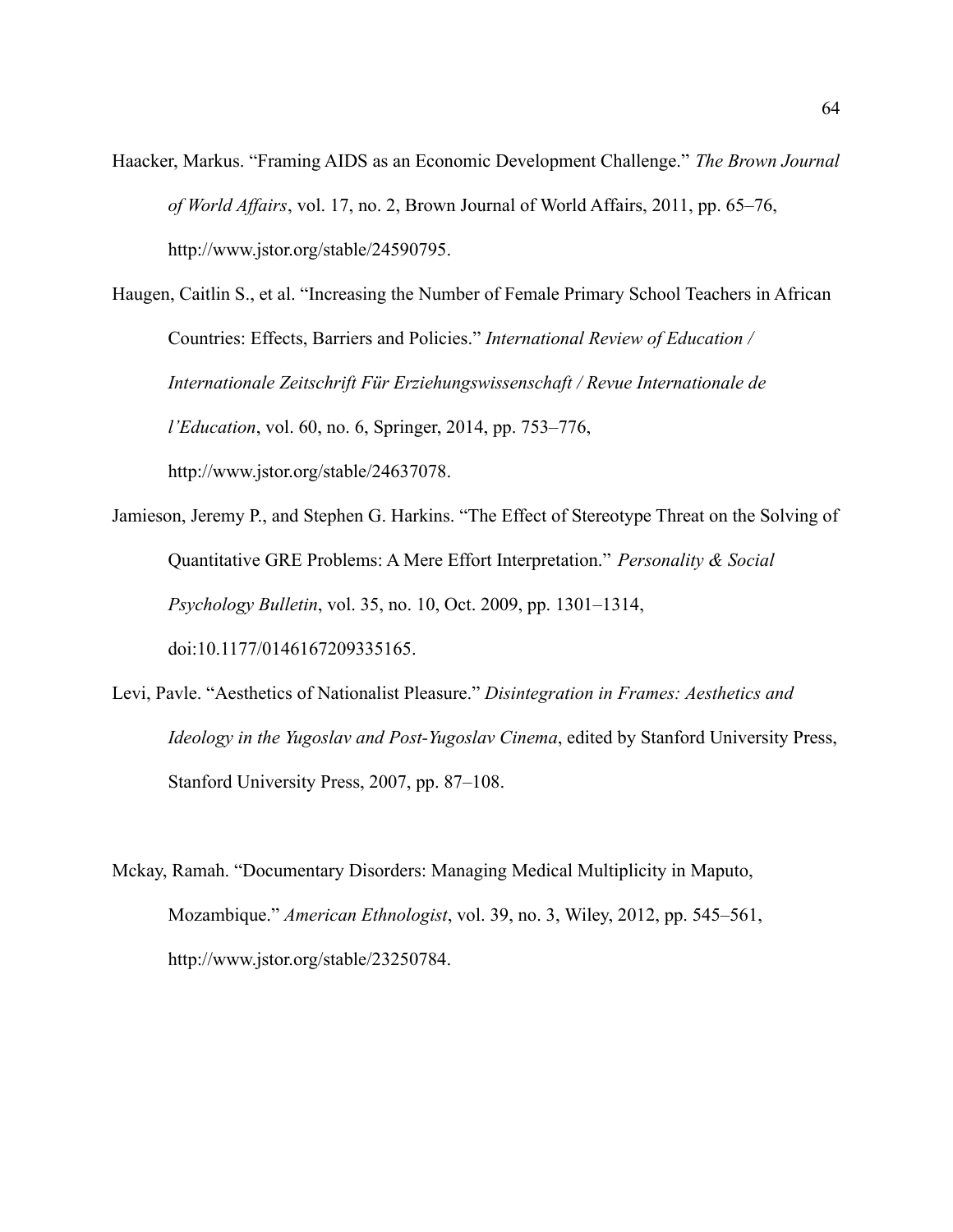- Haacker, Markus. "Framing AIDS as an Economic Development Challenge." *The Brown Journal of World Affairs*, vol. 17, no. 2, Brown Journal of World Affairs, 2011, pp. 65–76, http://www.jstor.org/stable/24590795.
- Haugen, Caitlin S., et al. "Increasing the Number of Female Primary School Teachers in African Countries: Effects, Barriers and Policies." *International Review of Education / Internationale Zeitschrift Für Erziehungswissenschaft / Revue Internationale de l'Education*, vol. 60, no. 6, Springer, 2014, pp. 753–776, http://www.jstor.org/stable/24637078.
- Jamieson, Jeremy P., and Stephen G. Harkins. "The Effect of Stereotype Threat on the Solving of Quantitative GRE Problems: A Mere Effort Interpretation." *Personality & Social Psychology Bulletin*, vol. 35, no. 10, Oct. 2009, pp. 1301–1314, doi:10.1177/0146167209335165.
- Levi, Pavle. "Aesthetics of Nationalist Pleasure." *Disintegration in Frames: Aesthetics and Ideology in the Yugoslav and Post-Yugoslav Cinema*, edited by Stanford University Press, Stanford University Press, 2007, pp. 87–108.
- Mckay, Ramah. "Documentary Disorders: Managing Medical Multiplicity in Maputo, Mozambique." *American Ethnologist*, vol. 39, no. 3, Wiley, 2012, pp. 545–561, http://www.jstor.org/stable/23250784.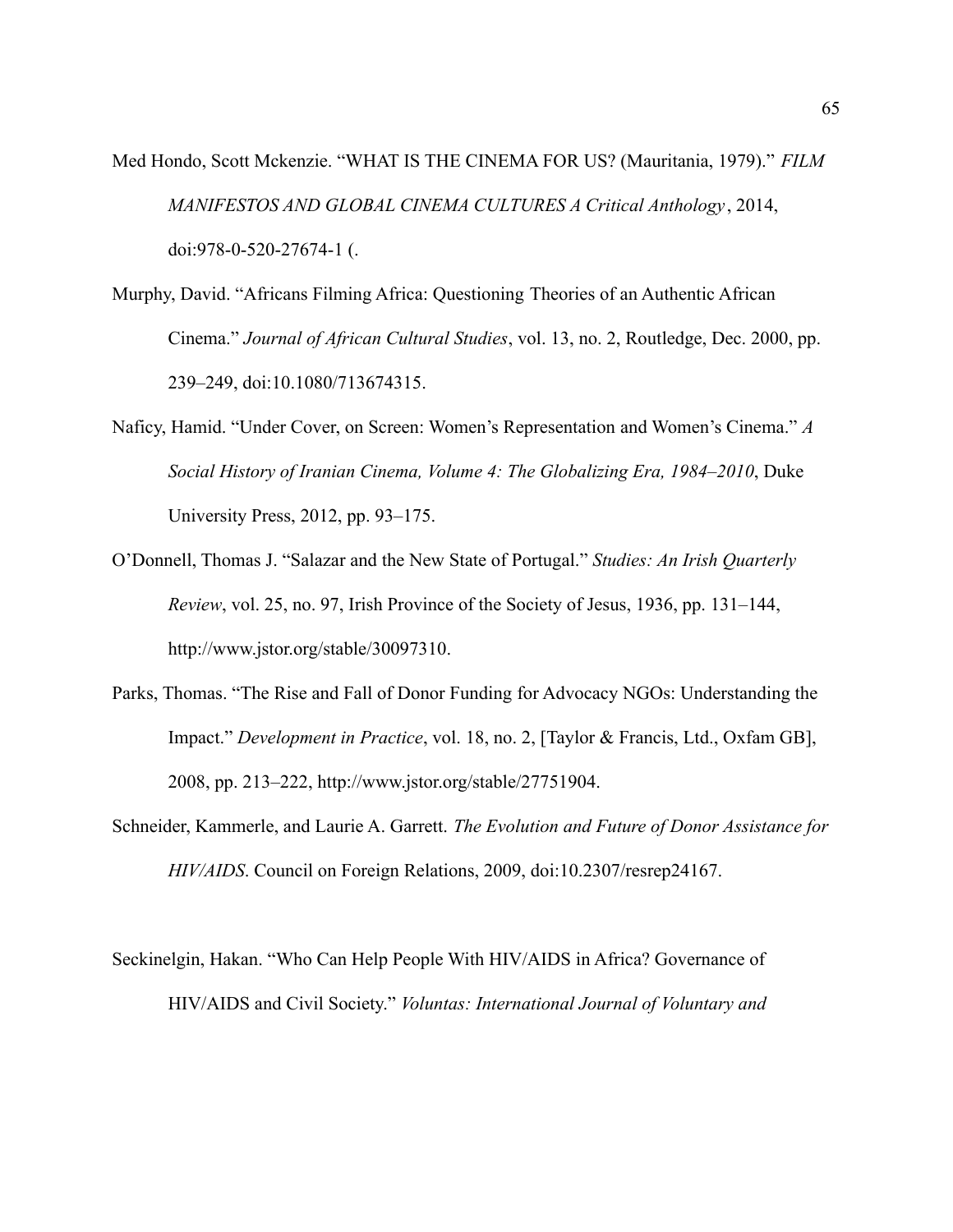- Med Hondo, Scott Mckenzie. "WHAT IS THE CINEMA FOR US? (Mauritania, 1979)." *FILM MANIFESTOS AND GLOBAL CINEMA CULTURES A Critical Anthology* , 2014, doi:978-0-520-27674-1 (.
- Murphy, David. "Africans Filming Africa: Questioning Theories of an Authentic African Cinema." *Journal of African Cultural Studies*, vol. 13, no. 2, Routledge, Dec. 2000, pp. 239–249, doi:10.1080/713674315.
- Naficy, Hamid. "Under Cover, on Screen: Women's Representation and Women's Cinema." *A Social History of Iranian Cinema, Volume 4: The Globalizing Era, 1984–2010*, Duke University Press, 2012, pp. 93–175.
- O'Donnell, Thomas J. "Salazar and the New State of Portugal." *Studies: An Irish Quarterly Review*, vol. 25, no. 97, Irish Province of the Society of Jesus, 1936, pp. 131–144, http://www.jstor.org/stable/30097310.
- Parks, Thomas. "The Rise and Fall of Donor Funding for Advocacy NGOs: Understanding the Impact." *Development in Practice*, vol. 18, no. 2, [Taylor & Francis, Ltd., Oxfam GB], 2008, pp. 213–222, http://www.jstor.org/stable/27751904.
- Schneider, Kammerle, and Laurie A. Garrett. *The Evolution and Future of Donor Assistance for HIV/AIDS*. Council on Foreign Relations, 2009, doi:10.2307/resrep24167.

Seckinelgin, Hakan. "Who Can Help People With HIV/AIDS in Africa? Governance of HIV/AIDS and Civil Society." *Voluntas: International Journal of Voluntary and*